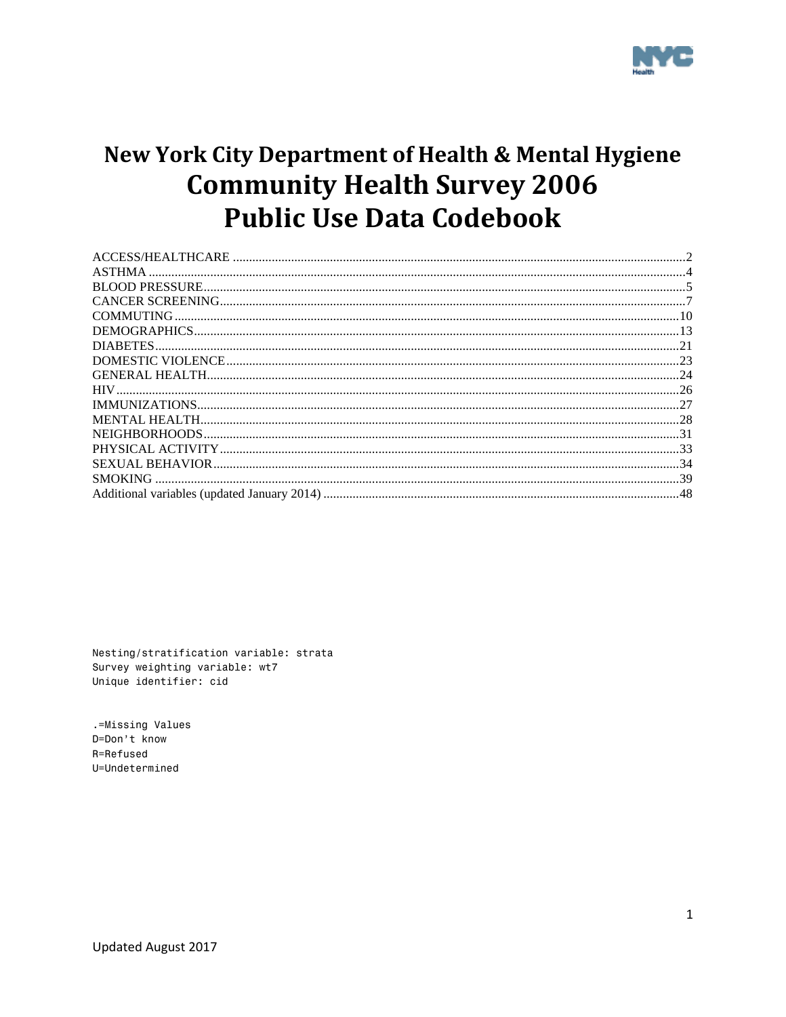

# New York City Department of Health & Mental Hygiene **Community Health Survey 2006 Public Use Data Codebook**

Nesting/stratification variable: strata Survey weighting variable: wt7 Unique identifier: cid

.=Missing Values D=Don't know R=Refused U=Undetermined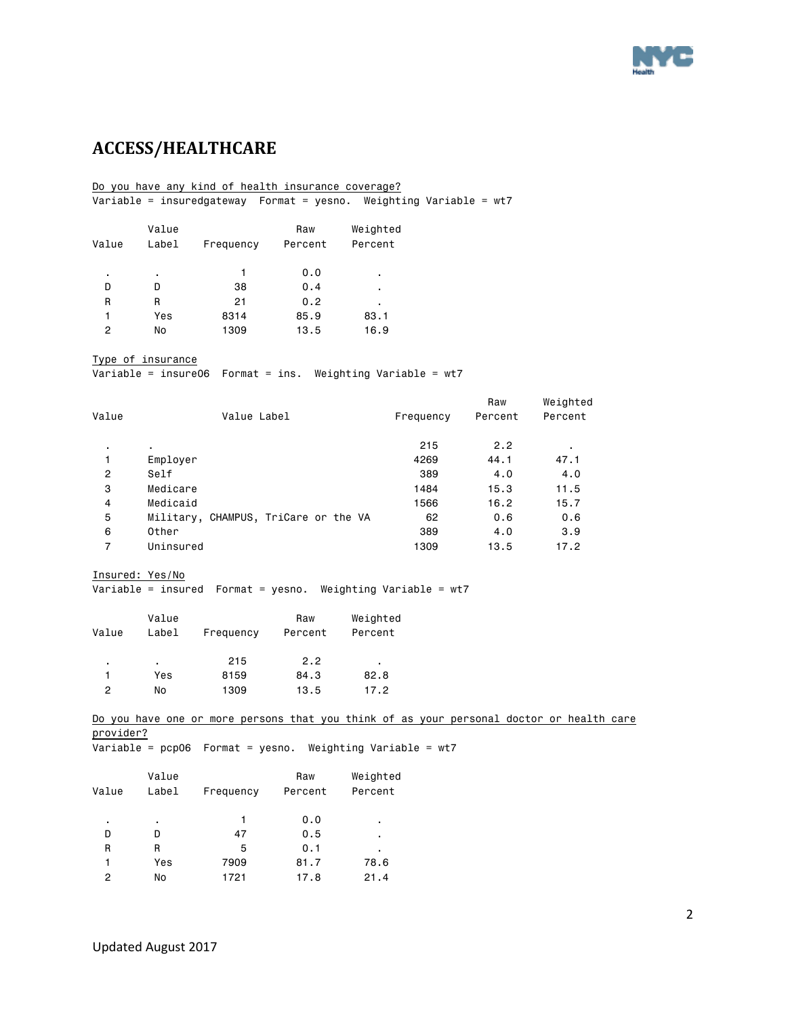

# <span id="page-1-0"></span>**ACCESS/HEALTHCARE**

#### Do you have any kind of health insurance coverage? Variable = insuredgateway Format = yesno. Weighting Variable = wt7

| Value | Value<br>Label | Frequency | Raw<br>Percent | Weighted<br>Percent |
|-------|----------------|-----------|----------------|---------------------|
| ٠     | ٠              |           | 0.0            | ٠                   |
| D     | D              | 38        | 0.4            | ٠                   |
| R     | R              | 21        | 0.2            | ٠                   |
| 1     | Yes            | 8314      | 85.9           | 83.1                |
| 2     | No             | 1309      | 13.5           | 16.9                |

Type of insurance

Variable = insure06 Format = ins. Weighting Variable = wt7

| Value          | Value Label                          | Frequency | Raw<br>Percent | Weighted<br>Percent |
|----------------|--------------------------------------|-----------|----------------|---------------------|
| ٠.             | $\blacksquare$                       | 215       | 2.2            |                     |
| 1              | Employer                             | 4269      | 44.1           | 47.1                |
| $\overline{2}$ | Self                                 | 389       | 4.0            | 4.0                 |
| 3              | Medicare                             | 1484      | 15.3           | 11.5                |
| $\overline{4}$ | Medicaid                             | 1566      | 16.2           | 15.7                |
| 5              | Military, CHAMPUS, TriCare or the VA | 62        | 0.6            | 0.6                 |
| 6              | Other                                | 389       | 4.0            | 3.9                 |
| 7              | Uninsured                            | 1309      | 13.5           | 17.2                |

Insured: Yes/No

```
Variable = insured Format = yesno. Weighting Variable = wt7
```

|               | Value |           | Raw     | Weighted |  |
|---------------|-------|-----------|---------|----------|--|
| Value         | Label | Frequency | Percent | Percent  |  |
| ٠             |       | 215       | 2.2     | ٠        |  |
|               | Yes   | 8159      | 84.3    | 82.8     |  |
| $\mathcal{P}$ | No    | 1309      | 13.5    | 17.2     |  |

Do you have one or more persons that you think of as your personal doctor or health care provider?

Variable = pcp06 Format = yesno. Weighting Variable = wt7

| Value | Value<br>Label | Frequency | Raw<br>Percent | Weighted<br>Percent |
|-------|----------------|-----------|----------------|---------------------|
| ٠     | ٠              | 1         | 0.0            | ٠                   |
| D     | D              | 47        | 0.5            | ٠                   |
| R     | R              | 5         | 0.1            | ٠                   |
| 1     | Yes            | 7909      | 81.7           | 78.6                |
| 2     | No             | 1721      | 17.8           | 21.4                |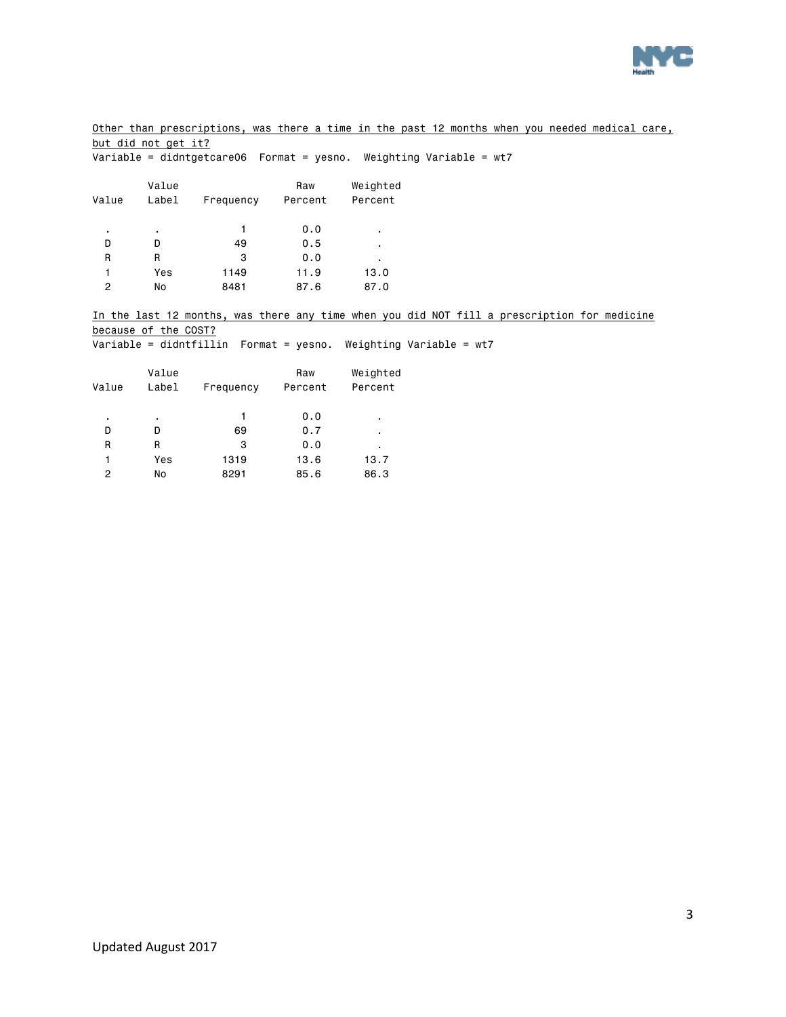

Other than prescriptions, was there a time in the past 12 months when you needed medical care, but did not get it?

|                |                      | Variable = didntgetcare06  Format = yesno. Weighting Variable = wt7 |         |          |                                                                                             |
|----------------|----------------------|---------------------------------------------------------------------|---------|----------|---------------------------------------------------------------------------------------------|
|                | Value                |                                                                     | Raw     | Weighted |                                                                                             |
| Value          | Label                | Frequency                                                           | Percent | Percent  |                                                                                             |
|                | ٠                    |                                                                     | 0.0     |          |                                                                                             |
| D              | D                    | 49                                                                  | 0.5     |          |                                                                                             |
| $\mathsf{R}$   | R                    | 3                                                                   | 0.0     |          |                                                                                             |
|                | Yes                  | 1149                                                                | 11.9    | 13.0     |                                                                                             |
| $\overline{2}$ | No                   | 8481                                                                | 87.6    | 87.0     |                                                                                             |
|                |                      |                                                                     |         |          | In the last 12 months, was there any time when you did NOT fill a prescription for medicine |
|                | because of the COST? |                                                                     |         |          |                                                                                             |
|                |                      | Variable = didntfillin  Format = yesno. Weighting Variable = wt7    |         |          |                                                                                             |
|                | Value                |                                                                     | Raw     | Weighted |                                                                                             |
| Value          | Label                | Frequency                                                           | Percent | Percent  |                                                                                             |

| ٠ | ٠   |      | 0.0  | ٠    |
|---|-----|------|------|------|
| D | D   | 69   | 0.7  | ٠    |
| R | R   | з    | 0.0  | ٠    |
| 1 | Yes | 1319 | 13.6 | 13.7 |
| 2 | No  | 8291 | 85.6 | 86.3 |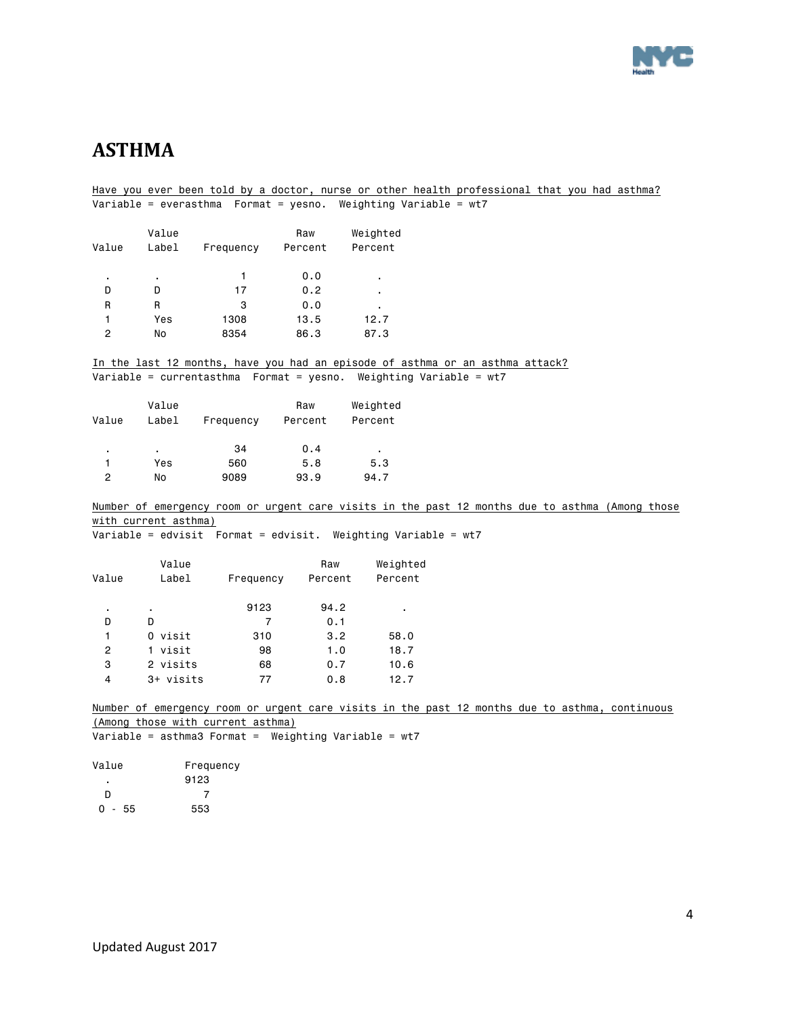

# <span id="page-3-0"></span>**ASTHMA**

Have you ever been told by a doctor, nurse or other health professional that you had asthma? Variable = everasthma Format = yesno. Weighting Variable = wt7 Value **Raw** Weighted Value Label Frequency Percent Percent . . 1 0.0 . D D 17 0.2 . R R 3 0.0 . 1 Yes 1308 13.5 12.7 2 No 8354 86.3 87.3 In the last 12 months, have you had an episode of asthma or an asthma attack? Variable = currentasthma Format = yesno. Weighting Variable = wt7 Value Raw Weighted Value Label Frequency Percent Percent . . 34 0.4 . 1 Yes 560 5.8 5.3 2 No 9089 93.9 94.7 Number of emergency room or urgent care visits in the past 12 months due to asthma (Among those with current asthma) Variable = edvisit Format = edvisit. Weighting Variable = wt7 Value **Raw** Weighted Value Label Frequency Percent Percent . . 9123 94.2 . D D 7 0.1 1 0 visit 310 3.2 58.0 2 1 visit 98 1.0 18.7 3 2 visits 68 0.7 10.6 4 3+ visits 77 0.8 12.7 Number of emergency room or urgent care visits in the past 12 months due to asthma, continuous (Among those with current asthma) Variable = asthma3 Format = Weighting Variable =  $wt7$ Value Frequency . 9123 D 7  $0 - 55$  553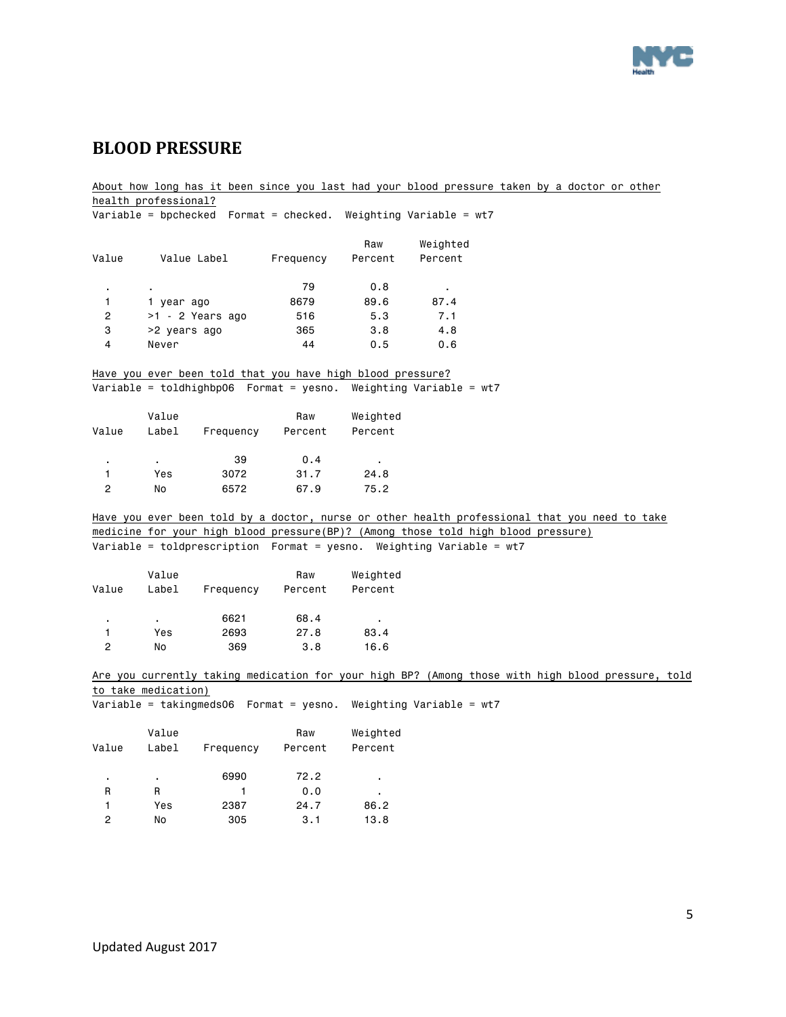

### <span id="page-4-0"></span>**BLOOD PRESSURE**

About how long has it been since you last had your blood pressure taken by a doctor or other health professional? Variable = bpchecked Format = checked. Weighting Variable = wt7 Raw Weighted Value Value Label Frequency Percent Percent . . 79 0.8 . 1 1 year ago 6679 89.6 87.4 2 >1 - 2 Years ago 516 5.3 7.1 3 >2 years ago 365 3.8 4.8 4 Never 44 0.5 0.6 Have you ever been told that you have high blood pressure? Variable = toldhighbp06 Format = yesno. Weighting Variable = wt7 Value **Raw** Weighted Value Label Frequency Percent Percent . . 39 0.4 . 1 Yes 3072 31.7 24.8 2 No 6572 67.9 75.2 Have you ever been told by a doctor, nurse or other health professional that you need to take medicine for your high blood pressure(BP)? (Among those told high blood pressure) Variable = toldprescription Format = yesno. Weighting Variable = wt7 Value Raw Weighted Value Label Frequency Percent Percent . . 6621 68.4 . 1 Yes 2693 27.8 83.4 2 No 369 3.8 16.6 Are you currently taking medication for your high BP? (Among those with high blood pressure, told to take medication) Variable = takingmeds06 Format = yesno. Weighting Variable = wt7 Value Raw Weighted Value Label Frequency Percent Percent . . 6990 72.2 . R R 1 0.0 . 1 Yes 2387 24.7 86.2 2 No 305 3.1 13.8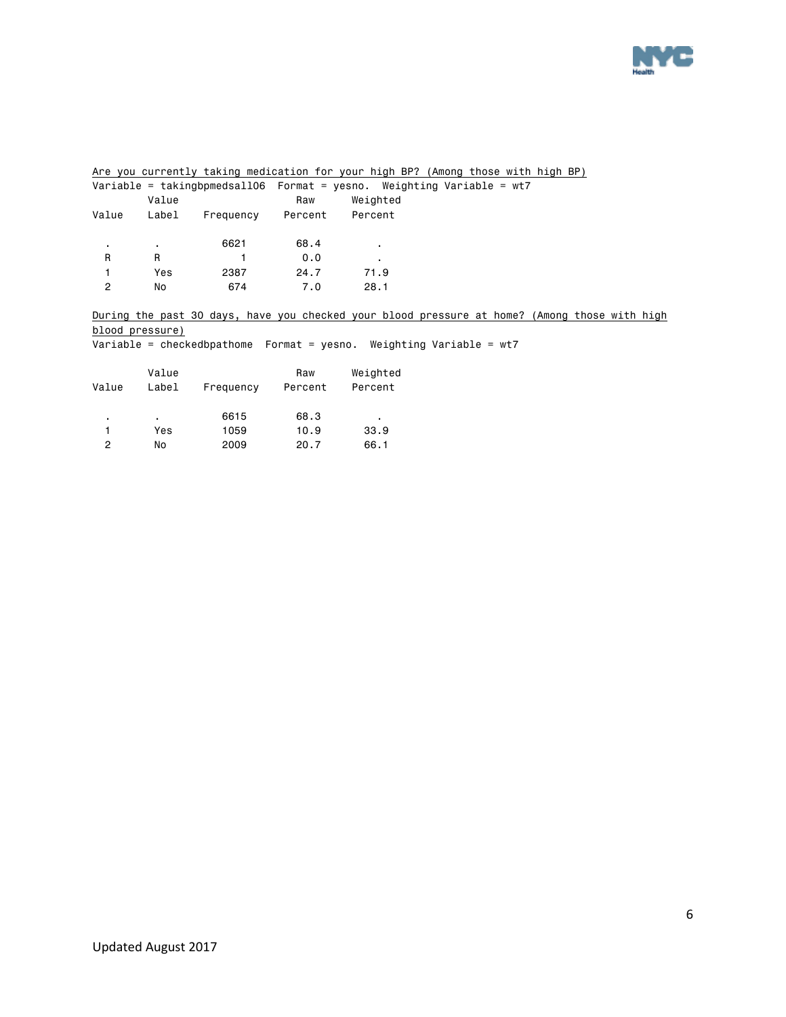

Are you currently taking medication for your high BP? (Among those with high BP)

|                |       |           |         | Variable = takingbpmedsall06  Format = yesno. Weighting Variable = wt7 |  |
|----------------|-------|-----------|---------|------------------------------------------------------------------------|--|
|                | Value |           | Raw     | Weighted                                                               |  |
| Value          | Label | Frequency | Percent | Percent                                                                |  |
|                |       |           |         |                                                                        |  |
| $\blacksquare$ | ٠.    | 6621      | 68.4    | ٠                                                                      |  |
| R              | R     |           | 0.0     | ٠                                                                      |  |
|                | Yes   | 2387      | 24.7    | 71.9                                                                   |  |
| 2              | No    | 674       | 7.0     | 28.1                                                                   |  |
|                |       |           |         |                                                                        |  |

During the past 30 days, have you checked your blood pressure at home? (Among those with high blood pressure)

Variable = checkedbpathome Format = yesno. Weighting Variable = wt7

| Value | Value<br>Label | Frequency | Raw<br>Percent | Weighted<br>Percent |
|-------|----------------|-----------|----------------|---------------------|
| ٠     | ٠              | 6615      | 68.3           | ٠                   |
|       | Yes            | 1059      | 10.9           | 33.9                |
| 2     | No             | 2009      | 20.7           | 66.1                |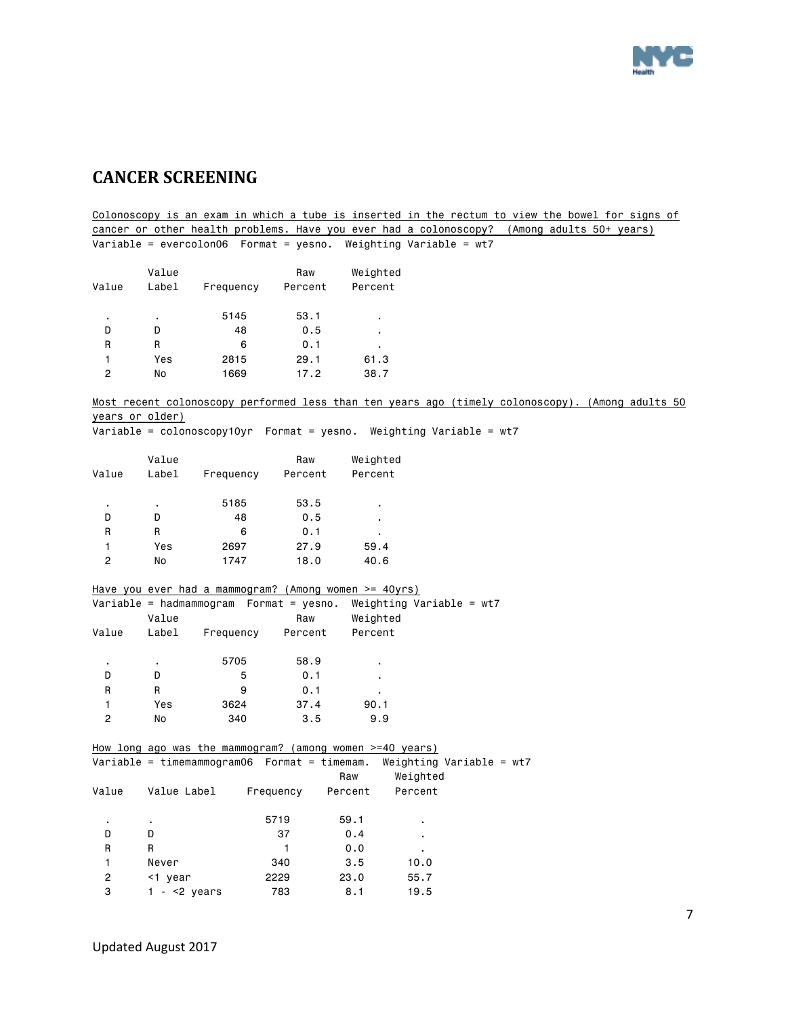

# <span id="page-6-0"></span>**CANCER SCREENING**

Colonoscopy is an exam in which a tube is inserted in the rectum to view the bowel for signs of cancer or other health problems. Have you ever had a colonoscopy? (Among adults 50+ years) Variable = evercolon06 Format = yesno. Weighting Variable = wt7 Value **Raw** Weighted Value Label Frequency Percent Percent

| ٠ | ٠.  | 5145 | 53.1 | ٠    |
|---|-----|------|------|------|
| D | D   | 48   | 0.5  | ٠    |
| R | R   | 6    | 0.1  | ٠    |
|   | Yes | 2815 | 29.1 | 61.3 |
| っ | No  | 1669 | 17.2 | 38.7 |

Most recent colonoscopy performed less than ten years ago (timely colonoscopy). (Among adults 50 years or older)

Variable = colonoscopy10yr Format = yesno. Weighting Variable = wt7

| Value | Value<br>Label | Frequency | Raw<br>Percent | Weighted<br>Percent |
|-------|----------------|-----------|----------------|---------------------|
| ٠     | ٠              | 5185      | 53.5           | ٠                   |
| D     | n              | 48        | 0.5            | ٠                   |
| R     | R              | 6         | 0.1            | ٠                   |
| 1     | Yes            | 2697      | 27.9           | 59.4                |
| 2     | No             | 1747      | 18.0           | 40.6                |

|       |       | Have you ever had a mammogram? (Among women $>= 40yrs$ ) |         |                            |  |
|-------|-------|----------------------------------------------------------|---------|----------------------------|--|
|       |       | Variable = hadmammogram  Format = yesno.                 |         | Weighting Variable = $wt7$ |  |
|       | Value |                                                          | Raw     | Weighted                   |  |
| Value | Label | Frequency                                                | Percent | Percent                    |  |
|       |       |                                                          |         |                            |  |
| ٠     | ٠     | 5705                                                     | 58.9    | ٠                          |  |
| D     | D     | 5                                                        | 0.1     | ٠                          |  |
| R     | R     | 9                                                        | 0.1     | ٠                          |  |
|       | Yes   | 3624                                                     | 37.4    | 90.1                       |  |
| 2     | No    | 340                                                      | 3.5     | 9.9                        |  |

|       | How long ago was the mammogram? (among women $>=$ 40 years) |           |         |                          |
|-------|-------------------------------------------------------------|-----------|---------|--------------------------|
|       | $Variable = timemammogram06$ Format = timemam.              |           |         | Weighting Variable = wt7 |
|       |                                                             |           | Raw     | Weighted                 |
| Value | Value Label                                                 | Frequency | Percent | Percent                  |
|       |                                                             |           |         |                          |
| ٠.    |                                                             | 5719      | 59.1    |                          |
| D     | D                                                           | 37        | 0.4     |                          |
| R     | R                                                           |           | 0.0     |                          |
| 1     | Never                                                       | 340       | 3.5     | 10.0                     |
| 2     | <1 year                                                     | 2229      | 23.0    | 55.7                     |
| 3     | $ <$ 2 years                                                | 783       | 8.1     | 19.5                     |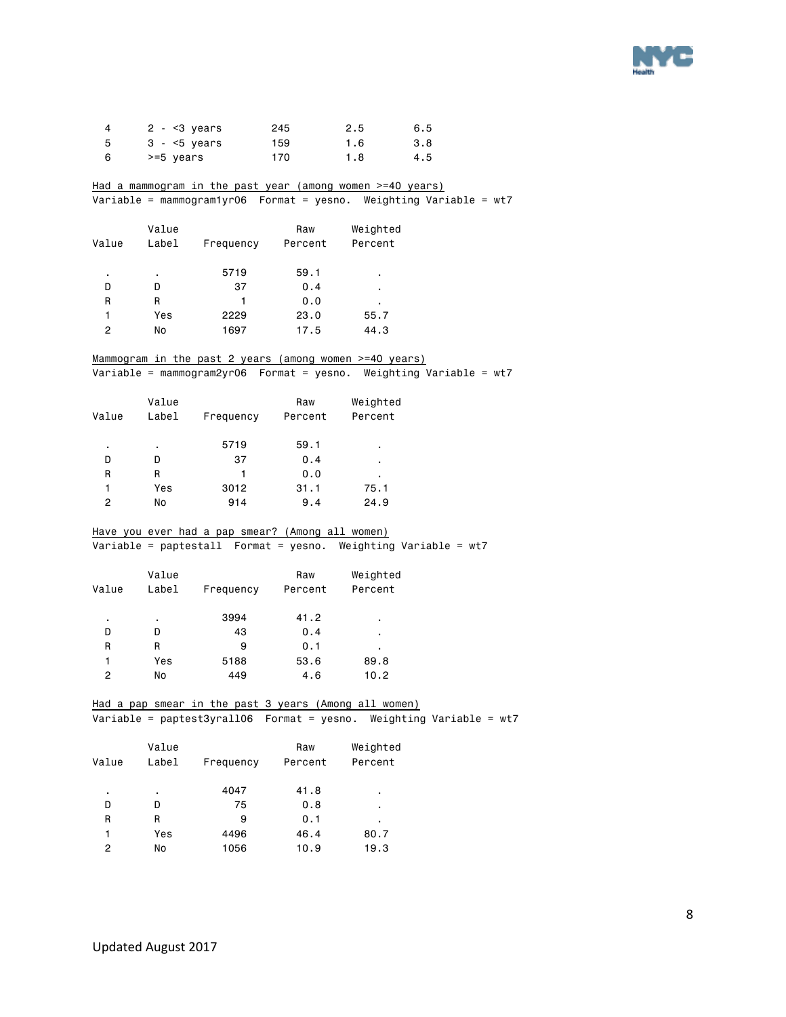

| 4 | $2 - 3$ years | 245 | 2.5 | 6.5 |
|---|---------------|-----|-----|-----|
| 5 | $3 - 5$ years | 159 | 1.6 | 3.8 |
| 6 | >=5 years     | 170 | 1.8 | 4.5 |

Had a mammogram in the past year (among women >=40 years) Variable = mammogram1yr06 Format = yesno. Weighting Variable = wt7

| Value | Value<br>Label | Frequency | Raw<br>Percent | Weighted<br>Percent |
|-------|----------------|-----------|----------------|---------------------|
| ٠     | ٠              | 5719      | 59.1           | ٠                   |
| D     | D              | 37        | 0.4            | ٠                   |
| R     | R              | 1         | 0.0            | ٠                   |
| 1     | Yes            | 2229      | 23.0           | 55.7                |
| 2     | No             | 1697      | 17.5           | 44.3                |

#### Mammogram in the past 2 years (among women >=40 years)

Variable = mammogram2yr06 Format = yesno. Weighting Variable = wt7

| Value | Value<br>Label | Frequency | Raw<br>Percent | Weighted<br>Percent |
|-------|----------------|-----------|----------------|---------------------|
| ٠     | ٠              | 5719      | 59.1           | ٠                   |
| D     | D              | 37        | 0.4            | ٠                   |
| R     | R              | 1         | 0.0            | ٠                   |
|       | Yes            | 3012      | 31.1           | 75.1                |
| 2     | No             | 914       | 9.4            | 24.9                |

#### Have you ever had a pap smear? (Among all women)

Variable = paptestall Format = yesno. Weighting Variable = wt7

|       | Value |           | Raw     | Weighted |
|-------|-------|-----------|---------|----------|
| Value | Label | Frequency | Percent | Percent  |
|       |       |           |         |          |
| ٠     | ٠     | 3994      | 41.2    | ٠        |
| D     | D     | 43        | 0.4     | ٠        |
| R     | R     | 9         | 0.1     | ٠        |
| 1     | Yes   | 5188      | 53.6    | 89.8     |
| 2     | No    | 449       | 4.6     | 10.2     |
|       |       |           |         |          |

#### Had a pap smear in the past 3 years (Among all women) Variable = paptest3yrall06 Format = yesno. Weighting Variable = wt7

| Value | Value<br>Label | Frequency | Raw<br>Percent | Weighted<br>Percent |
|-------|----------------|-----------|----------------|---------------------|
| ٠     | ٠              | 4047      | 41.8           | ٠                   |
| D     | D              | 75        | 0.8            | ٠                   |
| R     | R              | 9         | 0.1            | ٠                   |
| 1     | Yes            | 4496      | 46.4           | 80.7                |
| 2     | No             | 1056      | 10.9           | 19.3                |
|       |                |           |                |                     |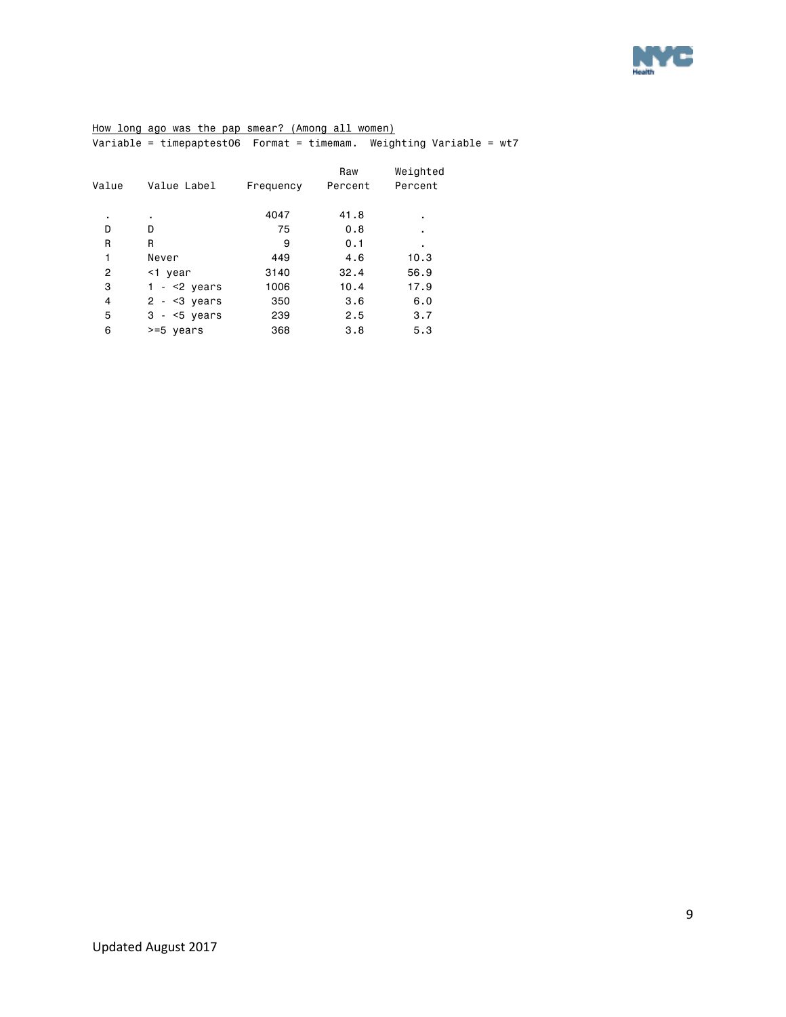

#### How long ago was the pap smear? (Among all women) Variable = timepaptest06 Format = timemam. Weighting Variable = wt7

| Value | Value Label   | Frequency | Raw<br>Percent | Weighted<br>Percent |
|-------|---------------|-----------|----------------|---------------------|
|       |               |           |                |                     |
| ٠     |               | 4047      | 41.8           | ٠                   |
| D     | D             | 75        | 0.8            | ٠                   |
| R     | R             | 9         | 0.1            | ٠                   |
| 1     | Never         | 449       | 4.6            | 10.3                |
| 2     | <1 year       | 3140      | 32.4           | 56.9                |
| 3     | $- < 2$ years | 1006      | 10.4           | 17.9                |
| 4     | $2 - 3$ years | 350       | 3.6            | 6.0                 |
| 5     | $3 - 5$ years | 239       | 2.5            | 3.7                 |
| 6     | >=5 years     | 368       | 3.8            | 5.3                 |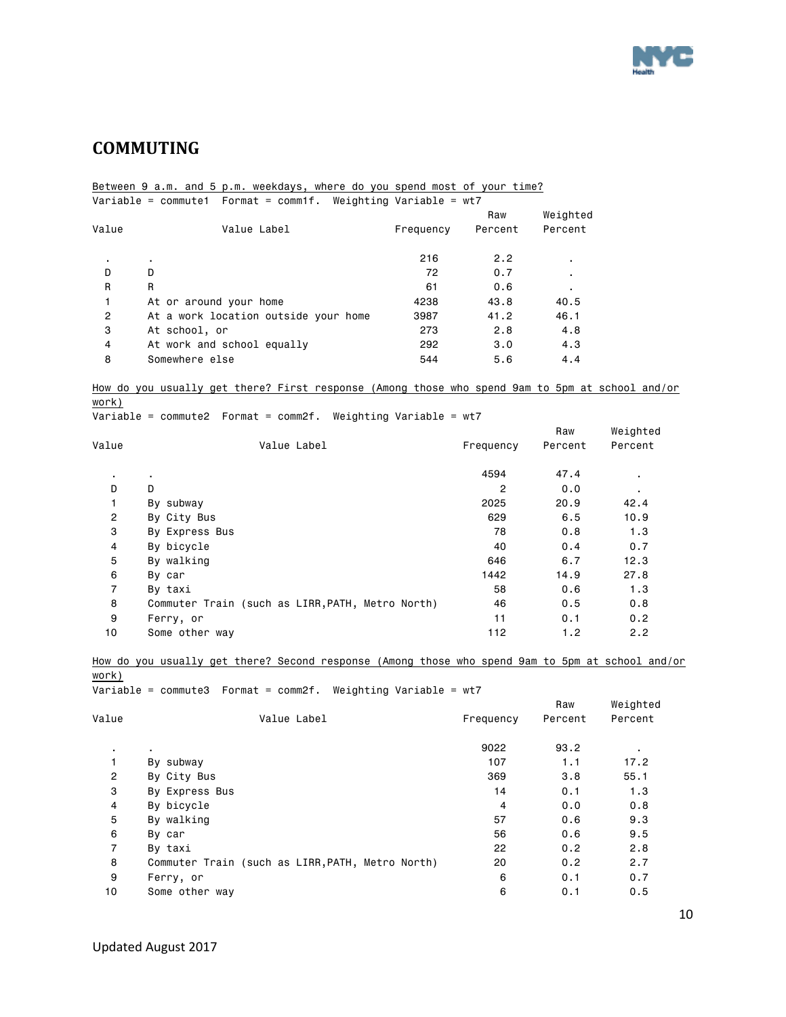

# <span id="page-9-0"></span>**COMMUTING**

#### Between 9 a.m. and 5 p.m. weekdays, where do you spend most of your time? Variable = commute1 Format = comm1f. Weighting Variable = wt7

|       |                                      |           | Raw     | Weighted |
|-------|--------------------------------------|-----------|---------|----------|
| Value | Value Label                          | Frequency | Percent | Percent  |
|       | ٠                                    | 216       | 2.2     |          |
| D     | D                                    | 72        | 0.7     | ٠.       |
| R     | R                                    | 61        | 0.6     |          |
| 1     | At or around your home               | 4238      | 43.8    | 40.5     |
| 2     | At a work location outside your home | 3987      | 41.2    | 46.1     |
| 3     | At school, or                        | 273       | 2.8     | 4.8      |
| 4     | At work and school equally           | 292       | 3.0     | 4.3      |
| 8     | Somewhere else                       | 544       | 5.6     | 4.4      |
|       |                                      |           |         |          |

#### How do you usually get there? First response (Among those who spend 9am to 5pm at school and/or

work) Variable = commute2 Format = comm2f. Weighting Variable = wt7

|                |                                                  |           | Raw     | Weighted       |
|----------------|--------------------------------------------------|-----------|---------|----------------|
| Value          | Value Label                                      | Frequency | Percent | Percent        |
| $\cdot$        | $\blacksquare$                                   | 4594      | 47.4    | ٠.             |
| D              | D                                                | 2         | 0.0     | $\blacksquare$ |
| 1              | By subway                                        | 2025      | 20.9    | 42.4           |
| $\overline{2}$ | By City Bus                                      | 629       | 6.5     | 10.9           |
| 3              | By Express Bus                                   | 78        | 0.8     | 1.3            |
| 4              | By bicycle                                       | 40        | 0.4     | 0.7            |
| 5              | By walking                                       | 646       | 6.7     | 12.3           |
| 6              | By car                                           | 1442      | 14.9    | 27.8           |
| $\overline{7}$ | By taxi                                          | 58        | 0.6     | 1.3            |
| 8              | Commuter Train (such as LIRR, PATH, Metro North) | 46        | 0.5     | 0.8            |
| 9              | Ferry, or                                        | 11        | 0.1     | 0.2            |
| 10             | Some other way                                   | 112       | 1.2     | 2.2            |

How do you usually get there? Second response (Among those who spend 9am to 5pm at school and/or work)

Variable = commute3 Format = comm2f. Weighting Variable = wt7

|                |                                                  |           | Raw     | Weighted |
|----------------|--------------------------------------------------|-----------|---------|----------|
| Value          | Value Label                                      | Frequency | Percent | Percent  |
| $\bullet$      |                                                  | 9022      | 93.2    | ٠.       |
| 1              | By subway                                        | 107       | 1.1     | 17.2     |
| $\overline{c}$ | By City Bus                                      | 369       | 3.8     | 55.1     |
| 3              | By Express Bus                                   | 14        | 0.1     | 1.3      |
| 4              | By bicycle                                       | 4         | 0.0     | 0.8      |
| 5              | By walking                                       | 57        | 0.6     | 9.3      |
| 6              | By car                                           | 56        | 0.6     | 9.5      |
| $\overline{7}$ | By taxi                                          | 22        | 0.2     | 2.8      |
| 8              | Commuter Train (such as LIRR, PATH, Metro North) | 20        | 0.2     | 2.7      |
| 9              | Ferry, or                                        | 6         | 0.1     | 0.7      |
| 10             | Some other way                                   | 6         | 0.1     | 0.5      |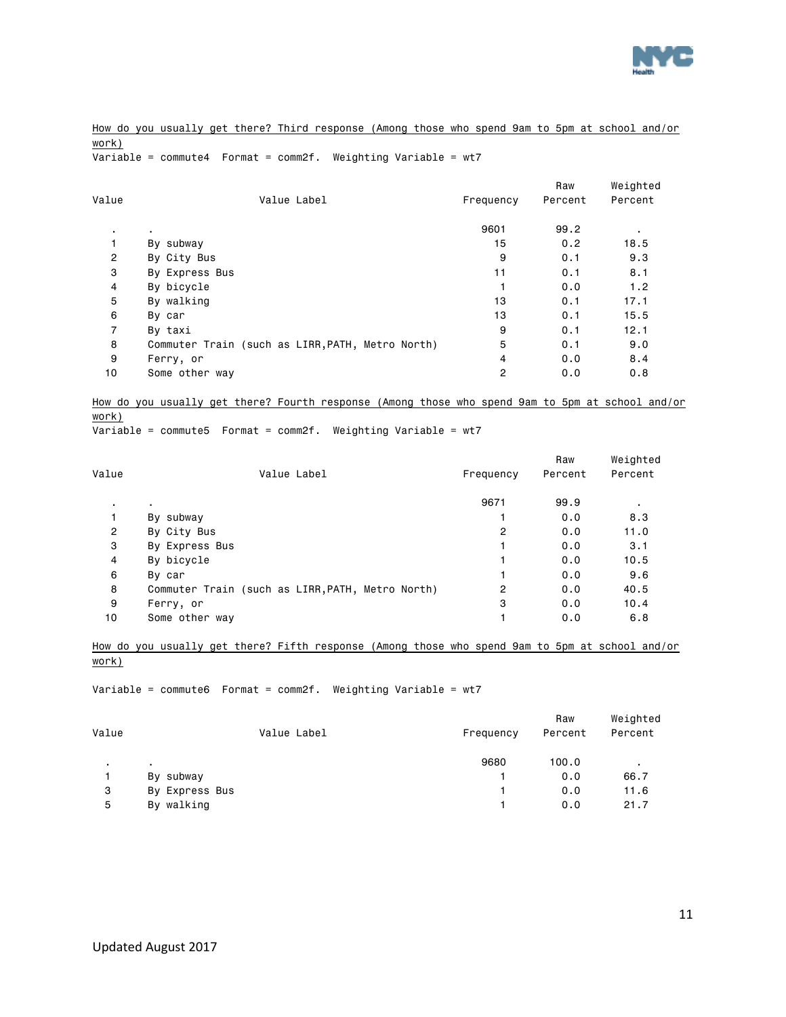

How do you usually get there? Third response (Among those who spend 9am to 5pm at school and/or work)

Variable = commute4 Format = comm2f. Weighting Variable = wt7

| Value          | Value Label                                      | Frequency | Raw<br>Percent | Weighted<br>Percent |
|----------------|--------------------------------------------------|-----------|----------------|---------------------|
| $\bullet$      |                                                  | 9601      | 99.2           | ٠                   |
| 1              | By subway                                        | 15        | 0.2            | 18.5                |
| $\overline{2}$ | By City Bus                                      | 9         | 0.1            | 9.3                 |
| 3              | By Express Bus                                   | 11        | 0.1            | 8.1                 |
| 4              | By bicycle                                       |           | 0.0            | 1.2                 |
| 5              | By walking                                       | 13        | 0.1            | 17.1                |
| 6              | By car                                           | 13        | 0.1            | 15.5                |
| $\overline{7}$ | By taxi                                          | 9         | 0.1            | 12.1                |
| 8              | Commuter Train (such as LIRR, PATH, Metro North) | 5         | 0.1            | 9.0                 |
| 9              | Ferry, or                                        | 4         | 0.0            | 8.4                 |
| 10             | Some other way                                   | 2         | 0.0            | 0.8                 |

How do you usually get there? Fourth response (Among those who spend 9am to 5pm at school and/or work)

Variable = commute5 Format = comm2f. Weighting Variable = wt7

| Value          | Value Label                                      | Frequency | Raw<br>Percent | Weighted<br>Percent |
|----------------|--------------------------------------------------|-----------|----------------|---------------------|
|                |                                                  |           |                |                     |
| ٠.             |                                                  | 9671      | 99.9           |                     |
| 1              | By subway                                        |           | 0.0            | 8.3                 |
| $\overline{2}$ | By City Bus                                      | 2         | 0.0            | 11.0                |
| 3              | By Express Bus                                   |           | 0.0            | 3.1                 |
| 4              | By bicycle                                       |           | 0.0            | 10.5                |
| 6              | By car                                           |           | 0.0            | 9.6                 |
| 8              | Commuter Train (such as LIRR, PATH, Metro North) | 2         | 0.0            | 40.5                |
| 9              | Ferry, or                                        | 3         | 0.0            | 10.4                |
| 10             | Some other way                                   |           | 0.0            | 6.8                 |
|                |                                                  |           |                |                     |

How do you usually get there? Fifth response (Among those who spend 9am to 5pm at school and/or work)

Variable = commute6 Format = comm2f. Weighting Variable = wt7

|       |                |           | Raw     | Weighted |
|-------|----------------|-----------|---------|----------|
| Value | Value Label    | Frequency | Percent | Percent  |
|       | $\blacksquare$ | 9680      | 100.0   |          |
|       | By subway      |           | 0.0     | 66.7     |
| 3     | By Express Bus |           | 0.0     | 11.6     |
| 5     | By walking     |           | 0.0     | 21.7     |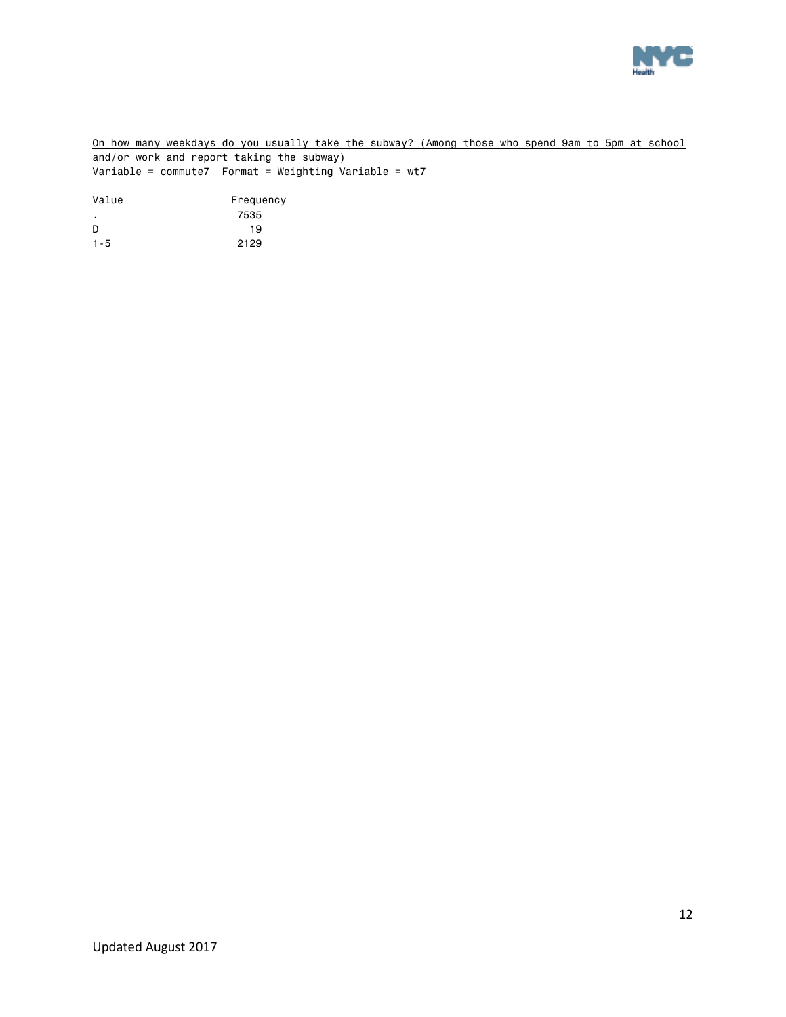

On how many weekdays do you usually take the subway? (Among those who spend 9am to 5pm at school and/or work and report taking the subway)  $\overline{\text{Variable}} = \text{commute7}$  Format = Weighting Variable = wt7

Value Frequency .<br>D 19 D 19 1-5 2129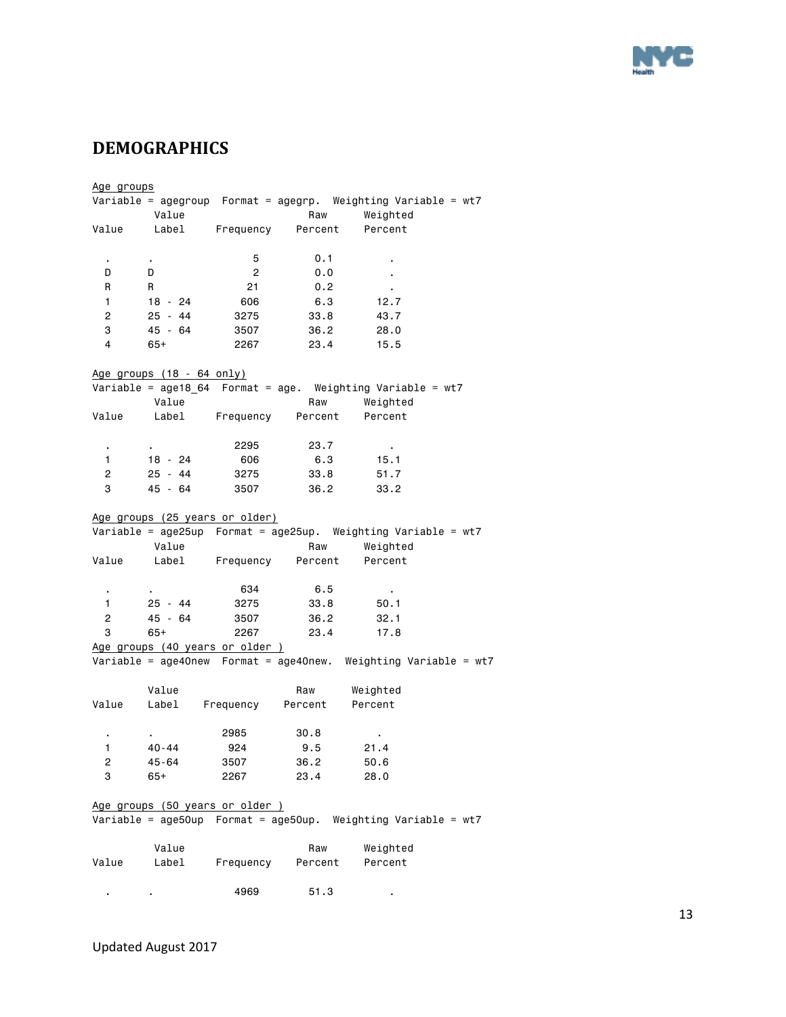

# <span id="page-12-0"></span>**DEMOGRAPHICS**

Age groups Variable = agegroup Format = agegrp. Weighting Variable = wt7 Value Raw Weighted Value Label Frequency Percent Percent . . 5 0.1 . D D 2 0.0 . R R 21 0.2 . 1 18 - 24 606 6.3 12.7 2 25 - 44 3275 33.8 43.7 3 45 - 64 3507 36.2 28.0 4 65+ 2267 23.4 15.5 Age groups (18 - 64 only) Variable = age18\_64 Format = age. Weighting Variable = wt7 Value **Raw** Weighted Value Label Frequency Percent Percent . . 2295 23.7 . 1 18 - 24 606 6.3 15.1 2 25 - 44 3275 33.8 51.7 3 45 - 64 3507 36.2 33.2 Age groups (25 years or older) Variable = age25up Format = age25up. Weighting Variable = wt7 Value Raw Weighted Value Label Frequency Percent Percent . . 634 6.5 . 1 25 - 44 3275 33.8 50.1 2 45 - 64 3507 36.2 32.1 3 65+ 2267 23.4 17.8 Age groups (40 years or older ) Variable = age40new Format = age40new. Weighting Variable = wt7 Value Raw Weighted Value Label Frequency Percent Percent . . 2985 30.8 . 1 40-44 924 9.5 21.4 2 45-64 3507 36.2 50.6 3 65+ 2267 23.4 28.0 Age groups (50 years or older ) Variable = age50up Format = age50up. Weighting Variable = wt7 Value Raw Weighted Value Label Frequency Percent Percent . . 4969 51.3 .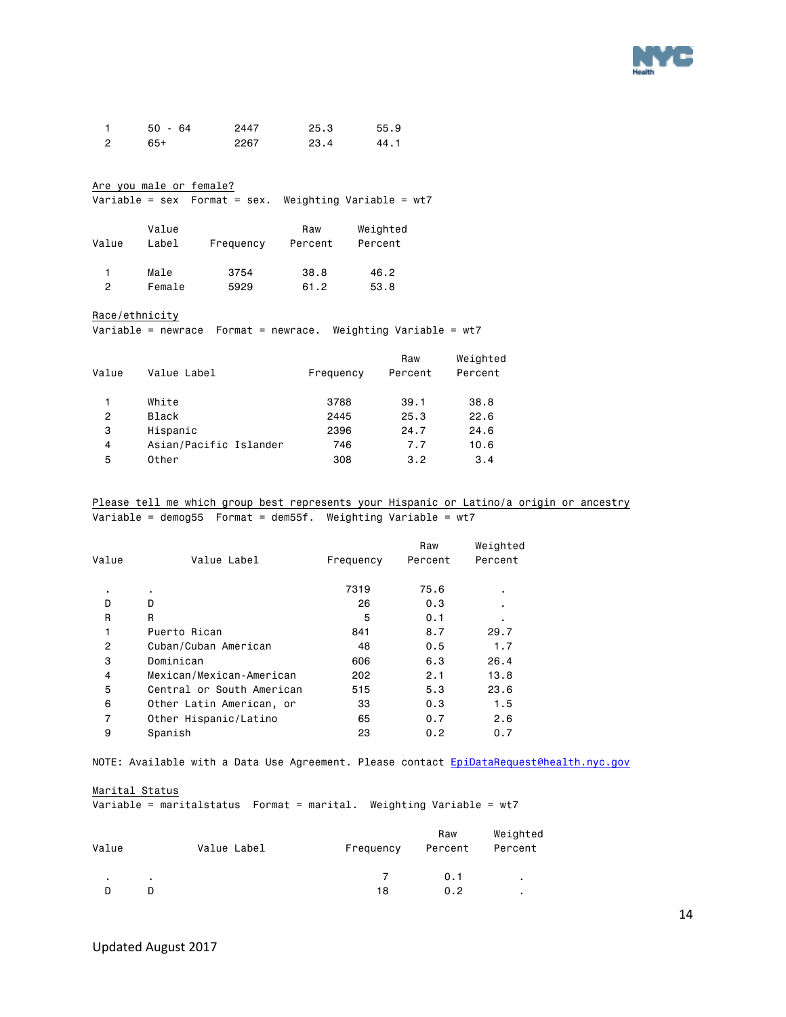

| $50 - 64$ | 2447 | 25.3 | 55.9 |
|-----------|------|------|------|
| 65+       | 2267 | 23.4 | 44.1 |

Are you male or female?

Variable = sex Format = sex. Weighting Variable = wt7

| Value | Value<br>Label | Frequency | Raw<br>Percent | Weighted<br>Percent |
|-------|----------------|-----------|----------------|---------------------|
| 2     | Male           | 3754      | 38.8           | 46.2                |
|       | Female         | 5929      | 61.2           | 53.8                |

#### Race/ethnicity

Variable = newrace Format = newrace. Weighting Variable = wt7

| Weighted<br>Percent |
|---------------------|
| 38.8                |
| 22.6                |
| 24.6                |
| 10.6                |
| 3.4                 |
|                     |

Please tell me which group best represents your Hispanic or Latino/a origin or ancestry Variable = demog55 Format = dem55f. Weighting Variable = wt7

| Value          | Value Label               | Frequency | Raw<br>Percent | Weighted<br>Percent |
|----------------|---------------------------|-----------|----------------|---------------------|
|                |                           |           |                |                     |
| ٠              | ٠                         | 7319      | 75.6           |                     |
| D              | D                         | 26        | 0.3            |                     |
| R              | R                         | 5         | 0.1            |                     |
| 1              | Puerto Rican              | 841       | 8.7            | 29.7                |
| $\overline{2}$ | Cuban/Cuban American      | 48        | 0.5            | 1.7                 |
| 3              | Dominican                 | 606       | 6.3            | 26.4                |
| 4              | Mexican/Mexican-American  | 202       | 2.1            | 13.8                |
| 5              | Central or South American | 515       | 5.3            | 23.6                |
| 6              | Other Latin American, or  | 33        | 0.3            | 1.5                 |
| 7              | Other Hispanic/Latino     | 65        | 0.7            | 2.6                 |
| 9              | Spanish                   | 23        | 0.2            | 0.7                 |

NOTE: Available with a Data Use Agreement. Please contact [EpiDataRequest@health.nyc.gov](mailto:EpiDataRequest@health.nyc.gov)

Marital Status

Variable = maritalstatus Format = marital. Weighting Variable = wt7

| Value | Value Label | Frequency | Raw<br>Percent | Weighted<br>Percent |
|-------|-------------|-----------|----------------|---------------------|
|       |             |           | 0.1            |                     |
|       |             | 18        | 0.2            |                     |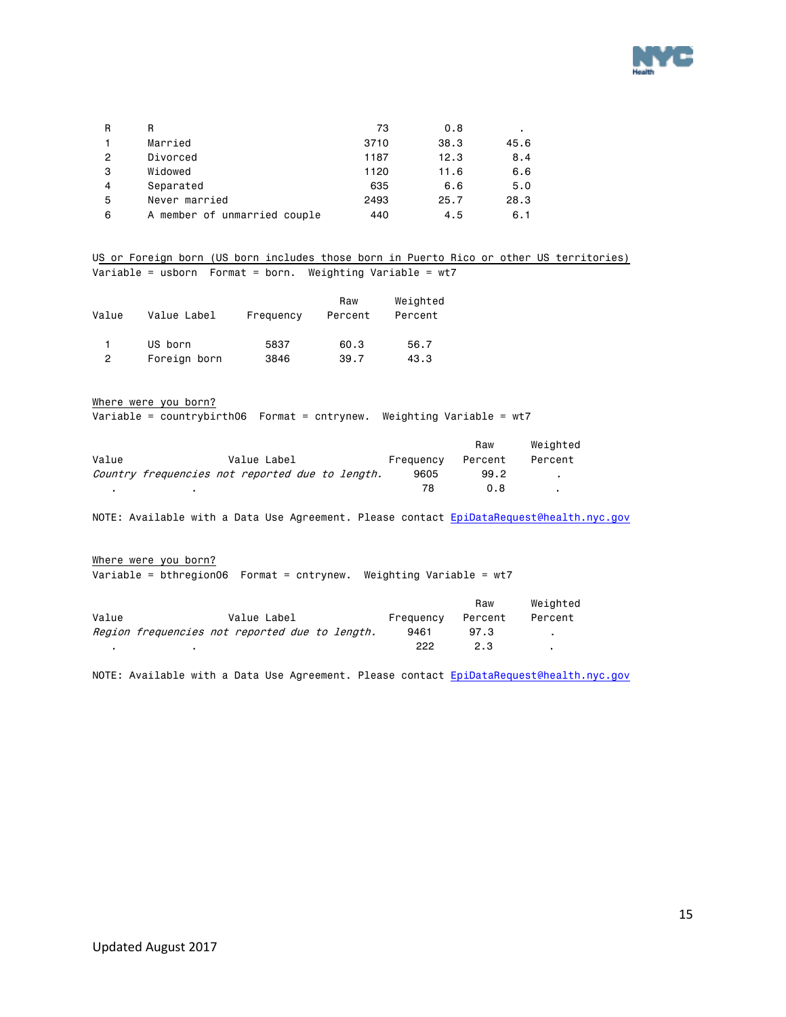

| R | R                            | 73   | 0.8  |      |
|---|------------------------------|------|------|------|
|   | Married                      | 3710 | 38.3 | 45.6 |
| 2 | Divorced                     | 1187 | 12.3 | 8.4  |
| 3 | Widowed                      | 1120 | 11.6 | 6.6  |
| 4 | Separated                    | 635  | 6.6  | 5.0  |
| 5 | Never married                | 2493 | 25.7 | 28.3 |
| 6 | A member of unmarried couple | 440  | 4.5  | 6.1  |

US or Foreign born (US born includes those born in Puerto Rico or other US territories) Variable = usborn Format = born. Weighting Variable = wt7

|       |              |           | Raw     | Weighted |
|-------|--------------|-----------|---------|----------|
| Value | Value Label  | Frequency | Percent | Percent  |
|       |              |           |         |          |
|       | US born      | 5837      | 60.3    | 56.7     |
| 2     | Foreign born | 3846      | 39.7    | 43.3     |

Where were you born?

Variable = countrybirth06 Format = cntrynew. Weighting Variable = wt7

|       |                                                 |             |  |           | Raw     | Weiahted |
|-------|-------------------------------------------------|-------------|--|-----------|---------|----------|
| Value |                                                 | Value Label |  | Frequency | Percent | Percent  |
|       | Country frequencies not reported due to length. |             |  | 9605      | 99.2    |          |
|       |                                                 |             |  | 78        | 0.8     |          |

NOTE: Available with a Data Use Agreement. Please contact EpiDataRequest@health.nyc.gov

Where were you born? Variable = bthregion06 Format = cntrynew. Weighting Variable = wt7

|       |                                                |           | Raw     | Weiahted |
|-------|------------------------------------------------|-----------|---------|----------|
| Value | Value Label                                    | Frequency | Percent | Percent  |
|       | Region frequencies not reported due to length. | 9461      | 97.3    |          |
|       |                                                | 222       | 2.3     |          |

NOTE: Available with a Data Use Agreement. Please contact EpiDataRequest@health.nyc.gov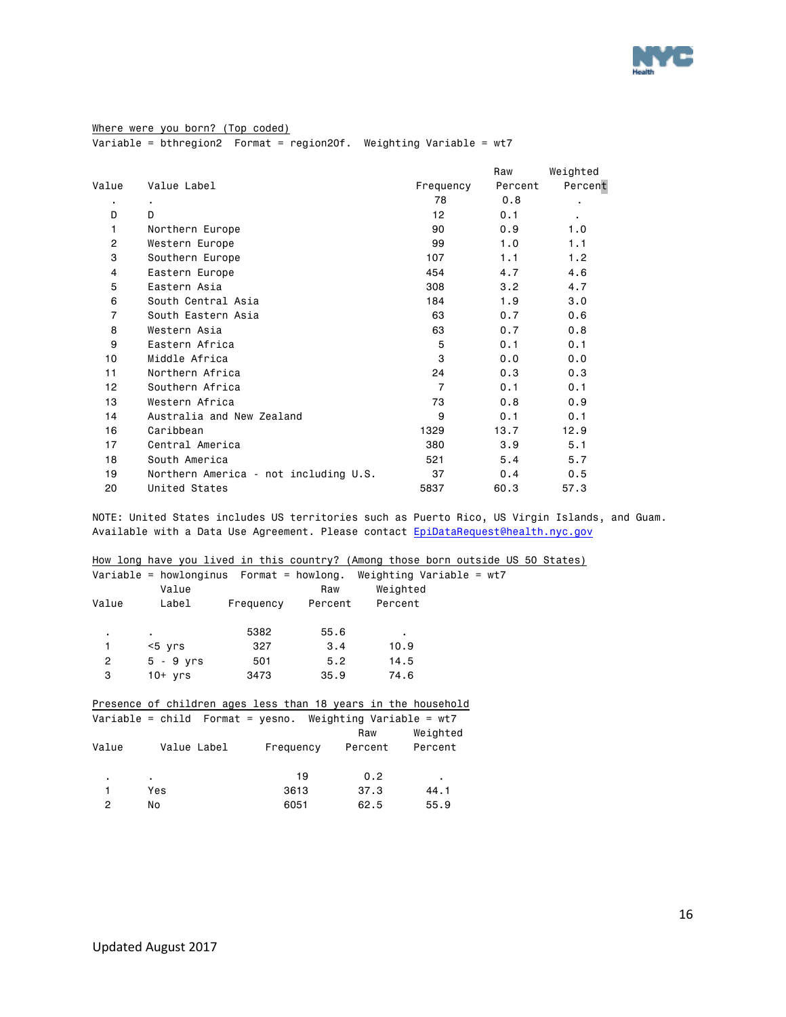

Where were you born? (Top coded) Variable = bthregion2 Format = region20f. Weighting Variable = wt7

|                |                                       |                 | Raw     | Weighted |
|----------------|---------------------------------------|-----------------|---------|----------|
| Value          | Value Label                           | Frequency       | Percent | Percent  |
| ٠              |                                       | 78              | 0.8     |          |
| D              | D                                     | 12 <sup>2</sup> | 0.1     | ۰.       |
| 1              | Northern Europe                       | 90              | 0.9     | 1.0      |
| 2              | Western Europe                        | 99              | 1.0     | 1.1      |
| 3              | Southern Europe                       | 107             | 1.1     | 1.2      |
| 4              | Eastern Europe                        | 454             | 4.7     | 4.6      |
| 5              | Eastern Asia                          | 308             | 3.2     | 4.7      |
| 6              | South Central Asia                    | 184             | 1.9     | 3.0      |
| $\overline{7}$ | South Eastern Asia                    | 63              | 0.7     | 0.6      |
| 8              | Western Asia                          | 63              | 0.7     | 0.8      |
| 9              | Eastern Africa                        | 5               | 0.1     | 0.1      |
| 10             | Middle Africa                         | 3               | 0.0     | 0.0      |
| 11             | Northern Africa                       | 24              | 0.3     | 0.3      |
| 12             | Southern Africa                       | $\overline{7}$  | 0.1     | 0.1      |
| 13             | Western Africa                        | 73              | 0.8     | 0.9      |
| 14             | Australia and New Zealand             | 9               | 0.1     | 0.1      |
| 16             | Caribbean                             | 1329            | 13.7    | 12.9     |
| 17             | Central America                       | 380             | 3.9     | 5.1      |
| 18             | South America                         | 521             | 5.4     | 5.7      |
| 19             | Northern America - not including U.S. | 37              | 0.4     | 0.5      |
| 20             | United States                         | 5837            | 60.3    | 57.3     |

NOTE: United States includes US territories such as Puerto Rico, US Virgin Islands, and Guam. Available with a Data Use Agreement. Please contact EpiDataRequest@health.nyc.gov

|                | How long have you lived in this country? (Among those born outside US 50 States) |                   |      |                |          |  |  |
|----------------|----------------------------------------------------------------------------------|-------------------|------|----------------|----------|--|--|
|                |                                                                                  |                   |      |                |          |  |  |
|                | Variable = howlonginus    Format = howlong. Weighting Variable = $wt7$           |                   |      |                |          |  |  |
|                | Value                                                                            |                   | Raw  | Weighted       |          |  |  |
| Value          | Label                                                                            | Frequency Percent |      | Percent        |          |  |  |
|                |                                                                                  |                   |      |                |          |  |  |
| $\blacksquare$ | $\mathbf{r}$                                                                     | 5382              | 55.6 | $\blacksquare$ |          |  |  |
| 1              | <5 yrs                                                                           | 327               | 3.4  | 10.9           |          |  |  |
| $\overline{2}$ | $5 - 9$ yrs                                                                      | 501               | 5.2  | 14.5           |          |  |  |
| 3              | 10+ yrs                                                                          | 3473              | 35.9 | 74.6           |          |  |  |
|                |                                                                                  |                   |      |                |          |  |  |
|                | Presence of children ages less than 18 years in the household                    |                   |      |                |          |  |  |
|                | Variable = child Format = yesno. Weighting Variable = wt7                        |                   |      |                |          |  |  |
|                |                                                                                  |                   |      | Raw            | Weighted |  |  |
| Value          | Value Label                                                                      | Frequency         |      | Percent        | Percent  |  |  |
|                |                                                                                  |                   |      |                |          |  |  |
| $\blacksquare$ | $\blacksquare$                                                                   |                   | 19   | 0.2            | ٠        |  |  |
| 1              | Yes                                                                              | 3613              |      | 37.3           | 44.1     |  |  |
| 2              | No                                                                               | 6051              |      | 62.5           | 55.9     |  |  |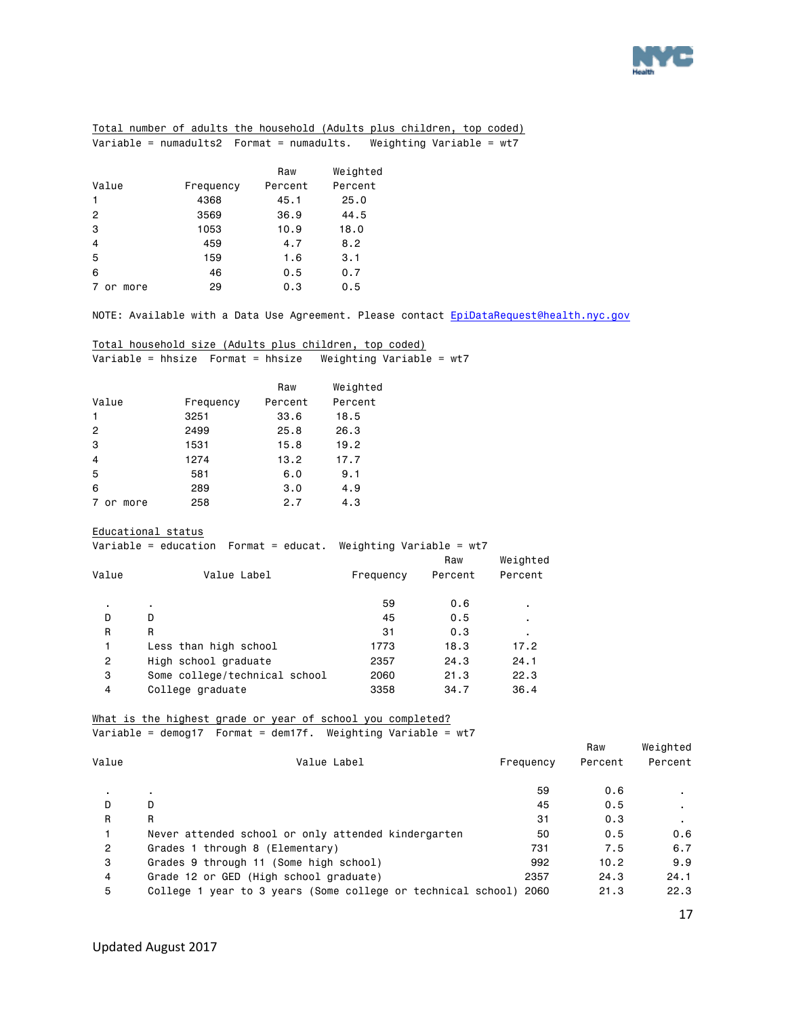

|  |                                               |  | Total number of adults the household (Adults_plus children, top coded) |                          |  |  |  |
|--|-----------------------------------------------|--|------------------------------------------------------------------------|--------------------------|--|--|--|
|  | Variable = $numadults2$ Format = $numadults.$ |  |                                                                        | Weighting Variable = wt7 |  |  |  |

|                 |           | Raw     | Weighted |
|-----------------|-----------|---------|----------|
| Value           | Frequency | Percent | Percent  |
| $\mathbf{1}$    | 4368      | 45.1    | 25.0     |
| $\overline{2}$  | 3569      | 36.9    | 44.5     |
| 3               | 1053      | 10.9    | 18.0     |
| $\overline{4}$  | 459       | 4.7     | 8.2      |
| 5               | 159       | 1.6     | 3.1      |
| 6               | 46        | 0.5     | 0.7      |
| more<br>7<br>or | 29        | 0.3     | 0.5      |

NOTE: Available with a Data Use Agreement. Please contact [EpiDataRequest@health.nyc.gov](mailto:EpiDataRequest@health.nyc.gov)

|  |  |  | Total household size (Adults plus children, top coded) |  |                                                              |  |
|--|--|--|--------------------------------------------------------|--|--------------------------------------------------------------|--|
|  |  |  |                                                        |  | Vanishle — bheime - Fennat — bheime - Weinbting Venishle — v |  |

|  | Weighting Variable = wt7 |
|--|--------------------------|
|--|--------------------------|

|                |           | Raw     | Weighted |
|----------------|-----------|---------|----------|
| Value          | Frequency | Percent | Percent  |
| 1              | 3251      | 33.6    | 18.5     |
| $\overline{2}$ | 2499      | 25.8    | 26.3     |
| 3              | 1531      | 15.8    | 19.2     |
| $\overline{4}$ | 1274      | 13.2    | 17.7     |
| 5              | 581       | 6.0     | 9.1      |
| 6              | 289       | 3.0     | 4.9      |
| more<br>or     | 258       | 2.7     | 4.3      |

Educational status

Variable = education Format = educat. Weighting Variable = wt7

| Value          | Value Label                   | Frequency | Raw<br>Percent | Weighted<br>Percent |
|----------------|-------------------------------|-----------|----------------|---------------------|
| ٠              | $\blacksquare$                | 59        | 0.6            | ٠                   |
| D              | D                             | 45        | 0.5            | ٠                   |
| R              | R                             | 31        | 0.3            | ٠                   |
|                | Less than high school         | 1773      | 18.3           | 17.2                |
| $\overline{2}$ | High school graduate          | 2357      | 24.3           | 24.1                |
| 3              | Some college/technical school | 2060      | 21.3           | 22.3                |
| 4              | College graduate              | 3358      | 34.7           | 36.4                |

#### What is the highest grade or year of school you completed? Variable = demog17 Format = dem17f. Weighting Variable = wt7

|                |                                                              |           | Raw     | Weighted     |
|----------------|--------------------------------------------------------------|-----------|---------|--------------|
| Value          | Value Label                                                  | Frequency | Percent | Percent      |
|                | $\blacksquare$                                               | 59        | 0.6     |              |
| D              | D                                                            | 45        | 0.5     | $\mathbf{r}$ |
| R              | R                                                            | 31        | 0.3     |              |
|                | Never attended school or only attended kindergarten          | 50        | 0.5     | 0.6          |
| $\overline{2}$ | Grades 1 through 8 (Elementary)                              | 731       | 7.5     | 6.7          |
| 3              | Grades 9 through 11 (Some high school)                       | 992       | 10.2    | 9.9          |
| 4              | Grade 12 or GED (High school graduate)                       | 2357      | 24.3    | 24.1         |
| 5              | College 1 year to 3 years (Some college or technical school) | 2060      | 21.3    | 22.3         |

17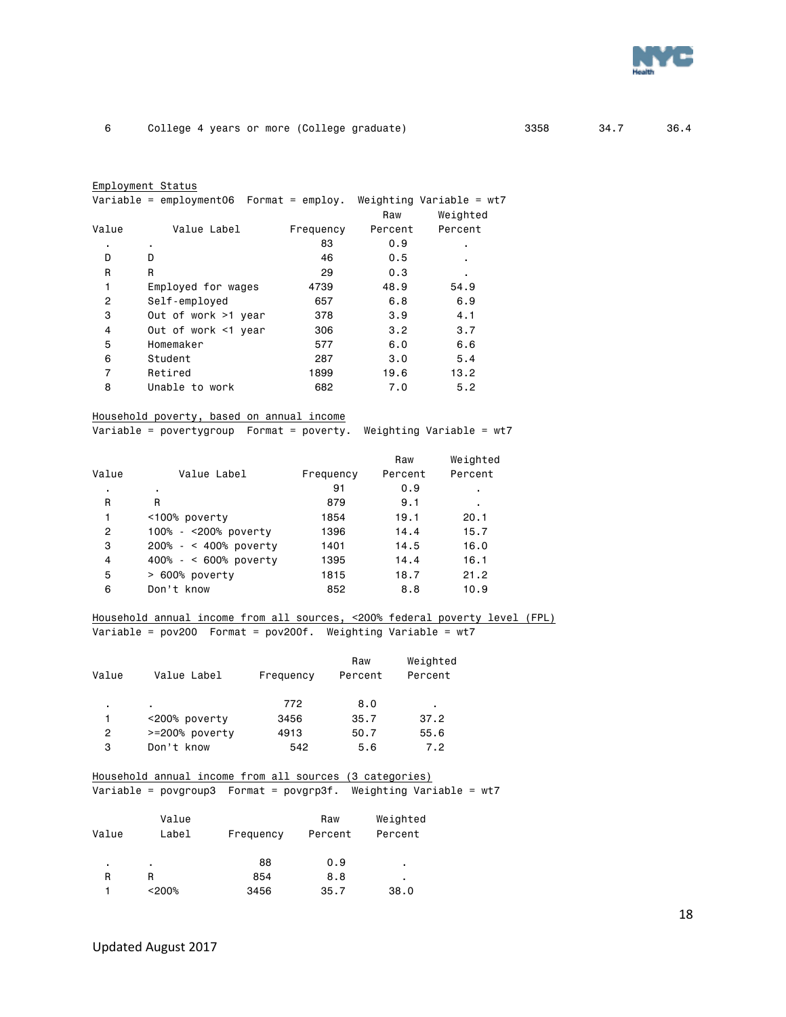

| Employment Status |
|-------------------|
|-------------------|

| Variable = employment06  Format = employ.  Weighting Variable = wt7 |  |  |  |
|---------------------------------------------------------------------|--|--|--|
|                                                                     |  |  |  |

|                |                     |           | Raw     | Weighted |  |
|----------------|---------------------|-----------|---------|----------|--|
| Value          | Value Label         | Frequency | Percent | Percent  |  |
| ٠              | ٠                   | 83        | 0.9     | ٠        |  |
| D              | D                   | 46        | 0.5     |          |  |
| R              | R                   | 29        | 0.3     | ٠        |  |
| 1              | Employed for wages  | 4739      | 48.9    | 54.9     |  |
| $\overline{2}$ | Self-employed       | 657       | 6.8     | 6.9      |  |
| 3              | Out of work >1 year | 378       | 3.9     | 4.1      |  |
| 4              | Out of work <1 year | 306       | 3.2     | 3.7      |  |
| 5              | Homemaker           | 577       | 6.0     | 6.6      |  |
| 6              | Student             | 287       | 3.0     | 5.4      |  |
| 7              | Retired             | 1899      | 19.6    | 13.2     |  |
| 8              | Unable to work      | 682       | 7.0     | 5.2      |  |

#### Household poverty, based on annual income

Variable = povertygroup Format = poverty. Weighting Variable = wt7

|       |                         |           | Raw     | Weighted |
|-------|-------------------------|-----------|---------|----------|
| Value | Value Label             | Frequency | Percent | Percent  |
| ٠     | ٠                       | 91        | 0.9     | ٠        |
| R     | R                       | 879       | 9.1     | ٠        |
| 1     | <100% poverty           | 1854      | 19.1    | 20.1     |
| 2     | 100% - <200% poverty    | 1396      | 14.4    | 15.7     |
| 3     | $200\% - 400\%$ poverty | 1401      | 14.5    | 16.0     |
| 4     | 400% - < 600% poverty   | 1395      | 14.4    | 16.1     |
| 5     | > 600% poverty          | 1815      | 18.7    | 21.2     |
| 6     | Don't know              | 852       | 8.8     | 10.9     |
|       |                         |           |         |          |

#### Household annual income from all sources, <200% federal poverty level (FPL) Variable = pov200 Format = pov200f. Weighting Variable = wt7

| Value | Value Label    | Frequency | Raw<br>Percent | Weighted<br>Percent |
|-------|----------------|-----------|----------------|---------------------|
| ٠     |                | 772       | 8.0            | ٠                   |
|       | <200% poverty  | 3456      | 35.7           | 37.2                |
| 2     | >=200% poverty | 4913      | 50.7           | 55.6                |
| 3     | Don't know     | 542       | 5.6            | 7.2                 |

### Household annual income from all sources (3 categories)

Variable = povgroup3 Format = povgrp3f. Weighting Variable = wt7

| Value | Value<br>Label | Frequency | Raw<br>Percent | Weighted<br>Percent |
|-------|----------------|-----------|----------------|---------------------|
| ٠     | ٠              | 88        | 0.9            | ٠                   |
| R     | R              | 854       | 8.8            | ٠                   |
|       | < 200%         | 3456      | 35.7           | 38.0                |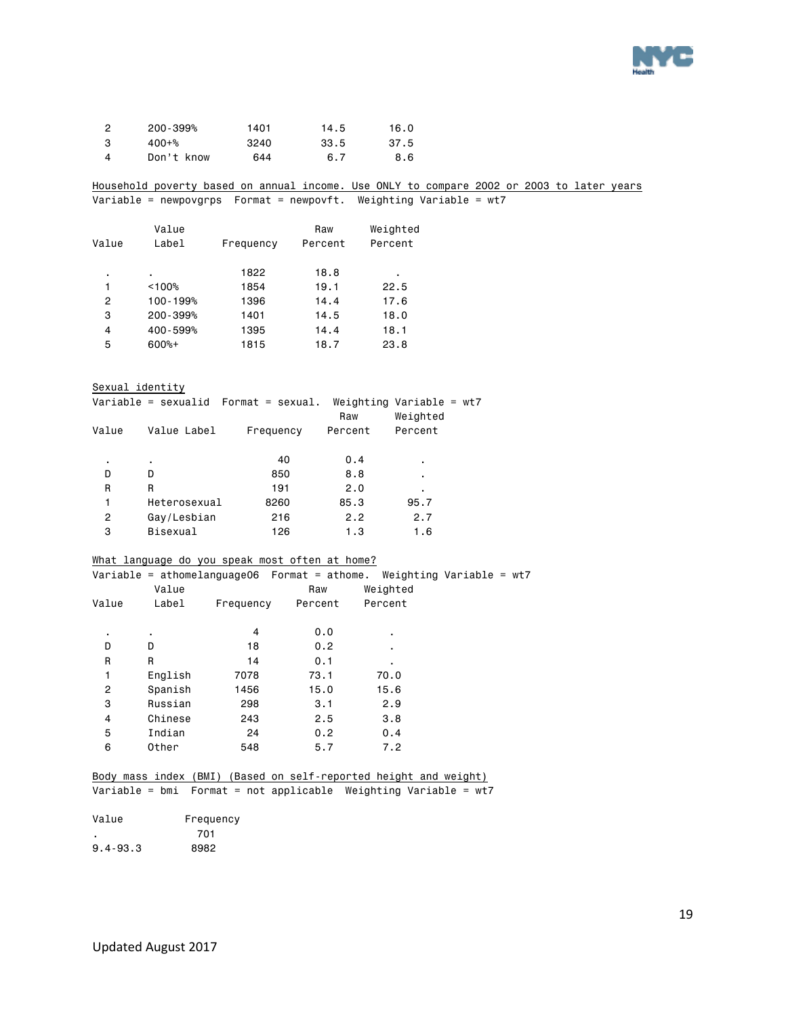

| ິ | $200 - 399%$ | 1401 | 14.5 | 16.0 |
|---|--------------|------|------|------|
| 3 | $400 + \%$   | 3240 | 33.5 | 37.5 |
| Δ | Don't know   | 644  | 6.7  | 8.6  |

Household poverty based on annual income. Use ONLY to compare 2002 or 2003 to later years Variable = newpovgrps Format = newpovft. Weighting Variable = wt7

|       | Value    |           | Raw     | Weighted |
|-------|----------|-----------|---------|----------|
| Value | Label    | Frequency | Percent | Percent  |
| ٠     | ٠        | 1822      | 18.8    | ٠        |
| 1     | < 100%   | 1854      | 19.1    | 22.5     |
| 2     | 100-199% | 1396      | 14.4    | 17.6     |
| 3     | 200-399% | 1401      | 14.5    | 18.0     |
| 4     | 400-599% | 1395      | 14.4    | 18.1     |
| 5     | $600%+$  | 1815      | 18.7    | 23.8     |

Sexual identity

|       |              | Variable = sexualid  Format = sexual. | Raw     | Weighting Variable = $wt7$<br>Weighted |  |
|-------|--------------|---------------------------------------|---------|----------------------------------------|--|
| Value | Value Label  | Frequency                             | Percent | Percent                                |  |
| ٠     | ٠            | 40                                    | 0.4     | ٠                                      |  |
| D     | D            | 850                                   | 8.8     | ٠                                      |  |
| R     | R            | 191                                   | 2.0     | ٠                                      |  |
| 1     | Heterosexual | 8260                                  | 85.3    | 95.7                                   |  |
| 2     | Gay/Lesbian  | 216                                   | 2.2     | 2.7                                    |  |
| 3     | Bisexual     | 126                                   | 1.3     | 1.6                                    |  |
|       |              |                                       |         |                                        |  |

#### What language do you speak most often at home?

|       |         |           | Variable = athomelanguage06 $Format = athome.$ | Weighting Variable = wt7 |  |
|-------|---------|-----------|------------------------------------------------|--------------------------|--|
|       | Value   |           | Raw                                            | Weighted                 |  |
| Value | Label   | Frequency | Percent                                        | Percent                  |  |
|       |         |           |                                                |                          |  |
| ٠     | ٠       | 4         | 0.0                                            | ٠                        |  |
| D     | D       | 18        | 0.2                                            | ٠                        |  |
| R     | R       | 14        | 0.1                                            | ٠                        |  |
| 1     | English | 7078      | 73.1                                           | 70.0                     |  |
| 2     | Spanish | 1456      | 15.0                                           | 15.6                     |  |
| 3     | Russian | 298       | 3.1                                            | 2.9                      |  |
| 4     | Chinese | 243       | 2.5                                            | 3.8                      |  |
| 5     | Indian  | 24        | 0.2                                            | 0.4                      |  |
| 6     | Other   | 548       | 5.7                                            | 7.2                      |  |
|       |         |           |                                                |                          |  |

## Body mass index (BMI) (Based on self-reported height and weight)

Variable = bmi Format = not applicable Weighting Variable = wt7

| Value        | Frequency |
|--------------|-----------|
|              | 701       |
| $9.4 - 93.3$ | 8982      |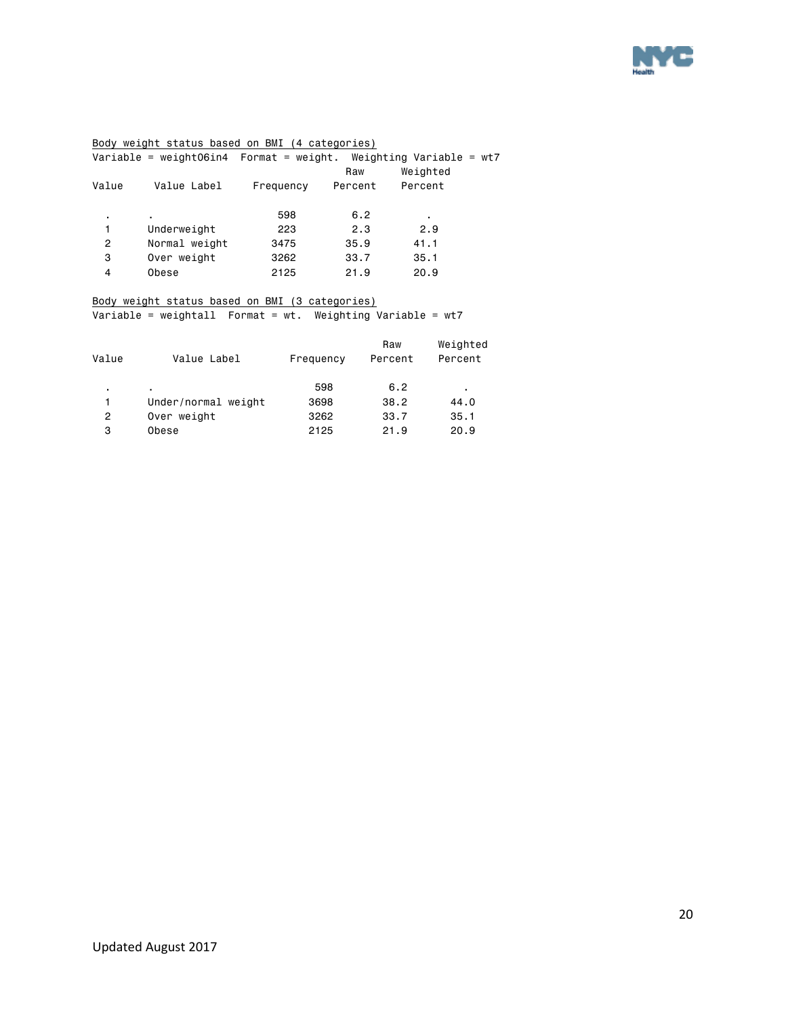

#### Body weight status based on BMI (4 categories)

|       |               |           | Raw     | Weighted |  |
|-------|---------------|-----------|---------|----------|--|
| Value | Value Label   | Frequency | Percent | Percent  |  |
| ٠.    | ٠.            | 598       | 6.2     |          |  |
| 1     | Underweight   | 223       | 2.3     | 2.9      |  |
| 2     | Normal weight | 3475      | 35.9    | 41.1     |  |
| 3     | Over weight   | 3262      | 33.7    | 35.1     |  |
| 4     | Obese         | 2125      | 21.9    | 20.9     |  |
|       |               |           |         |          |  |

#### Body weight status based on BMI (3 categories)

Variable = weightall Format = wt. Weighting Variable = wt7

| Value | Value Label         | Frequency | Raw<br>Percent | Weighted<br>Percent |
|-------|---------------------|-----------|----------------|---------------------|
| ٠     | ٠                   | 598       | 6.2            | ٠                   |
| 1     | Under/normal weight | 3698      | 38.2           | 44.0                |
| 2     | Over weight         | 3262      | 33.7           | 35.1                |
| 3     | Obese               | 2125      | 21.9           | 20.9                |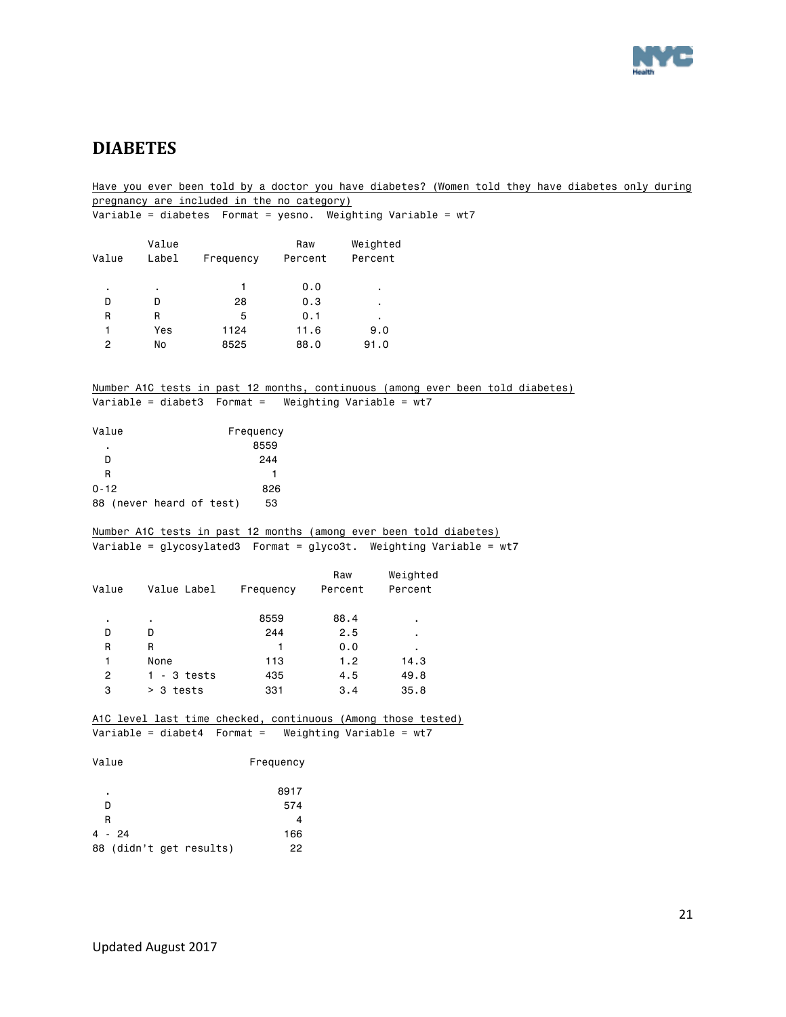

### <span id="page-20-0"></span>**DIABETES**

Have you ever been told by a doctor you have diabetes? (Women told they have diabetes only during pregnancy are included in the no category) Variable = diabetes Format = yesno. Weighting Variable = wt7 Value Raw Weighted Value Label Frequency Percent Percent . . 1 0.0 . D D 28 0.3 . R R 5 0.1 . 1 Yes 1124 11.6 9.0 2 No 8525 88.0 91.0 Number A1C tests in past 12 months, continuous (among ever been told diabetes) Variable = diabet3 Format = Weighting Variable = wt7 Value **Frequency**  . 8559 D 244 R 1 0-12 826 88 (never heard of test) 53 Number A1C tests in past 12 months (among ever been told diabetes) Variable =  $glycosy$ lated3 Format =  $glyco3t$ . Weighting Variable = wt7 Raw Weighted Value Value Label Frequency Percent Percent . . 8559 88.4 . D D 244 2.5 . R R 1 0.0 . 1 None 113 1.2 14.3 2 1 - 3 tests 435 4.5 49.8 3 > 3 tests 331 3.4 35.8 A1C level last time checked, continuous (Among those tested) Variable = diabet4 Format = Weighting Variable = wt7 Value Frequency . 8917 D 574 R  $\overline{4}$ 4 - 24 166 88 (didn't get results) 22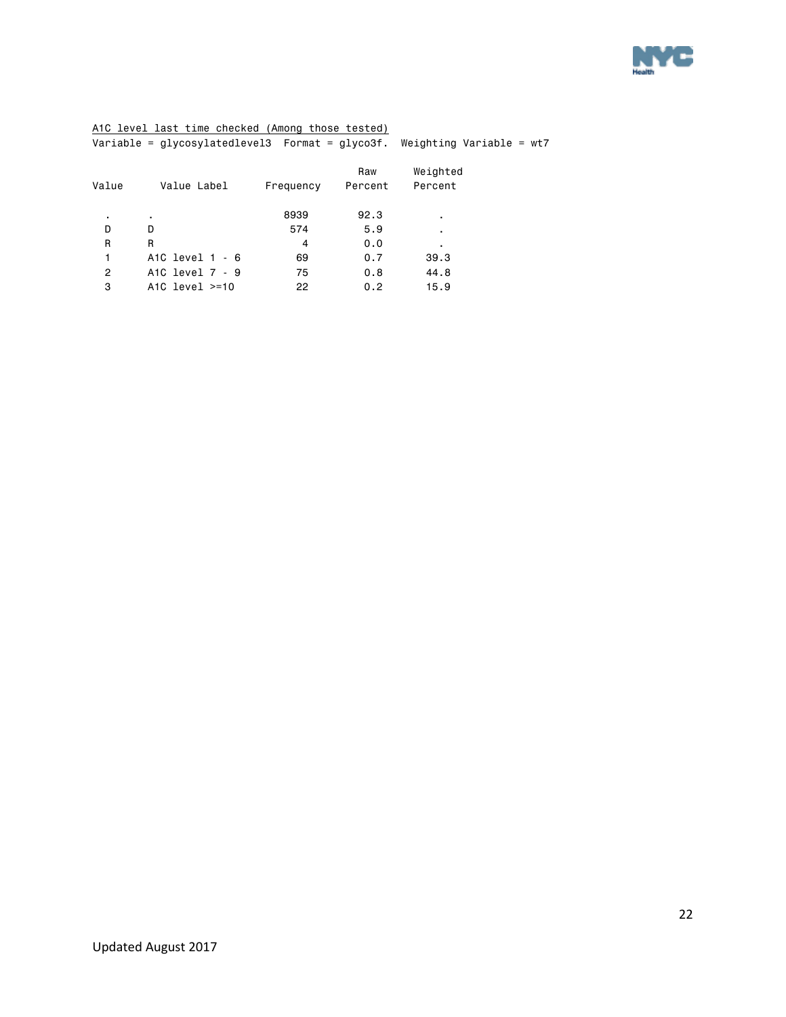

#### A1C level last time checked (Among those tested)

|  | Variable = glycosylatedlevel3  Format = glyco3f. Weighting Variable = wt7 |  |  |  |  |
|--|---------------------------------------------------------------------------|--|--|--|--|
|  |                                                                           |  |  |  |  |

|       |                     |           | Raw     | Weighted |  |
|-------|---------------------|-----------|---------|----------|--|
| Value | Value Label         | Frequency | Percent | Percent  |  |
|       |                     |           |         |          |  |
| ٠     | ٠                   | 8939      | 92.3    | ٠        |  |
| D     | D                   | 574       | 5.9     | ٠        |  |
| R     | R                   | 4         | 0.0     |          |  |
| 1     | A1C level $1 - 6$   | 69        | 0.7     | 39.3     |  |
| 2     | A1C level 7 - 9     | 75        | 0.8     | 44.8     |  |
| 3     | A1C level $\ge$ =10 | 22        | 0.2     | 15.9     |  |
|       |                     |           |         |          |  |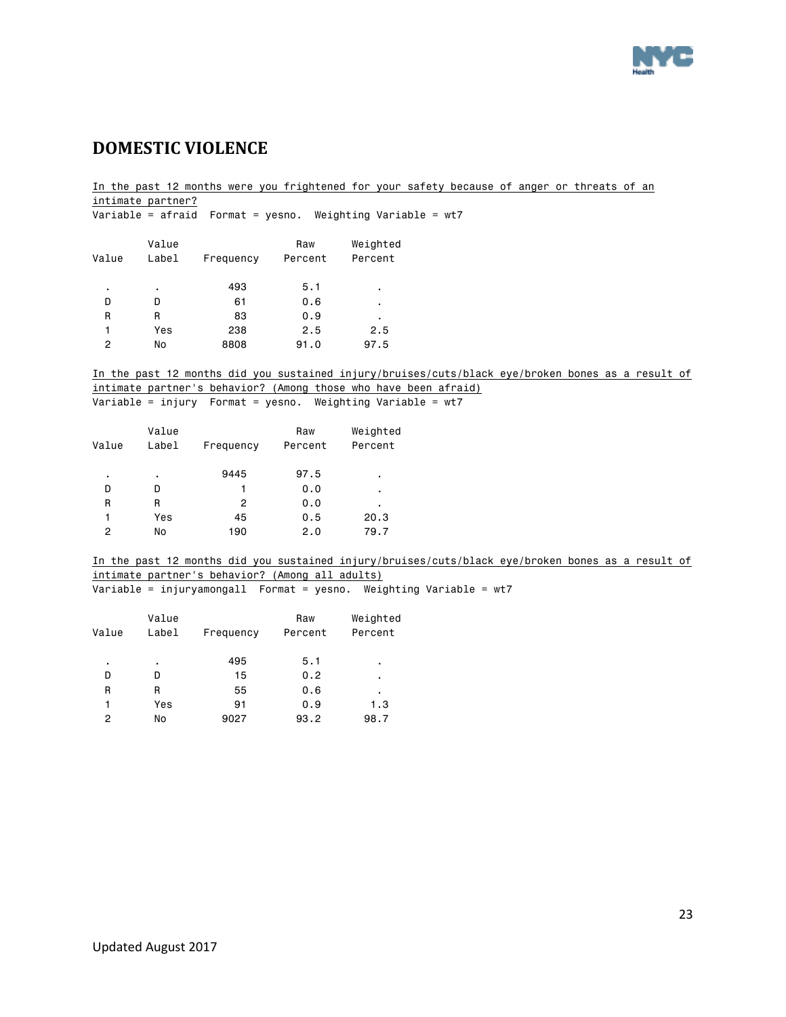

# <span id="page-22-0"></span>**DOMESTIC VIOLENCE**

In the past 12 months were you frightened for your safety because of anger or threats of an intimate partner?

|       |                | Variable = afraid $\sqrt{2}$ Format = yesno. |                | Weighting Variable = $wt7$ |  |
|-------|----------------|----------------------------------------------|----------------|----------------------------|--|
| Value | Value<br>Label | Frequency                                    | Raw<br>Percent | Weighted<br>Percent        |  |
| ٠     | ٠              | 493                                          | 5.1            | ٠                          |  |
| D     | D              | 61                                           | 0.6            | ٠                          |  |
| R     | R              | 83                                           | 0.9            | ٠                          |  |
| 1     | Yes            | 238                                          | 2.5            | 2.5                        |  |
| 2     | No             | 8808                                         | 91.0           | 97.5                       |  |

In the past 12 months did you sustained injury/bruises/cuts/black eye/broken bones as a result of intimate partner's behavior? (Among those who have been afraid)

Variable = injury Format = yesno. Weighting Variable = wt7

| Value | Value<br>Label | Frequency | Raw<br>Percent | Weighted<br>Percent |
|-------|----------------|-----------|----------------|---------------------|
| ٠     | ٠              | 9445      | 97.5           | ٠                   |
| D     | D              | 1         | 0.0            | ٠                   |
| R     | R              | 2         | 0.0            | ٠                   |
| 1     | Yes            | 45        | 0.5            | 20.3                |
| 2     | No             | 190       | 2.0            | 79.7                |

In the past 12 months did you sustained injury/bruises/cuts/black eye/broken bones as a result of intimate partner's behavior? (Among all adults)

| Variable = injuryamongall  Format = yesno.  Weighting Variable = wt7 |  |  |
|----------------------------------------------------------------------|--|--|
|----------------------------------------------------------------------|--|--|

|       | Value |           | Raw  | Weighted |  |
|-------|-------|-----------|------|----------|--|
| Value | Label | Frequency |      | Percent  |  |
| ٠     | ٠     | 495       | 5.1  | ٠        |  |
| D     | n     | 15        | 0.2  | ٠        |  |
| R     | R     | 55        | 0.6  | ٠        |  |
| 1     | Yes   | 91        | 0.9  | 1.3      |  |
| 2     | No    | 9027      | 93.2 | 98.7     |  |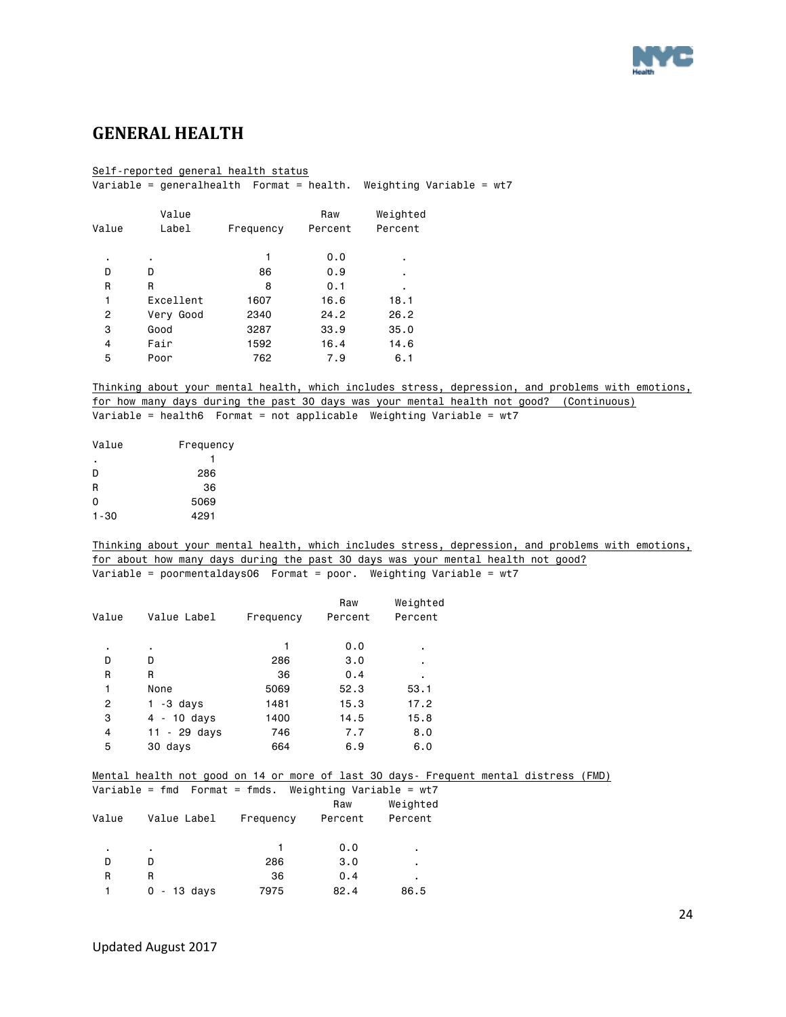

### <span id="page-23-0"></span>**GENERAL HEALTH**

#### Self-reported general health status

Variable = generalhealth Format = health. Weighting Variable = wt7

|       | Value     |           | Raw     | Weighted       |
|-------|-----------|-----------|---------|----------------|
| Value | Label     | Frequency | Percent | Percent        |
|       |           |           |         |                |
| ٠     | ٠         | 1         | 0.0     | ٠              |
| D     | D         | 86        | 0.9     | $\blacksquare$ |
| R     | R         | 8         | 0.1     | ٠              |
| 1     | Excellent | 1607      | 16.6    | 18.1           |
| 2     | Very Good | 2340      | 24.2    | 26.2           |
| 3     | Good      | 3287      | 33.9    | 35.0           |
| 4     | Fair      | 1592      | 16.4    | 14.6           |
| 5     | Poor      | 762       | 7.9     | 6.1            |

#### Thinking about your mental health, which includes stress, depression, and problems with emotions, for how many days during the past 30 days was your mental health not good? (Continuous)

Variable = health6 Format = not applicable Weighting Variable = wt7

| Value    | Frequency |
|----------|-----------|
| ٠        |           |
| D        | 286       |
| R        | 36        |
| 0        | 5069      |
| $1 - 30$ | 4291      |

Thinking about your mental health, which includes stress, depression, and problems with emotions, for about how many days during the past 30 days was your mental health not good? Variable = poormentaldays06 Format = poor. Weighting Variable = wt7

|       |                |           | Raw     | Weighted |
|-------|----------------|-----------|---------|----------|
| Value | Value Label    | Frequency | Percent | Percent  |
|       |                |           |         |          |
| ٠     | ٠              |           | 0.0     | ٠        |
| D     | D              | 286       | 3.0     | ٠        |
| R     | R              | 36        | 0.4     | ٠        |
| 1     | None           | 5069      | 52.3    | 53.1     |
| 2     | $1 - 3$ days   | 1481      | 15.3    | 17.2     |
| 3     | $4 - 10$ days  | 1400      | 14.5    | 15.8     |
| 4     | $11 - 29$ days | 746       | 7.7     | 8.0      |
| 5     | 30 days        | 664       | 6.9     | 6.0      |

#### Mental health not good on 14 or more of last 30 days- Frequent mental distress (FMD)

|       | Variable = fmd  Format = fmds.  Weighting Variable = wt7 |           |         |          |
|-------|----------------------------------------------------------|-----------|---------|----------|
|       |                                                          |           | Raw     | Weighted |
| Value | Value Label                                              | Frequency | Percent | Percent  |
|       |                                                          |           |         |          |
| ٠     | ٠                                                        |           | 0.0     | ٠        |
| D     | D                                                        | 286       | 3.0     | ٠        |
| R     | R                                                        | 36        | 0.4     | ٠        |
|       | - 13 davs<br>0                                           | 7975      | 82.4    | 86.5     |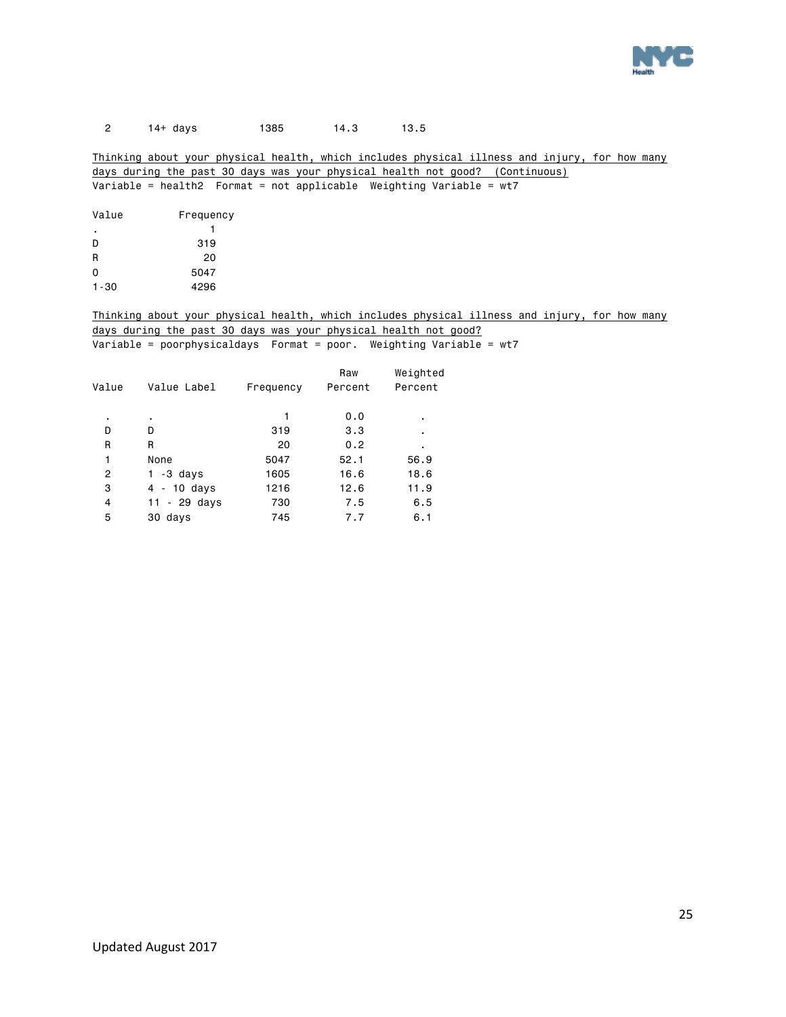

#### 2 14+ days 1385 14.3 13.5

#### Thinking about your physical health, which includes physical illness and injury, for how many days during the past 30 days was your physical health not good? (Continuous) Variable = health2 Format = not applicable Weighting Variable = wt7

| Frequency |
|-----------|
| 1         |
| 319       |
| 20        |
| 5047      |
| 4296      |
|           |

#### Thinking about your physical health, which includes physical illness and injury, for how many days during the past 30 days was your physical health not good? Variable = poorphysicaldays Format = poor. Weighting Variable = wt7

| Value | Value Label    | Frequency | Raw<br>Percent | Weighted<br>Percent |
|-------|----------------|-----------|----------------|---------------------|
| ٠     | ٠              |           | 0.0            |                     |
| D     | D              | 319       | 3.3            | ٠                   |
| R     | R              | 20        | 0.2            | ٠                   |
| 1     | None           | 5047      | 52.1           | 56.9                |
| 2     | -3 days<br>1.  | 1605      | 16.6           | 18.6                |
| з     | $4 - 10$ days  | 1216      | 12.6           | 11.9                |
| 4     | $11 - 29$ days | 730       | 7.5            | 6.5                 |
| 5     | 30 days        | 745       | 7.7            | 6.1                 |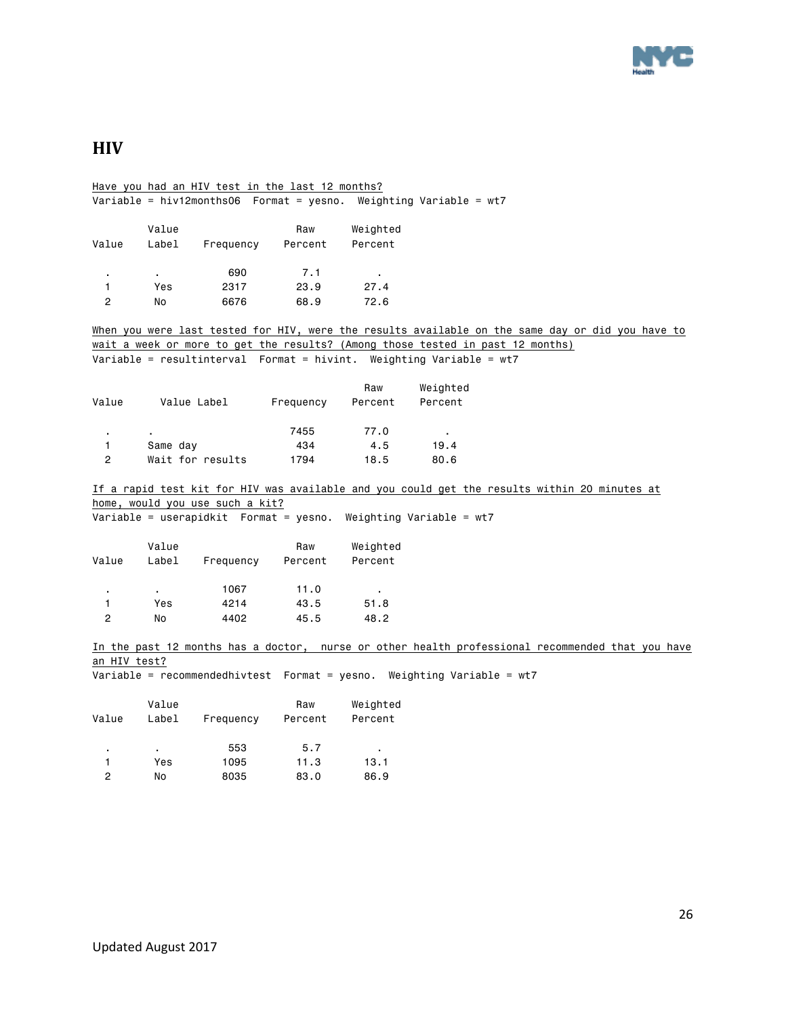

# <span id="page-25-0"></span>**HIV**

Have you had an HIV test in the last 12 months? Variable = hiv12months06 Format = yesno. Weighting Variable = wt7 Value Raw Weighted Value Label Frequency Percent Percent . . 690 7.1 . 1 Yes 2317 23.9 27.4 2 No 6676 68.9 72.6 When you were last tested for HIV, were the results available on the same day or did you have to wait a week or more to get the results? (Among those tested in past 12 months) Variable = resultinterval Format = hivint. Weighting Variable = wt7 Raw Weighted Value Value Label Frequency Percent Percent . . 7455 77.0 . 1 Same day 6 434 4.5 19.4 2 Wait for results 1794 18.5 80.6 If a rapid test kit for HIV was available and you could get the results within 20 minutes at home, would you use such a kit? Variable = userapidkit Format = yesno. Weighting Variable = wt7 Value Raw Weighted Value Label Frequency Percent Percent . . 1067 11.0 . 1 Yes 4214 43.5 51.8 2 No 4402 45.5 48.2 In the past 12 months has a doctor, nurse or other health professional recommended that you have an HIV test? Variable = recommendedhivtest Format = yesno. Weighting Variable = wt7 Value Raw Weighted Value Label Frequency Percent Percent . . 553 5.7 . 1 Yes 1095 11.3 13.1

2 No 8035 83.0 86.9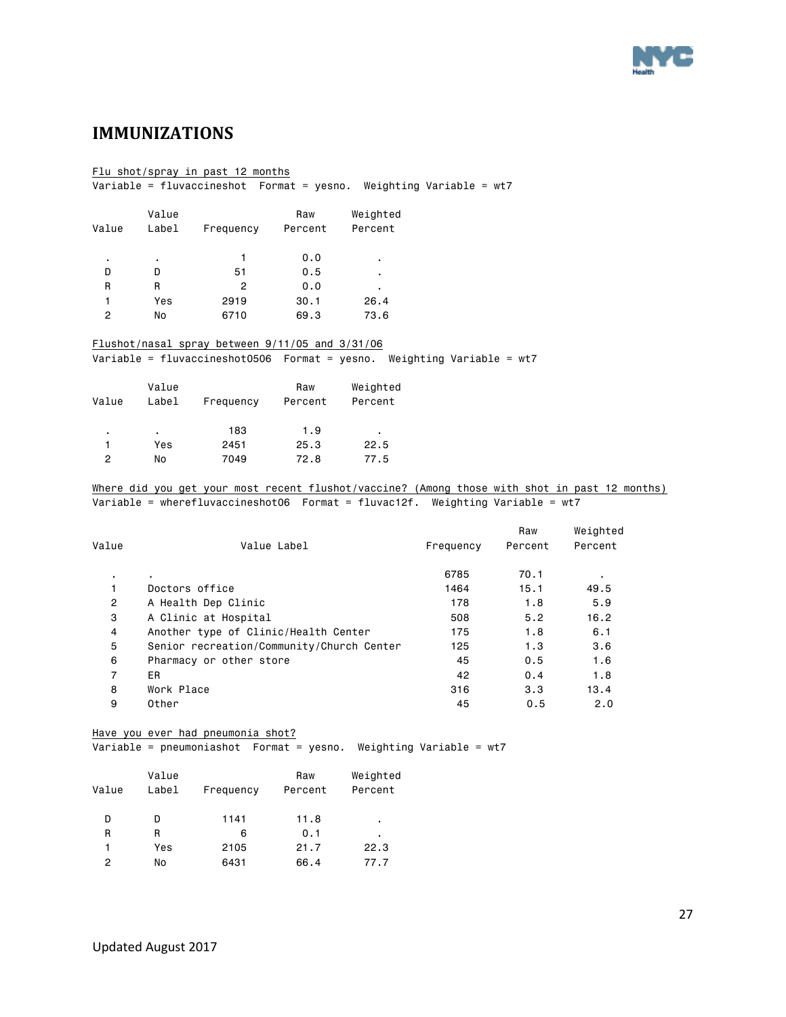

### <span id="page-26-0"></span>**IMMUNIZATIONS**

#### Flu shot/spray in past 12 months

Variable = fluvaccineshot Format = yesno. Weighting Variable = wt7

|       | Value |           | Raw     | Weighted |
|-------|-------|-----------|---------|----------|
| Value | Label | Frequency | Percent | Percent  |
| ٠     | ٠     |           | 0.0     | ٠        |
| D     |       | 51        | 0.5     | ٠        |
| R     | R     | 2         | 0.0     | ٠        |
|       | Yes   | 2919      | 30.1    | 26.4     |
| 2     | No    | 6710      | 69.3    | 73.6     |

#### Flushot/nasal spray between 9/11/05 and 3/31/06 Variable = fluvaccineshot0506 Format = yesno. Weighting Variable = wt7

| Value | Value<br>Label | Frequency | Raw<br>Percent | Weighted<br>Percent |
|-------|----------------|-----------|----------------|---------------------|
| ٠     | ٠              | 183       | 1.9            | ٠                   |
|       | Yes            | 2451      | 25.3           | 22.5                |
| 2     | No             | 7049      | 72.8           | 77.5                |

#### Where did you get your most recent flushot/vaccine? (Among those with shot in past 12 months) Variable = wherefluvaccineshot06 Format = fluvac12f. Weighting Variable = wt7

| Value          | Value Label                               | Frequency | Raw<br>Percent | Weighted<br>Percent |
|----------------|-------------------------------------------|-----------|----------------|---------------------|
|                |                                           |           |                |                     |
| ٠.             | ٠.                                        | 6785      | 70.1           | ٠                   |
|                | Doctors office                            | 1464      | 15.1           | 49.5                |
| $\overline{2}$ | A Health Dep Clinic                       | 178       | 1.8            | 5.9                 |
| 3              | A Clinic at Hospital                      | 508       | 5.2            | 16.2                |
| 4              | Another type of Clinic/Health Center      | 175       | 1.8            | 6.1                 |
| 5              | Senior recreation/Community/Church Center | 125       | 1.3            | 3.6                 |
| 6              | Pharmacy or other store                   | 45        | 0.5            | 1.6                 |
| $\overline{7}$ | ER                                        | 42        | 0.4            | 1.8                 |
| 8              | Work Place                                | 316       | 3.3            | 13.4                |
| 9              | Other                                     | 45        | 0.5            | 2.0                 |

#### Have you ever had pneumonia shot?

Variable = pneumoniashot Format = yesno. Weighting Variable = wt7

| Value<br>Label | Frequency | Raw<br>Percent | Weighted<br>Percent |
|----------------|-----------|----------------|---------------------|
|                | 1141      | 11.8           | ٠                   |
| R              | 6         | 0.1            | ٠                   |
| Yes            | 2105      | 21.7           | 22.3                |
| No             | 6431      | 66.4           | 77.7                |
|                |           |                |                     |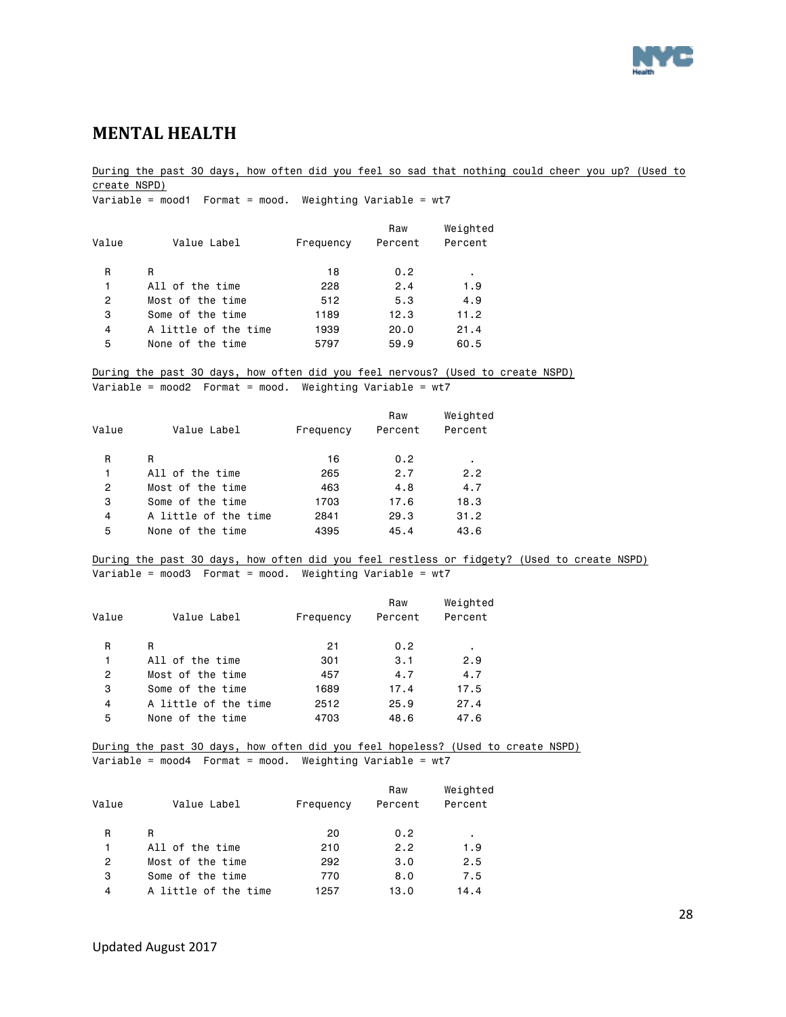

### <span id="page-27-0"></span>**MENTAL HEALTH**

During the past 30 days, how often did you feel so sad that nothing could cheer you up? (Used to create NSPD) Variable = mood1 Format = mood. Weighting Variable = wt7 Raw Weighted Value Value Label Frequency Percent Percent R R 18 0.2 . 1 All of the time 228 2.4 1.9 2 Most of the time 512 5.3 4.9 3 Some of the time 1189 12.3 11.2 4 A little of the time 1939 20.0 21.4 5 None of the time 5797 59.9 60.5 During the past 30 days, how often did you feel nervous? (Used to create NSPD) Variable = mood2 Format = mood. Weighting Variable = wt7 Raw Weighted Value Value Label Frequency Percent Percent R R 16 0.2 . 1 All of the time 265 2.7 2.2 2 Most of the time 463 4.8 4.7 3 Some of the time 1703 17.6 18.3 4 A little of the time 2841 29.3 31.2 5 None of the time 4395 45.4 43.6 During the past 30 days, how often did you feel restless or fidgety? (Used to create NSPD) Variable = mood3 Format = mood. Weighting Variable =  $wt7$  Raw Weighted Value Value Label Frequency Percent Percent R R 21 0.2 . 1 All of the time 301 3.1 2.9 2 Most of the time 457 4.7 4.7 3 Some of the time 1689 17.4 17.5 4 A little of the time 2512 25.9 27.4 5 None of the time 4703 48.6 47.6 During the past 30 days, how often did you feel hopeless? (Used to create NSPD) Variable = mood4 Format = mood. Weighting Variable = wt7 Raw Weighted Value Value Label Frequency Percent Percent R R 20 0.2 . 1 All of the time 210 2.2 1.9 2 Most of the time 292 3.0 2.5 3 Some of the time 770 8.0 7.5

4 A little of the time 1257 13.0 14.4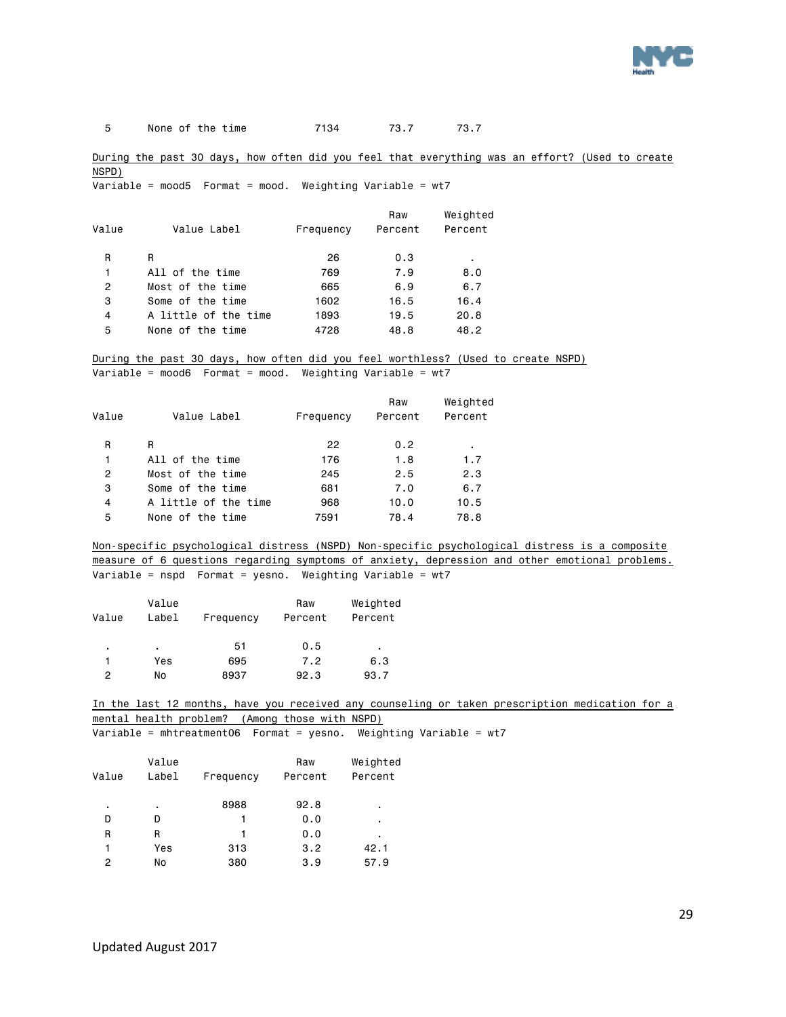

5 None of the time 7134 73.7 73.7

During the past 30 days, how often did you feel that everything was an effort? (Used to create NSPD)

Variable = mood5 Format = mood. Weighting Variable =  $wt7$ 

| Value | Value Label          | Frequency | Raw<br>Percent | Weighted<br>Percent |
|-------|----------------------|-----------|----------------|---------------------|
| R     | R                    | 26        | 0.3            | ٠                   |
| 1     | All of the time      | 769       | 7.9            | 8.0                 |
| 2     | Most of the time     | 665       | 6.9            | 6.7                 |
| 3     | Some of the time     | 1602      | 16.5           | 16.4                |
| 4     | A little of the time | 1893      | 19.5           | 20.8                |
| 5     | None of the time     | 4728      | 48.8           | 48.2                |

During the past 30 days, how often did you feel worthless? (Used to create NSPD) Variable = mood6 Format = mood. Weighting Variable =  $wt7$ 

|                      |           | Raw     | Weighted |
|----------------------|-----------|---------|----------|
| Value Label          | Frequency | Percent | Percent  |
| R                    | 22        | 0.2     | ٠        |
| All of the time      | 176       | 1.8     | 1.7      |
| Most of the time     | 245       | 2.5     | 2.3      |
| Some of the time     | 681       | 7.0     | 6.7      |
| A little of the time | 968       | 10.0    | 10.5     |
| None of the time     | 7591      | 78.4    | 78.8     |
|                      |           |         |          |

Non-specific psychological distress (NSPD) Non-specific psychological distress is a composite measure of 6 questions regarding symptoms of anxiety, depression and other emotional problems. Variable = nspd Format = yesno. Weighting Variable = wt7

| Value | Value<br>Label | Frequency | Raw<br>Percent | Weighted<br>Percent |
|-------|----------------|-----------|----------------|---------------------|
| ٠     | ٠              | 51        | 0.5            | ٠                   |
|       | Yes            | 695       | 7.2            | 6.3                 |
| 2     | No             | 8937      | 92.3           | 93.7                |

In the last 12 months, have you received any counseling or taken prescription medication for a mental health problem? (Among those with NSPD)

Variable = mhtreatment06 Format = yesno. Weighting Variable = wt7

| Value | Value<br>Label | Frequency | Raw<br>Percent | Weighted<br>Percent |
|-------|----------------|-----------|----------------|---------------------|
| ٠     | ٠              | 8988      | 92.8           | ٠                   |
| D     | D              | 1         | 0.0            | ٠                   |
| R     | R              | 1         | 0.0            | ٠                   |
| 1     | Yes            | 313       | 3.2            | 42.1                |
| 2     | No             | 380       | 3.9            | 57.9                |
|       |                |           |                |                     |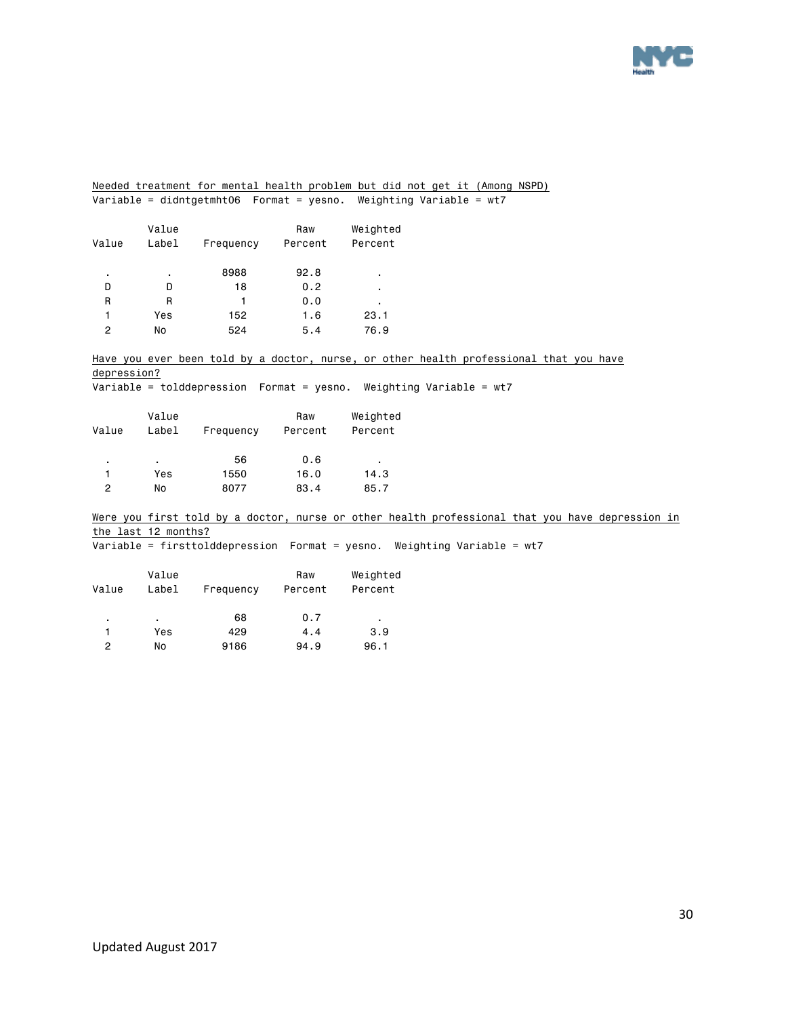

Needed treatment for mental health problem but did not get it (Among NSPD) Variable = didntgetmht06 Format = yesno. Weighting Variable = wt7

| Value | Value<br>Label | Frequency | Raw<br>Percent | Weighted<br>Percent |
|-------|----------------|-----------|----------------|---------------------|
| ٠     | ٠              | 8988      | 92.8           | ٠                   |
| D     | D              | 18        | 0.2            | ٠                   |
| R     | R              | 1         | 0.0            | ٠                   |
| 1     | Yes            | 152       | 1.6            | 23.1                |
| 2     | No             | 524       | 5.4            | 76.9                |

Have you ever been told by a doctor, nurse, or other health professional that you have depression?

Variable = tolddepression Format = yesno. Weighting Variable = wt7

| Value | Value<br>Label | Frequency | Raw<br>Percent | Weighted<br>Percent |
|-------|----------------|-----------|----------------|---------------------|
| ٠     | ٠              | 56        | 0.6            | ٠                   |
| 1     | Yes            | 1550      | 16.0           | 14.3                |
| 2     | No             | 8077      | 83.4           | 85.7                |

Were you first told by a doctor, nurse or other health professional that you have depression in the last 12 months? Variable = firsttolddepression Format = yesno. Weighting Variable = wt7

| Value | Value<br>Label | Frequency | Raw<br>Percent | Weighted<br>Percent |
|-------|----------------|-----------|----------------|---------------------|
| ٠     |                | 68        | 0.7            | ٠                   |
|       | Yes            | 429       | 4.4            | 3.9                 |
| 2     | No             | 9186      | 94.9           | 96.1                |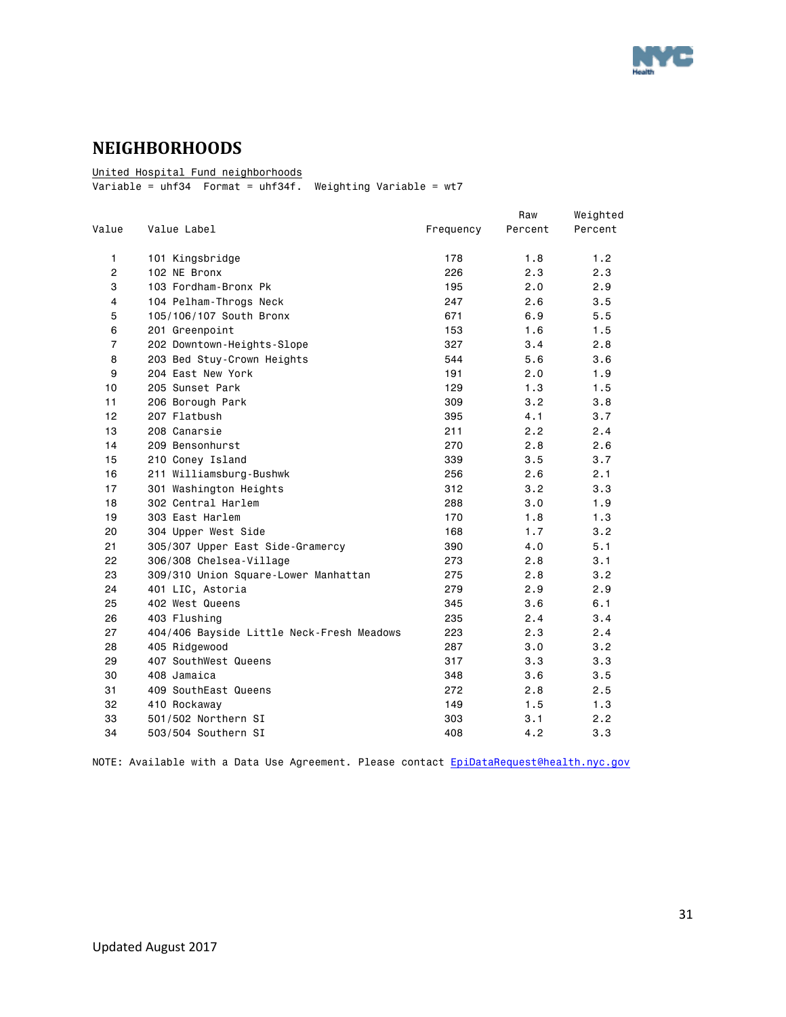

# <span id="page-30-0"></span>**NEIGHBORHOODS**

United Hospital Fund neighborhoods

 $\overline{\text{Variable}} = \text{uhf34}$  Format =  $\text{uhf34f}$ . Weighting Variable = wt7

|                |                                           |           | Raw     | Weighted |
|----------------|-------------------------------------------|-----------|---------|----------|
| Value          | Value Label                               | Frequency | Percent | Percent  |
| 1              | 101 Kingsbridge                           | 178       | 1.8     | 1.2      |
| $\overline{c}$ | 102 NE Bronx                              | 226       | 2.3     | 2.3      |
| 3              | 103 Fordham-Bronx Pk                      | 195       | 2.0     | 2.9      |
| 4              | 104 Pelham-Throgs Neck                    | 247       | 2.6     | 3.5      |
| 5              | 105/106/107 South Bronx                   | 671       | 6.9     | 5.5      |
| 6              | 201 Greenpoint                            | 153       | 1.6     | 1.5      |
| 7              | 202 Downtown-Heights-Slope                | 327       | 3.4     | 2.8      |
| 8              | 203 Bed Stuy-Crown Heights                | 544       | 5.6     | 3.6      |
| 9              | 204 East New York                         | 191       | 2.0     | 1.9      |
| 10             | 205 Sunset Park                           | 129       | 1.3     | 1.5      |
| 11             | 206 Borough Park                          | 309       | 3.2     | 3.8      |
| 12             | 207 Flatbush                              | 395       | 4.1     | 3.7      |
| 13             | 208 Canarsie                              | 211       | 2.2     | 2.4      |
| 14             | 209 Bensonhurst                           | 270       | 2.8     | 2.6      |
| 15             | 210 Coney Island                          | 339       | 3.5     | 3.7      |
| 16             | 211 Williamsburg-Bushwk                   | 256       | 2.6     | 2.1      |
| 17             | 301 Washington Heights                    | 312       | 3.2     | 3.3      |
| 18             | 302 Central Harlem                        | 288       | 3.0     | 1.9      |
| 19             | 303 East Harlem                           | 170       | 1.8     | 1.3      |
| 20             | 304 Upper West Side                       | 168       | 1.7     | 3.2      |
| 21             | 305/307 Upper East Side-Gramercy          | 390       | 4.0     | 5.1      |
| 22             | 306/308 Chelsea-Village                   | 273       | 2.8     | 3.1      |
| 23             | 309/310 Union Square-Lower Manhattan      | 275       | 2.8     | 3.2      |
| 24             | 401 LIC, Astoria                          | 279       | 2.9     | 2.9      |
| 25             | 402 West Queens                           | 345       | 3.6     | 6.1      |
| 26             | 403 Flushing                              | 235       | 2.4     | 3.4      |
| 27             | 404/406 Bayside Little Neck-Fresh Meadows | 223       | 2.3     | 2.4      |
| 28             | 405 Ridgewood                             | 287       | 3.0     | 3.2      |
| 29             | 407 SouthWest Queens                      | 317       | 3.3     | 3.3      |
| 30             | 408 Jamaica                               | 348       | 3.6     | 3.5      |
| 31             | 409 SouthEast Queens                      | 272       | 2.8     | 2.5      |
| 32             | 410 Rockaway                              | 149       | 1.5     | 1.3      |
| 33             | 501/502 Northern SI                       | 303       | 3.1     | 2.2      |
| 34             | 503/504 Southern SI                       | 408       | 4.2     | 3.3      |
|                |                                           |           |         |          |

NOTE: Available with a Data Use Agreement. Please contact [EpiDataRequest@health.nyc.gov](mailto:EpiDataRequest@health.nyc.gov)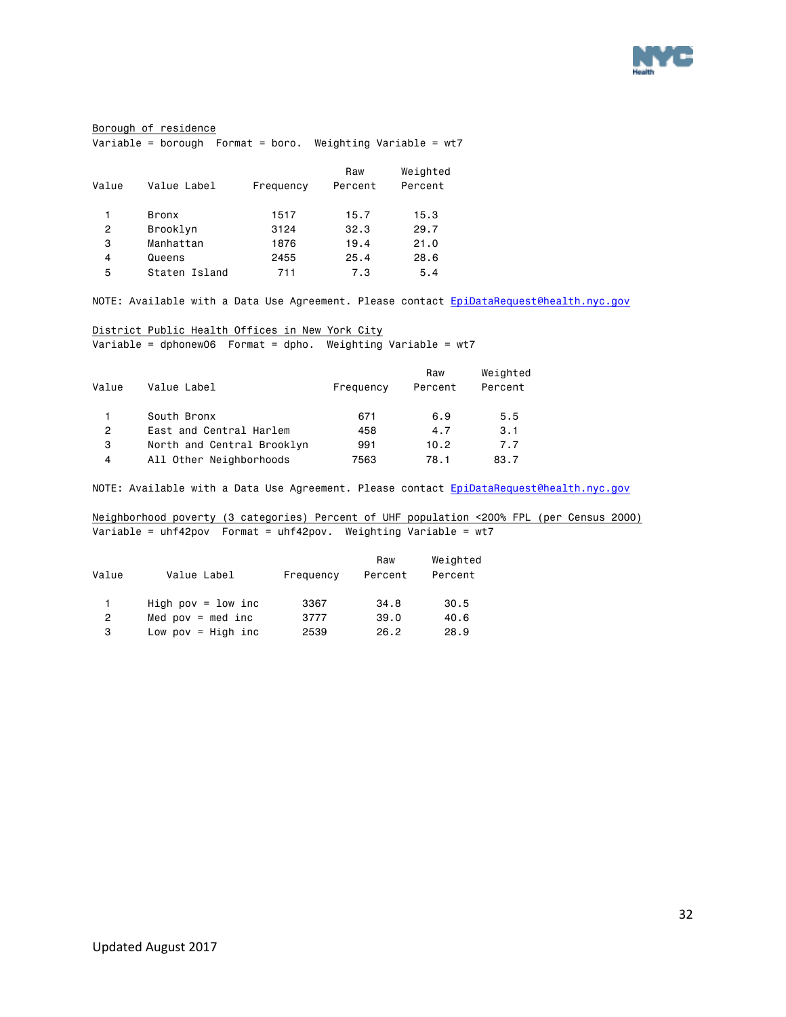

#### Borough of residence Variable = borough Format = boro. Weighting Variable = wt7

| Value | Value Label   | Frequency | Raw<br>Percent | Weighted<br>Percent |
|-------|---------------|-----------|----------------|---------------------|
| 1     | Bronx         | 1517      | 15.7           | 15.3                |
| 2     | Brooklyn      | 3124      | 32.3           | 29.7                |
| 3     | Manhattan     | 1876      | 19.4           | 21.0                |
| 4     | Queens        | 2455      | 25.4           | 28.6                |
| 5     | Staten Island | 711       | 7.3            | 5.4                 |
|       |               |           |                |                     |

NOTE: Available with a Data Use Agreement. Please contact [EpiDataRequest@health.nyc.gov](mailto:EpiDataRequest@health.nyc.gov)

#### District Public Health Offices in New York City

Variable = dphonew06 Format = dpho. Weighting Variable = wt7

| Raw<br>Value<br>Value Label<br>Percent<br>Frequency | Weighted<br>Percent |
|-----------------------------------------------------|---------------------|
| South Bronx<br>671<br>6.9                           | 5.5                 |
| East and Central Harlem<br>2<br>458<br>4.7          | 3.1                 |
| North and Central Brooklyn<br>з<br>10.2<br>991      | 7.7                 |
| All Other Neighborhoods<br>4<br>7563<br>78.1        | 83.7                |

NOTE: Available with a Data Use Agreement. Please contact [EpiDataRequest@health.nyc.gov](mailto:EpiDataRequest@health.nyc.gov)

Neighborhood poverty (3 categories) Percent of UHF population <200% FPL (per Census 2000) Variable = uhf42pov Format = uhf42pov. Weighting Variable = wt7

| Value        | Value Label           | Frequency | Raw<br>Percent | Weighted<br>Percent |
|--------------|-----------------------|-----------|----------------|---------------------|
| $\mathbf{1}$ | High pov = $1$ ow inc | 3367      | 34.8           | 30.5                |
| $\mathbf{2}$ | Med $pow = med inc$   | 3777      | 39.0           | 40.6                |
| 3            | Low pov = $High$ inc  | 2539      | 26.2           | 28.9                |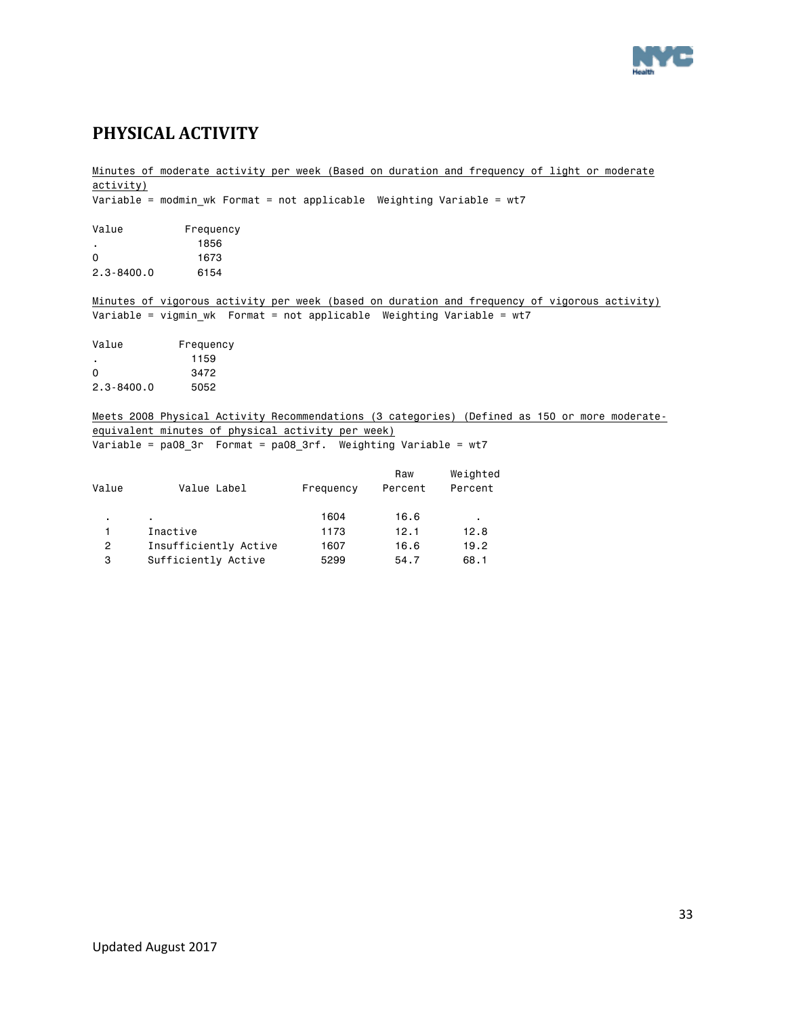

# <span id="page-32-0"></span>**PHYSICAL ACTIVITY**

|              |                                                                         |           |         | Minutes of moderate activity per week (Based on duration and frequency of light or moderate   |
|--------------|-------------------------------------------------------------------------|-----------|---------|-----------------------------------------------------------------------------------------------|
| activity)    |                                                                         |           |         |                                                                                               |
|              | Variable = modmin wk Format = not applicable Weighting Variable = wt7   |           |         |                                                                                               |
|              |                                                                         |           |         |                                                                                               |
| Value        | Frequency                                                               |           |         |                                                                                               |
| $\sim$       | 1856                                                                    |           |         |                                                                                               |
| 0            | 1673                                                                    |           |         |                                                                                               |
| 2.3-8400.0   | 6154                                                                    |           |         |                                                                                               |
|              |                                                                         |           |         |                                                                                               |
|              |                                                                         |           |         | Minutes of vigorous activity per week (based on duration and frequency of vigorous activity)  |
|              | Variable = vigmin wk  Format = not applicable  Weighting Variable = wt7 |           |         |                                                                                               |
|              |                                                                         |           |         |                                                                                               |
| Value        | Frequency                                                               |           |         |                                                                                               |
| $\mathbf{r}$ | 1159                                                                    |           |         |                                                                                               |
| 0            | 3472                                                                    |           |         |                                                                                               |
| 2.3-8400.0   | 5052                                                                    |           |         |                                                                                               |
|              |                                                                         |           |         |                                                                                               |
|              |                                                                         |           |         | Meets 2008 Physical Activity Recommendations (3 categories) (Defined as 150 or more moderate- |
|              | equivalent minutes of physical activity per week)                       |           |         |                                                                                               |
|              | Variable = $pa08$ 3r Format = $pa08$ 3rf. Weighting Variable = $wt7$    |           |         |                                                                                               |
|              |                                                                         |           | Raw     | Weighted                                                                                      |
| Value        | Value Label                                                             | Frequency | Percent | Percent                                                                                       |
|              |                                                                         |           |         |                                                                                               |

| value          | Value Label           | <b>FIGURIIOV</b> | <b>PETCENT</b> | <b>PELCEIL</b> |
|----------------|-----------------------|------------------|----------------|----------------|
|                |                       | 1604             | 16.6           |                |
|                | Inactive              | 1173             | 12.1           | 12.8           |
| $\overline{2}$ | Insufficiently Active | 1607             | 16.6           | 19.2           |
| 3              | Sufficiently Active   | 5299             | 54.7           | 68.1           |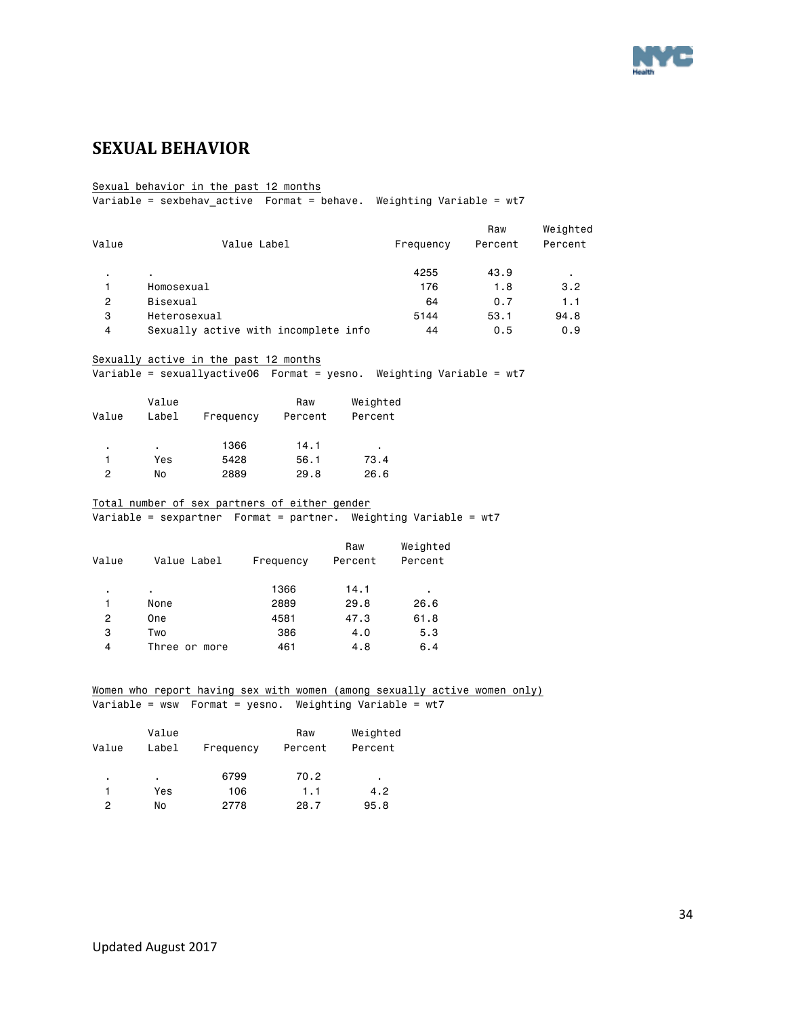

# <span id="page-33-0"></span>**SEXUAL BEHAVIOR**

#### Sexual behavior in the past 12 months

Variable = sexbehav\_active Format = behave. Weighting Variable = wt7

|       |                                      |           | Raw     | Weighted |
|-------|--------------------------------------|-----------|---------|----------|
| Value | Value Label                          | Frequency | Percent | Percent  |
|       | ٠                                    | 4255      | 43.9    |          |
|       | Homosexual                           | 176       | 1.8     | 3.2      |
| 2     | Bisexual                             | 64        | 0.7     | 1.1      |
| 3     | Heterosexual                         | 5144      | 53.1    | 94.8     |
| 4     | Sexually active with incomplete info | 44        | 0.5     | 0.9      |

#### Sexually active in the past 12 months

Variable = sexuallyactive06 Format = yesno. Weighting Variable = wt7

|       | Value |           | Raw     | Weighted |
|-------|-------|-----------|---------|----------|
| Value | Label | Frequency | Percent | Percent  |
|       |       |           |         |          |
| ٠     | ٠.    | 1366      | 14.1    | ٠        |
|       | Yes   | 5428      | 56.1    | 73.4     |
| 2     | No    | 2889      | 29.8    | 26.6     |

#### Total number of sex partners of either gender

Variable = sexpartner Format = partner. Weighting Variable = wt7

| Value Label   | Frequency | Raw<br>Percent | Weighted<br>Percent |
|---------------|-----------|----------------|---------------------|
|               | 1366      | 14.1           | ٠                   |
| None          | 2889      | 29.8           | 26.6                |
| One           | 4581      | 47.3           | 61.8                |
| Two           | 386       | 4.0            | 5.3                 |
| Three or more | 461       | 4.8            | 6.4                 |
|               |           |                |                     |

#### Women who report having sex with women (among sexually active women only)

|  | Variable = wsw  Format = yesno.  Weighting Variable = wt7 |  |  |  |  |
|--|-----------------------------------------------------------|--|--|--|--|
|--|-----------------------------------------------------------|--|--|--|--|

| Value | Value<br>Label | Frequency | Raw<br>Percent | Weighted<br>Percent |
|-------|----------------|-----------|----------------|---------------------|
| ٠     | ٠              | 6799      | 70.2           | ٠                   |
|       | Yes            | 106       | 1.1            | 4.2                 |
| っ     | No             | 2778      | 28.7           | 95.8                |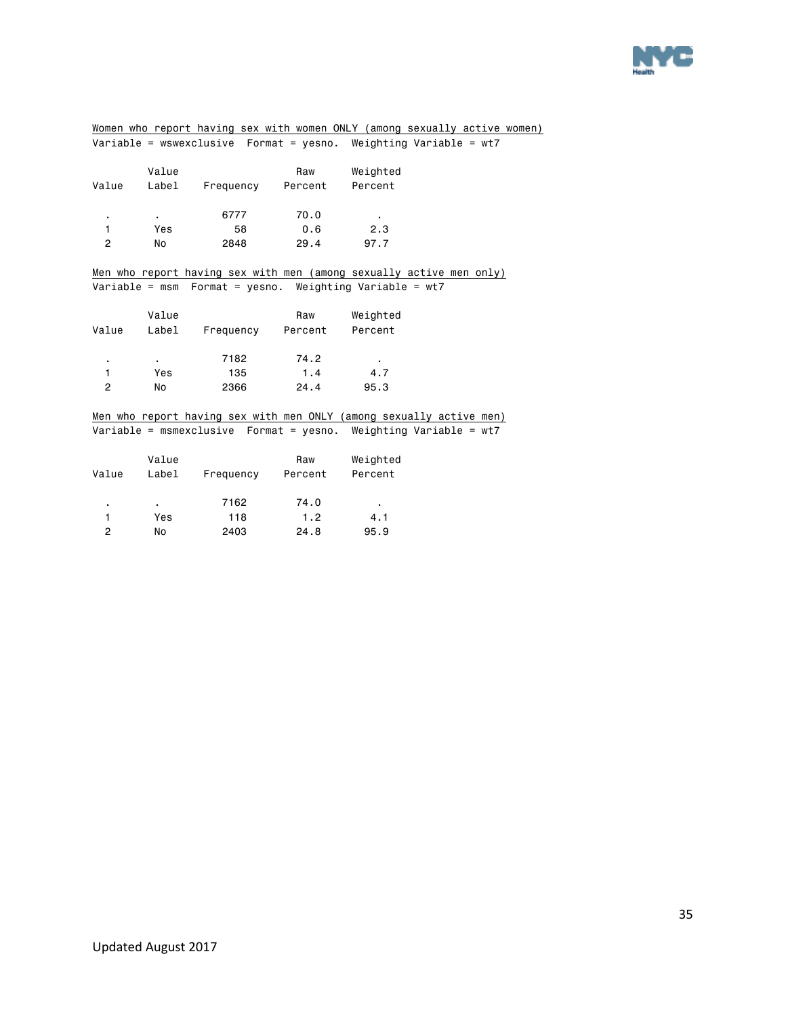

| Women who report having sex with women ONLY (among sexually active women) |            |                                 |      |                                                                       |  |  |
|---------------------------------------------------------------------------|------------|---------------------------------|------|-----------------------------------------------------------------------|--|--|
|                                                                           |            |                                 |      | Variable = wswexclusive  Format = yesno. Weighting Variable = wt7     |  |  |
|                                                                           |            |                                 |      |                                                                       |  |  |
|                                                                           | Value      |                                 | Raw  | Weighted                                                              |  |  |
| Value                                                                     |            | Label Frequency Percent Percent |      |                                                                       |  |  |
|                                                                           |            |                                 |      |                                                                       |  |  |
| $\blacksquare$                                                            | $\sim 100$ | 6777                            | 70.0 | $\sim$                                                                |  |  |
| 1.                                                                        | Yes        | 58                              | 0.6  | 2.3                                                                   |  |  |
| $\overline{2}$                                                            | No.        | 2848                            | 29.4 | 97.7                                                                  |  |  |
|                                                                           |            |                                 |      |                                                                       |  |  |
|                                                                           |            |                                 |      | Men who report having sex with men (among sexually active men only)   |  |  |
|                                                                           |            |                                 |      |                                                                       |  |  |
|                                                                           |            |                                 |      |                                                                       |  |  |
|                                                                           | Value      |                                 | Raw  | Weighted                                                              |  |  |
| Value                                                                     |            | Label Frequency Percent         |      | Percent                                                               |  |  |
|                                                                           |            |                                 |      |                                                                       |  |  |
| $\blacksquare$                                                            | $\sim 100$ | 7182                            | 74.2 |                                                                       |  |  |
| 1                                                                         | Yes        | 135                             | 1.4  | 4.7                                                                   |  |  |
| $\overline{2}$                                                            | No.        | 2366                            | 24.4 | 95.3                                                                  |  |  |
|                                                                           |            |                                 |      |                                                                       |  |  |
|                                                                           |            |                                 |      | Men who report having sex with men ONLY (among sexually active men)   |  |  |
|                                                                           |            |                                 |      | Variable = msmexclusive    Format = yesno. Weighting Variable = $wt7$ |  |  |
|                                                                           |            |                                 |      |                                                                       |  |  |
|                                                                           |            |                                 |      |                                                                       |  |  |

|       | Value |           | Raw     | Weighted |  |
|-------|-------|-----------|---------|----------|--|
| Value | Label | Frequency | Percent | Percent  |  |
| ٠     |       | 7162      | 74.0    | ٠        |  |
|       | Yes   | 118       | 1.2     | 4.1      |  |
| 2     | No    | 2403      | 24.8    | 95.9     |  |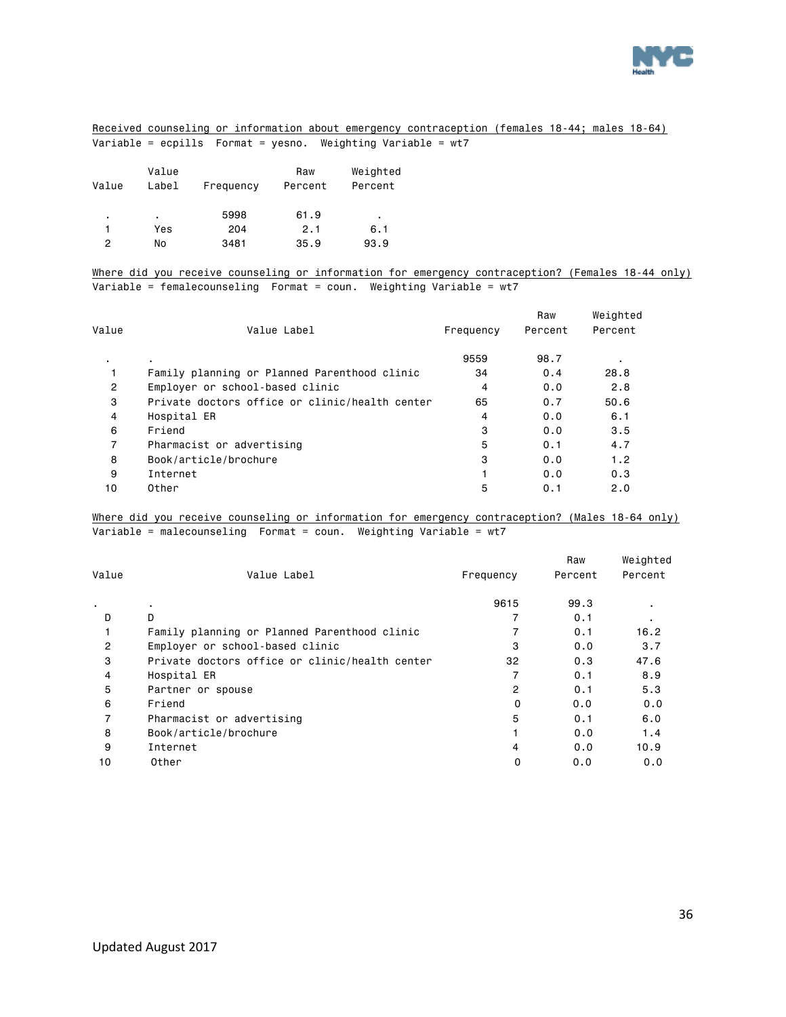

#### Received counseling or information about emergency contraception (females 18-44; males 18-64) Variable = ecpills Format = yesno. Weighting Variable = wt7

| Value | Value<br>Label | Frequency | Raw<br>Percent | Weighted<br>Percent |
|-------|----------------|-----------|----------------|---------------------|
| ٠     | ٠              | 5998      | 61.9           | ٠                   |
|       | Yes            | 204       | 2.1            | 6.1                 |
| 2     | No             | 3481      | 35.9           | 93.9                |

Where did you receive counseling or information for emergency contraception? (Females 18-44 only) Variable = femalecounseling Format = coun. Weighting Variable = wt7

| Value          |                                                |           | Raw     | Weighted |
|----------------|------------------------------------------------|-----------|---------|----------|
|                | Value Label                                    | Frequency | Percent | Percent  |
| ٠.             |                                                | 9559      | 98.7    |          |
|                | Family planning or Planned Parenthood clinic   | 34        | 0.4     | 28.8     |
| $\overline{2}$ | Employer or school-based clinic                | 4         | 0.0     | 2.8      |
| 3              | Private doctors office or clinic/health center | 65        | 0.7     | 50.6     |
| 4              | Hospital ER                                    | 4         | 0.0     | 6.1      |
| 6              | Friend                                         | 3         | 0.0     | 3.5      |
| $\overline{7}$ | Pharmacist or advertising                      | 5         | 0.1     | 4.7      |
| 8              | Book/article/brochure                          | 3         | 0.0     | 1.2      |
| 9              | Internet                                       |           | 0.0     | 0.3      |
| 10             | Other                                          | 5         | 0.1     | 2.0      |

Where did you receive counseling or information for emergency contraception? (Males 18-64 only) Variable = malecounseling Format = coun. Weighting Variable = wt7

|                |                                                |           | Raw     | Weighted       |
|----------------|------------------------------------------------|-----------|---------|----------------|
| Value          | Value Label                                    | Frequency | Percent | Percent        |
|                |                                                | 9615      | 99.3    | ٠              |
| D              | D                                              |           | 0.1     | $\blacksquare$ |
|                | Family planning or Planned Parenthood clinic   |           | 0.1     | 16.2           |
| $\overline{2}$ | Employer or school-based clinic                | 3         | 0.0     | 3.7            |
| 3              | Private doctors office or clinic/health center | 32        | 0.3     | 47.6           |
| 4              | Hospital ER                                    | 7         | 0.1     | 8.9            |
| 5              | Partner or spouse                              | 2         | 0.1     | 5.3            |
| 6              | Friend                                         | 0         | 0.0     | 0.0            |
|                | Pharmacist or advertising                      | 5         | 0.1     | 6.0            |
| 8              | Book/article/brochure                          |           | 0.0     | 1.4            |
| 9              | Internet                                       | 4         | 0.0     | 10.9           |
| 10             | Other                                          | 0         | 0.0     | 0.0            |
|                |                                                |           |         |                |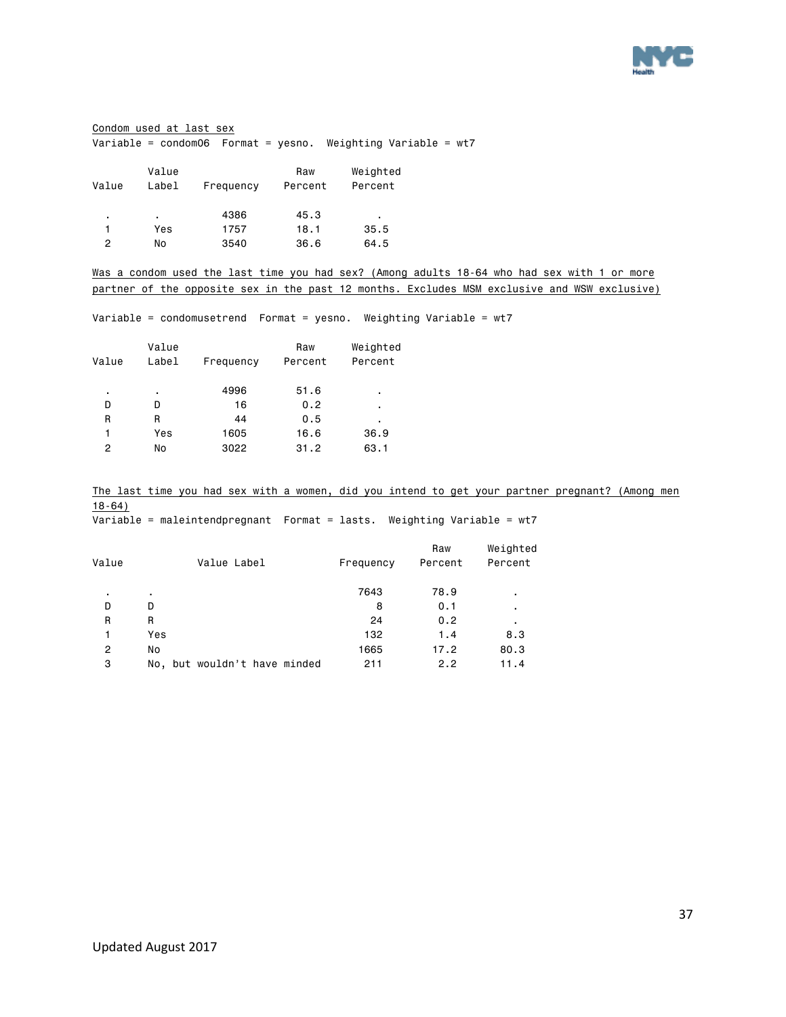

#### Condom used at last sex Variable = condom06 Format = yesno. Weighting Variable = wt7

| Value | Value<br>Label | Frequency | Raw<br>Percent | Weighted<br>Percent |
|-------|----------------|-----------|----------------|---------------------|
| ٠     | ٠              | 4386      | 45.3           | ٠                   |
|       | Yes            | 1757      | 18.1           | 35.5                |
| 2     | No             | 3540      | 36.6           | 64.5                |

Was a condom used the last time you had sex? (Among adults 18-64 who had sex with 1 or more partner of the opposite sex in the past 12 months. Excludes MSM exclusive and WSW exclusive)

Variable = condomusetrend Format = yesno. Weighting Variable = wt7

|       | Value |           | Raw     | Weighted |
|-------|-------|-----------|---------|----------|
| Value | Label | Frequency | Percent | Percent  |
| ٠     | ٠     | 4996      | 51.6    | ٠        |
| D     | D     | 16        | 0.2     | ٠        |
| R     | R     | 44        | 0.5     | ٠        |
| 1     | Yes   | 1605      | 16.6    | 36.9     |
| 2     | No    | 3022      | 31.2    | 63.1     |
|       |       |           |         |          |

The last time you had sex with a women, did you intend to get your partner pregnant? (Among men 18-64)

Variable = maleintendpregnant Format = lasts. Weighting Variable = wt7

| Value | Value Label                  | Frequency | Raw<br>Percent | Weighted<br>Percent |
|-------|------------------------------|-----------|----------------|---------------------|
| ٠     |                              | 7643      | 78.9           | ٠                   |
| D     | D                            | 8         | 0.1            | ٠                   |
| R     | R                            | 24        | 0.2            | ٠                   |
| 1     | Yes                          | 132       | 1.4            | 8.3                 |
| 2     | No                           | 1665      | 17.2           | 80.3                |
| 3     | No, but wouldn't have minded | 211       | 2.2            | 11.4                |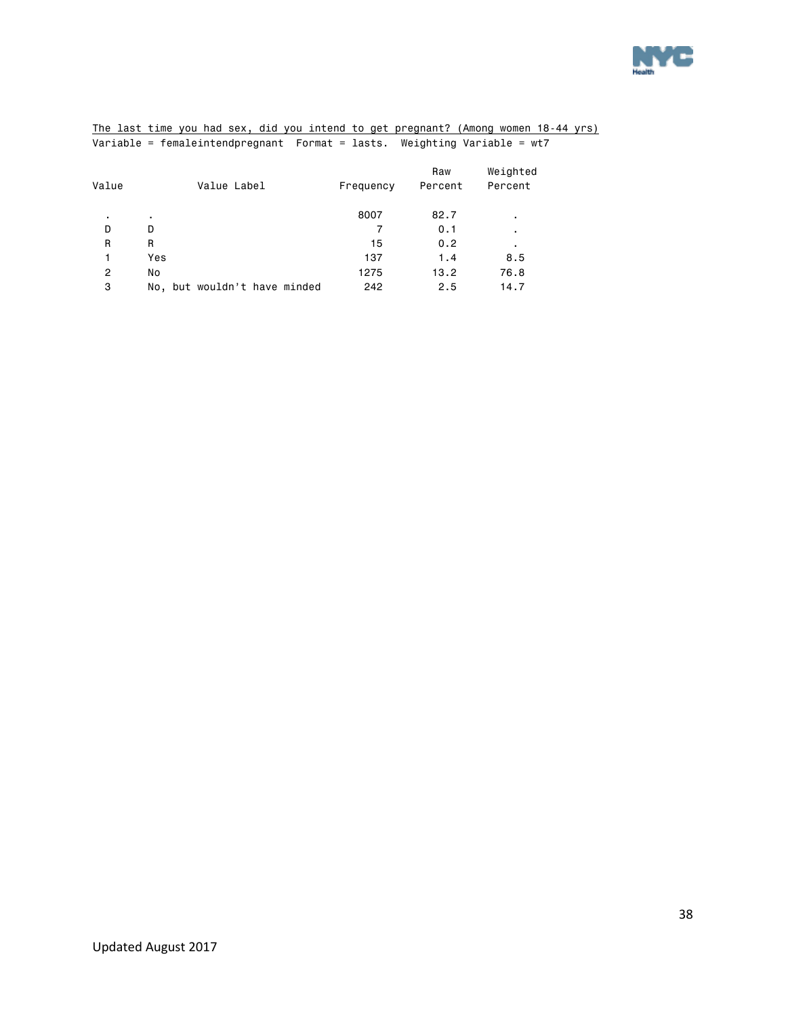

|  |  |  |  |  | The last time you had sex, did you intend to get pregnant? (Among women 18-44 yrs) |  |  |
|--|--|--|--|--|------------------------------------------------------------------------------------|--|--|
|  |  |  |  |  | Variable = femaleintendpregnant Format = lasts. Weighting Variable = $wt7$         |  |  |

|       |                              |           | Raw     | Weighted |
|-------|------------------------------|-----------|---------|----------|
| Value | Value Label                  | Frequency | Percent | Percent  |
| ٠     | ٠                            | 8007      | 82.7    | ٠        |
| D     | D                            | 7         | 0.1     | ٠.       |
| R     | R                            | 15        | 0.2     |          |
|       | Yes                          | 137       | 1.4     | 8.5      |
| 2     | No                           | 1275      | 13.2    | 76.8     |
| 3     | No, but wouldn't have minded | 242       | 2.5     | 14.7     |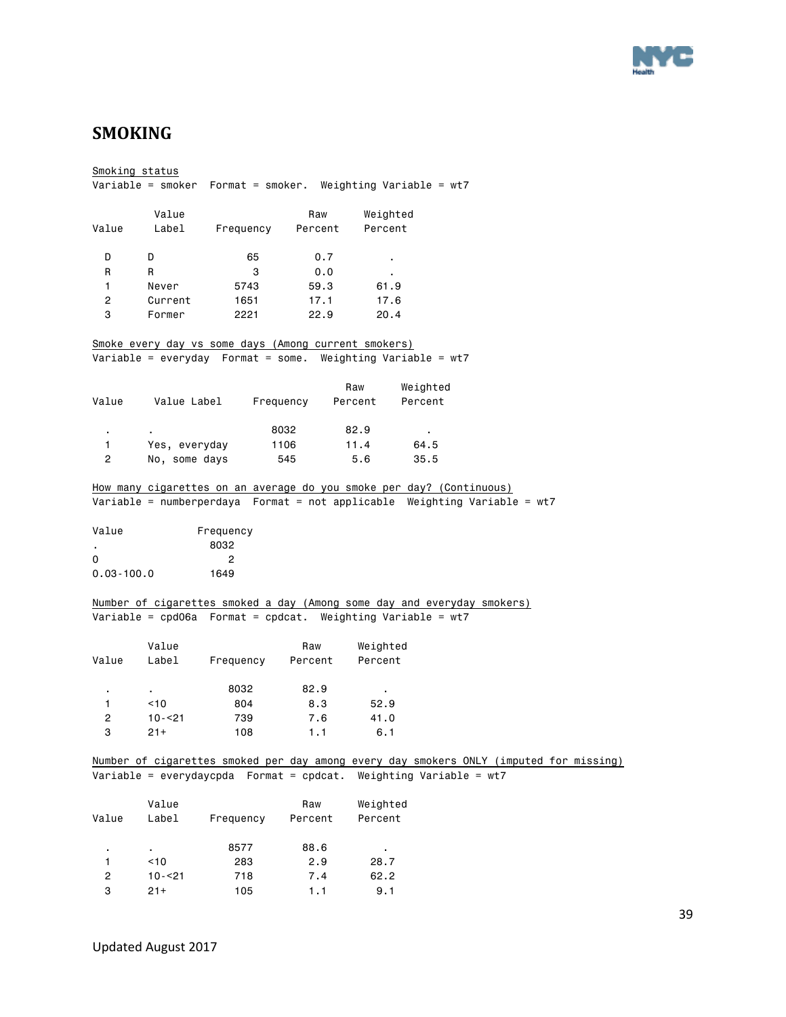

### <span id="page-38-0"></span>**SMOKING**

Smoking status Variable = smoker Format = smoker. Weighting Variable = wt7 Value Raw Weighted Value Label Frequency Percent Percent D D 65 0.7 . R R 3 0.0 . 1 Never 5743 59.3 61.9 2 Current 1651 17.1 17.6 3 Former 2221 22.9 20.4 Smoke every day vs some days (Among current smokers) Variable = everyday Format = some. Weighting Variable = wt7 Raw Weighted Value Value Label Frequency Percent Percent . . 8032 82.9 . 1 Yes, everyday 1106 11.4 64.5 2 No, some days 545 5.6 35.5 How many cigarettes on an average do you smoke per day? (Continuous) Variable = numberperdaya Format = not applicable Weighting Variable = wt7 Value Frequency . 8032 0 2 0.03-100.0 1649 Number of cigarettes smoked a day (Among some day and everyday smokers) Variable = cpd06a Format = cpdcat. Weighting Variable = wt7 Value Raw Weighted Value Label Frequency Percent Percent . . 8032 82.9 . 1 <10 804 8.3 52.9 2 10-<21 739 7.6 41.0 3 21+ 108 1.1 6.1 Number of cigarettes smoked per day among every day smokers ONLY (imputed for missing) Variable = everydaycpda Format = cpdcat. Weighting Variable = wt7 Value Raw Weighted Value Label Frequency Percent Percent . . 8577 88.6 . 1 <10 283 2.9 28.7 2 10-<21 718 7.4 62.2

3 21+ 105 1.1 9.1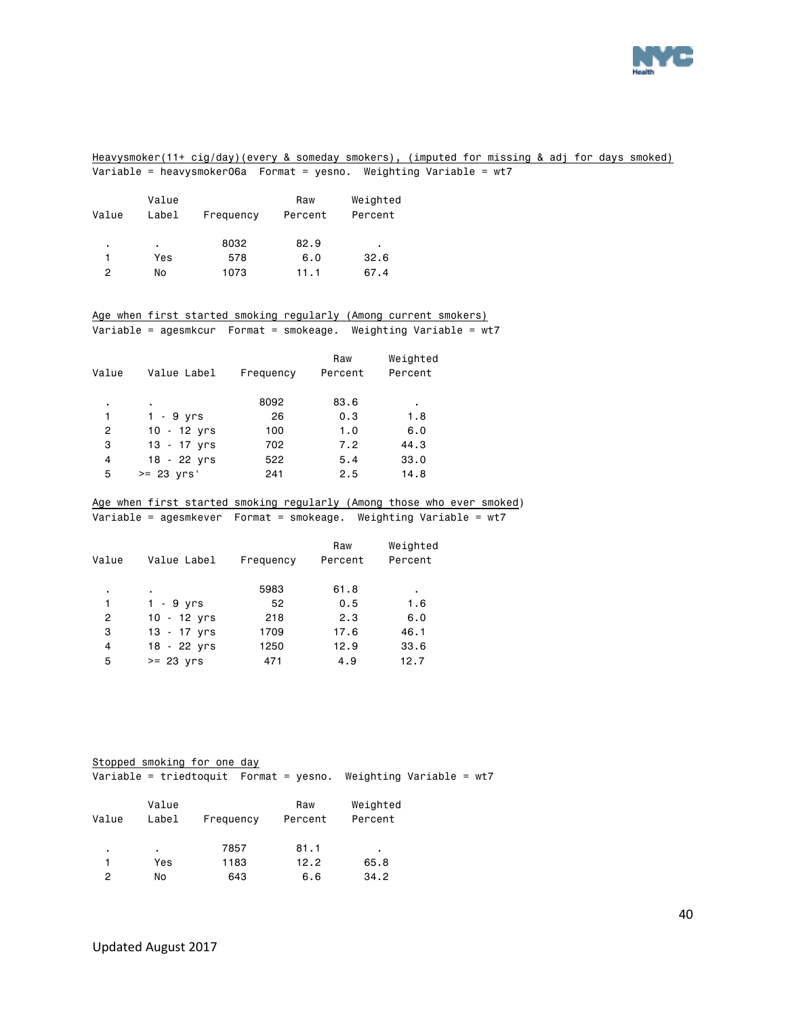

#### Heavysmoker(11+ cig/day)(every & someday smokers), (imputed for missing & adj for days smoked) Variable = heavysmoker06a Format = yesno. Weighting Variable = wt7

| Value | Value<br>Label | Frequency | Raw<br>Percent | Weighted<br>Percent |
|-------|----------------|-----------|----------------|---------------------|
| ٠     | ٠              | 8032      | 82.9           | ٠                   |
|       | Yes            | 578       | 6.0            | 32.6                |
| 2     | No             | 1073      | 11.1           | 67.4                |

#### Age when first started smoking regularly (Among current smokers) Variable = agesmkcur Format = smokeage. Weighting Variable = wt7

| Value          | Value Label    | Frequency | Raw<br>Percent | Weighted<br>Percent |
|----------------|----------------|-----------|----------------|---------------------|
| ٠              | ٠              | 8092      | 83.6           | ٠                   |
| 1              | 1 - 9 yrs      | 26        | 0.3            | 1.8                 |
| 2              | $10 - 12$ yrs  | 100       | 1.0            | 6.0                 |
| з              | $13 - 17$ yrs  | 702       | 7.2            | 44.3                |
| $\overline{4}$ | $18 - 22$ yrs  | 522       | 5.4            | 33.0                |
| 5              | $>= 23$ $Vrs'$ | 241       | 2.5            | 14.8                |
|                |                |           |                |                     |

#### Age when first started smoking regularly (Among those who ever smoked)

Variable = agesmkever Format = smokeage. Weighting Variable = wt7

| Value Label   | Frequency | Raw<br>Percent | Weighted<br>Percent |
|---------------|-----------|----------------|---------------------|
|               | 5983      | 61.8           | ٠                   |
| $1 - 9$ yrs   | 52        | 0.5            | 1.6                 |
| $10 - 12$ yrs | 218       | 2.3            | 6.0                 |
| $13 - 17$ yrs | 1709      | 17.6           | 46.1                |
| $18 - 22$ yrs | 1250      | 12.9           | 33.6                |
| $>= 23$ yrs   | 471       | 4.9            | 12.7                |
|               |           |                |                     |

|       |                | Stopped smoking for one day                           |                |                            |  |  |
|-------|----------------|-------------------------------------------------------|----------------|----------------------------|--|--|
|       |                | Variable = triedtoquit $\blacksquare$ Format = yesno. |                | Weighting Variable = $wt7$ |  |  |
| Value | Value<br>Label | Frequency                                             | Raw<br>Percent | Weighted<br>Percent        |  |  |
| ٠     | ٠              | 7857                                                  | 81.1           | ٠                          |  |  |
|       | Yes            | 1183                                                  | 12.2           | 65.8                       |  |  |

2 No 643 6.6 34.2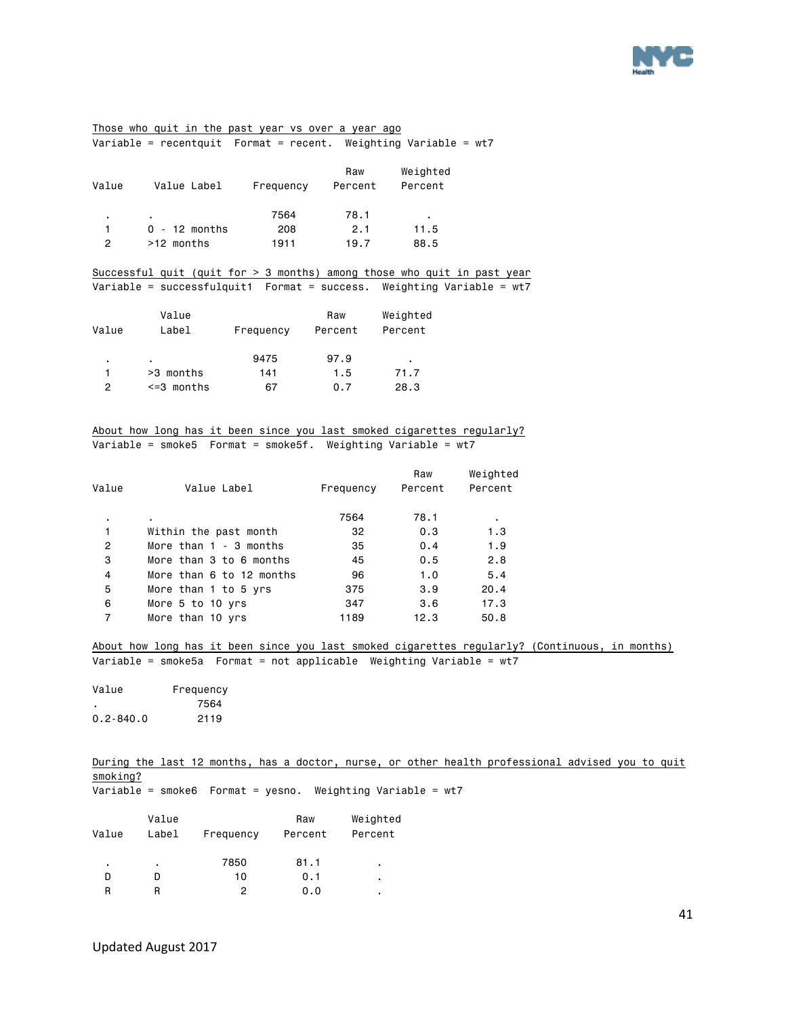

Those who quit in the past year vs over a year ago Variable = recentquit Format = recent. Weighting Variable = wt7

| Value | Value Label     | Frequency | Raw<br>Percent | Weighted<br>Percent |
|-------|-----------------|-----------|----------------|---------------------|
| ٠     |                 | 7564      | 78.1           | ٠                   |
|       | $0 - 12$ months | 208       | 2.1            | 11.5                |
| 2     | >12 months      | 1911      | 19.7           | 88.5                |

Successful quit (quit for > 3 months) among those who quit in past year Variable = successfulquit1 Format = success. Weighting Variable = wt7

| Value | Value<br>Label  | Frequency | Raw<br>Percent | Weighted<br>Percent |
|-------|-----------------|-----------|----------------|---------------------|
| ٠     | ٠               | 9475      | 97.9           | ٠                   |
|       | >3 months       | 141       | 1.5            | 71.7                |
| 2     | $\leq$ 3 months | 67        | 0.7            | 28.3                |

About how long has it been since you last smoked cigarettes regularly? Variable = smoke5 Format = smoke5f. Weighting Variable = wt7

| Value  | Value Label              | Frequency | Raw<br>Percent | Weighted<br>Percent |
|--------|--------------------------|-----------|----------------|---------------------|
|        |                          | 7564      | 78.1           |                     |
| ٠<br>1 | Within the past month    | 32        | 0.3            | ٠.<br>1.3           |
| 2      | More than $1 - 3$ months | 35        | 0.4            | 1.9                 |
| 3      | More than 3 to 6 months  | 45        | 0.5            | 2.8                 |
| 4      | More than 6 to 12 months | 96        | 1.0            | 5.4                 |
| 5      | More than 1 to 5 yrs     | 375       | 3.9            | 20.4                |
| 6      | More 5 to 10 yrs         | 347       | 3.6            | 17.3                |
| 7      | More than 10 yrs         | 1189      | 12.3           | 50.8                |

About how long has it been since you last smoked cigarettes regularly? (Continuous, in months) Variable = smoke5a Format = not applicable Weighting Variable = wt7

Value Frequency . 7564 0.2-840.0 2119

During the last 12 months, has a doctor, nurse, or other health professional advised you to quit smoking?

Variable = smoke6 Format = yesno. Weighting Variable = wt7

|       | Value |           | Raw     | Weighted |
|-------|-------|-----------|---------|----------|
| Value | Label | Frequency | Percent | Percent  |
| ٠     | ٠     | 7850      | 81.1    | ٠        |
|       |       | 10        | 0.1     | ٠        |
| R     |       | 2         | 0.0     | ٠        |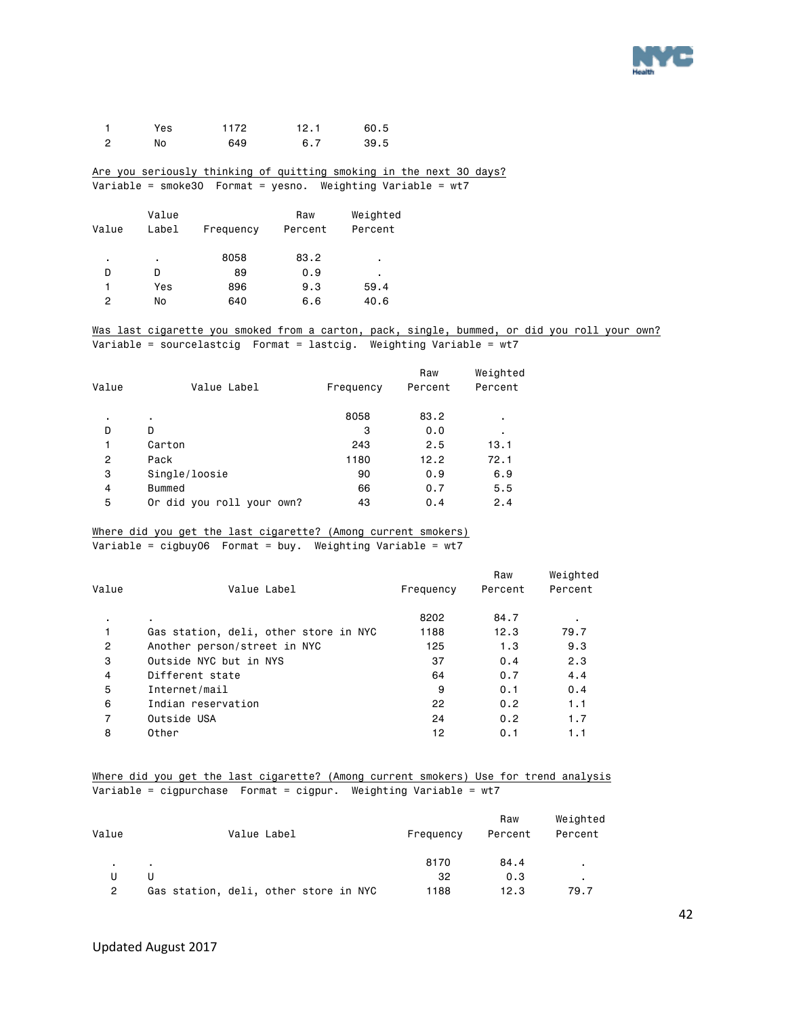

|     | Yes | 1172 | 12.1 | 60.5 |
|-----|-----|------|------|------|
| - 2 | No  | 649  | 6.7  | 39.5 |

#### Are you seriously thinking of quitting smoking in the next 30 days? Variable = smoke30 Format = yesno. Weighting Variable = wt7

| Value<br>Label | Frequency | Raw<br>Percent | Weighted<br>Percent |
|----------------|-----------|----------------|---------------------|
| ٠              | 8058      | 83.2           | ٠                   |
| D              | 89        | 0.9            | ٠                   |
| Yes            | 896       | 9.3            | 59.4                |
| No             | 640       | 6.6            | 40.6                |
|                |           |                |                     |

#### Was last cigarette you smoked from a carton, pack, single, bummed, or did you roll your own? Variable = sourcelastcig Format = lastcig. Weighting Variable = wt7

| Value | Value Label               | Frequency | Raw<br>Percent | Weighted<br>Percent |
|-------|---------------------------|-----------|----------------|---------------------|
| ٠     | ٠                         | 8058      | 83.2           | ٠                   |
| D     | D                         | 3         | 0.0            | ٠                   |
| 1     | Carton                    | 243       | 2.5            | 13.1                |
| 2     | Pack                      | 1180      | 12.2           | 72.1                |
| 3     | Single/loosie             | 90        | 0.9            | 6.9                 |
| 4     | Bummed                    | 66        | 0.7            | 5.5                 |
| 5     | Or did you roll your own? | 43        | 0.4            | 2.4                 |
|       |                           |           |                |                     |

# Where did you get the last cigarette? (Among current smokers)

Variable = cigbuy06 Format = buy. Weighting Variable = wt7

| Value | Value Label                           | Frequency | Raw<br>Percent | Weighted<br>Percent |
|-------|---------------------------------------|-----------|----------------|---------------------|
| ٠     | $\blacksquare$                        | 8202      | 84.7           |                     |
|       | Gas station, deli, other store in NYC | 1188      | 12.3           | 79.7                |
| 2     | Another person/street in NYC          | 125       | 1.3            | 9.3                 |
| 3     | Outside NYC but in NYS                | 37        | 0.4            | 2.3                 |
| 4     | Different state                       | 64        | 0.7            | 4.4                 |
| 5     | Internet/mail                         | 9         | 0.1            | 0.4                 |
| 6     | Indian reservation                    | 22        | 0.2            | 1.1                 |
| 7     | Outside USA                           | 24        | 0.2            | 1.7                 |
| 8     | Other                                 | 12        | 0.1            | 1.1                 |
|       |                                       |           |                |                     |

#### Where did you get the last cigarette? (Among current smokers) Use for trend analysis Variable = cigpurchase Format = cigpur. Weighting Variable = wt7

| Value | Value Label                           | Frequency | Raw<br>Percent | Weighted<br>Percent |
|-------|---------------------------------------|-----------|----------------|---------------------|
| . .   | <b>.</b>                              | 8170      | 84.4           |                     |
|       |                                       | 32        | 0.3            |                     |
| 2     | Gas station, deli, other store in NYC | 1188      | 12.3           | 79.7                |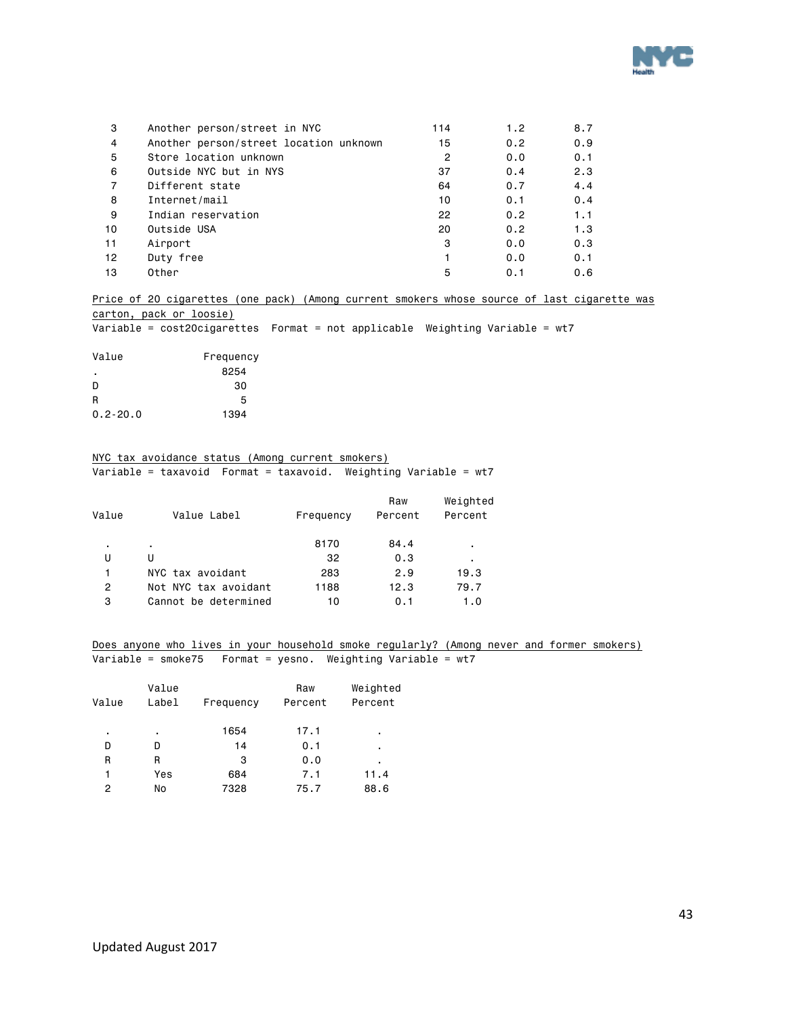

| 3  | Another person/street in NYC           | 114 | 1.2 | 8.7 |
|----|----------------------------------------|-----|-----|-----|
| 4  | Another person/street location unknown | 15  | 0.2 | 0.9 |
| 5  | Store location unknown                 | 2   | 0.0 | 0.1 |
| 6  | Outside NYC but in NYS                 | 37  | 0.4 | 2.3 |
| 7  | Different state                        | 64  | 0.7 | 4.4 |
| 8  | Internet/mail                          | 10  | 0.1 | 0.4 |
| 9  | Indian reservation                     | 22  | 0.2 | 1.1 |
| 10 | Outside USA                            | 20  | 0.2 | 1.3 |
| 11 | Airport                                | 3   | 0.0 | 0.3 |
| 12 | Duty free                              |     | 0.0 | 0.1 |
| 13 | Other                                  | 5   | 0.1 | 0.6 |

Price of 20 cigarettes (one pack) (Among current smokers whose source of last cigarette was carton, pack or loosie)

Variable = cost20cigarettes Format = not applicable Weighting Variable = wt7

| Value        | Frequency |
|--------------|-----------|
| ٠            | 8254      |
| D            | 30        |
| R            | 5         |
| $0.2 - 20.0$ | 1394      |

#### NYC tax avoidance status (Among current smokers)

Variable = taxavoid Format = taxavoid. Weighting Variable = wt7

| Value | Value Label          | Frequency | Raw<br>Percent | Weighted<br>Percent |
|-------|----------------------|-----------|----------------|---------------------|
| ٠     | ٠                    | 8170      | 84.4           | ٠                   |
| U     | U                    | 32        | 0.3            | ٠.                  |
| 1     | NYC tax avoidant     | 283       | 2.9            | 19.3                |
| 2     | Not NYC tax avoidant | 1188      | 12.3           | 79.7                |
| 3     | Cannot be determined | 10        | 0.1            | 1.0                 |
|       |                      |           |                |                     |

Does anyone who lives in your household smoke regularly? (Among never and former smokers) Variable = smoke75 Format = yesno. Weighting Variable = wt7

|       | Value |           | Raw     | Weighted |
|-------|-------|-----------|---------|----------|
| Value | Label | Frequency | Percent | Percent  |
| ٠     | ٠     | 1654      | 17.1    | ٠        |
| D     | D     | 14        | 0.1     | ٠        |
| R     | R     | 3         | 0.0     | ٠        |
| 1     | Yes   | 684       | 7.1     | 11.4     |
| 2     | No    | 7328      | 75.7    | 88.6     |
|       |       |           |         |          |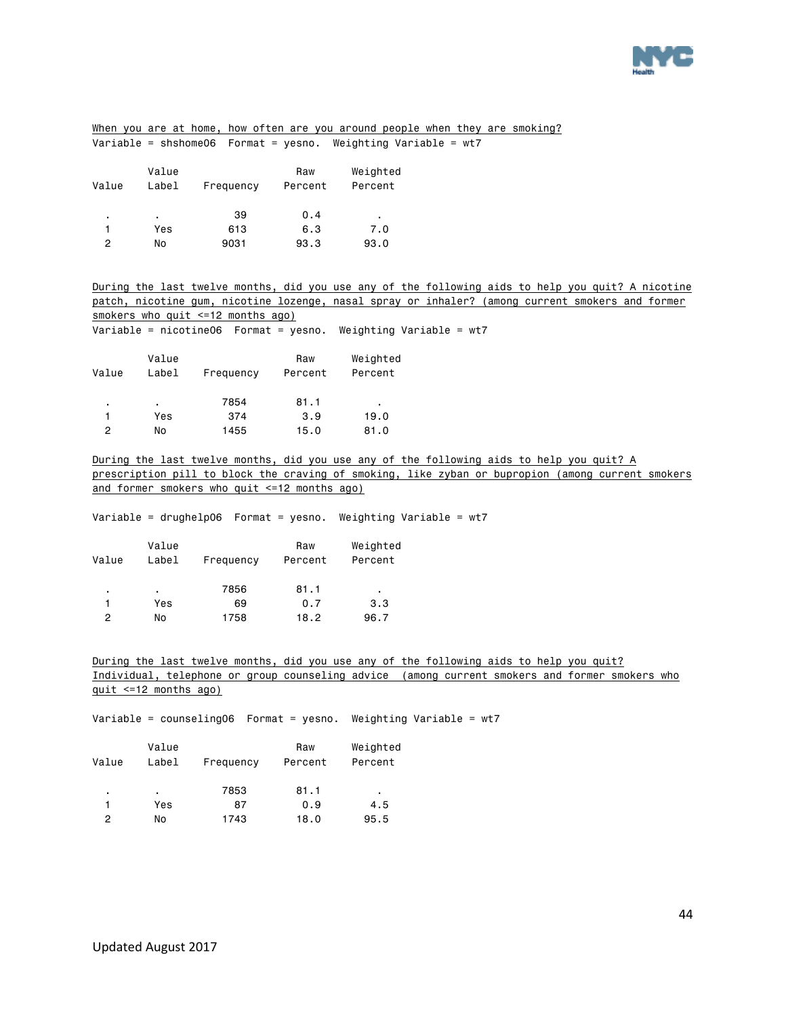

|                       |                       |                                                                  |         |                | When you are at home, how often are you around people when they are smoking?                                                                                                                  |
|-----------------------|-----------------------|------------------------------------------------------------------|---------|----------------|-----------------------------------------------------------------------------------------------------------------------------------------------------------------------------------------------|
|                       |                       |                                                                  |         |                |                                                                                                                                                                                               |
|                       |                       |                                                                  |         |                |                                                                                                                                                                                               |
|                       | Value                 |                                                                  | Raw     | Weighted       |                                                                                                                                                                                               |
| Value                 | Label                 | Frequency                                                        | Percent | Percent        |                                                                                                                                                                                               |
|                       |                       |                                                                  |         |                |                                                                                                                                                                                               |
|                       | $\sim$                | 39                                                               | 0.4     | $\blacksquare$ |                                                                                                                                                                                               |
| 1                     | Yes                   | 613                                                              | 6.3     | 7.0            |                                                                                                                                                                                               |
| $\mathbf{2}^{\prime}$ | No                    | 9031                                                             | 93.3    | 93.0           |                                                                                                                                                                                               |
|                       |                       |                                                                  |         |                |                                                                                                                                                                                               |
|                       |                       |                                                                  |         |                | During the last twelve months, did you use any of the following aids to help you quit? A nicotine                                                                                             |
|                       |                       |                                                                  |         |                | <u>patch, nicotine gum, nicotine lozenge, nasal spray or inhaler? (among current smokers and former</u>                                                                                       |
|                       |                       | smokers who quit <=12 months ago)                                |         |                |                                                                                                                                                                                               |
|                       |                       | Variable = nicotine06  Format = yesno.  Weighting Variable = wt7 |         |                |                                                                                                                                                                                               |
|                       |                       |                                                                  |         |                |                                                                                                                                                                                               |
|                       | Value                 |                                                                  | Raw     | Weighted       |                                                                                                                                                                                               |
| Value                 | Label                 | Frequency                                                        | Percent | Percent        |                                                                                                                                                                                               |
|                       |                       |                                                                  |         |                |                                                                                                                                                                                               |
|                       | $\sim$                | 7854                                                             | 81.1    |                |                                                                                                                                                                                               |
| $\mathbf{1}$          | Yes                   | 374                                                              | 3.9     | 19.0           |                                                                                                                                                                                               |
| $\mathbf{2}^{\prime}$ | No                    | 1455                                                             | 15.0    | 81.0           |                                                                                                                                                                                               |
|                       |                       |                                                                  |         |                |                                                                                                                                                                                               |
|                       |                       |                                                                  |         |                | During the last twelve months, did you use any of the following aids to help you quit? A<br>prescription pill to block the craving of smoking, like zyban or bupropion (among current smokers |
|                       |                       | and former smokers who quit <=12 months ago)                     |         |                |                                                                                                                                                                                               |
|                       |                       |                                                                  |         |                |                                                                                                                                                                                               |
|                       |                       | Variable = drughelp06  Format = yesno.  Weighting Variable = wt7 |         |                |                                                                                                                                                                                               |
|                       |                       |                                                                  |         |                |                                                                                                                                                                                               |
|                       | Value                 |                                                                  | Raw     | Weighted       |                                                                                                                                                                                               |
| Value                 | Label                 | Frequency                                                        | Percent | Percent        |                                                                                                                                                                                               |
|                       |                       |                                                                  |         |                |                                                                                                                                                                                               |
|                       | $\sim$                | 7856                                                             | 81.1    | $\bullet$      |                                                                                                                                                                                               |
| $\mathbf{1}$          | Yes                   | 69                                                               | 0.7     | 3.3            |                                                                                                                                                                                               |
| $\overline{2}$        | No                    | 1758                                                             | 18.2    | 96.7           |                                                                                                                                                                                               |
|                       |                       |                                                                  |         |                |                                                                                                                                                                                               |
|                       |                       |                                                                  |         |                |                                                                                                                                                                                               |
|                       |                       |                                                                  |         |                | During the last twelve months, did you use any of the following aids to help you quit?<br>Individual, telephone or group counseling advice (among current smokers and former smokers who      |
|                       | quit <=12 months ago) |                                                                  |         |                |                                                                                                                                                                                               |
|                       |                       |                                                                  |         |                |                                                                                                                                                                                               |
|                       |                       | Variable = counseling06    Format = yesno.                       |         |                | Weighting Variable = $wt7$                                                                                                                                                                    |
|                       |                       |                                                                  |         |                |                                                                                                                                                                                               |
|                       | Value                 |                                                                  | Raw     | Weighted       |                                                                                                                                                                                               |
| Value                 | Label                 | Frequency                                                        | Percent | Percent        |                                                                                                                                                                                               |
|                       |                       |                                                                  |         |                |                                                                                                                                                                                               |
| ٠                     | ¥.                    | 7853                                                             | 81.1    | $\epsilon$     |                                                                                                                                                                                               |
| 1                     | Yes                   | 87                                                               | 0.9     | 4.5            |                                                                                                                                                                                               |
| $\overline{c}$        | No                    | 1743                                                             | 18.0    | 95.5           |                                                                                                                                                                                               |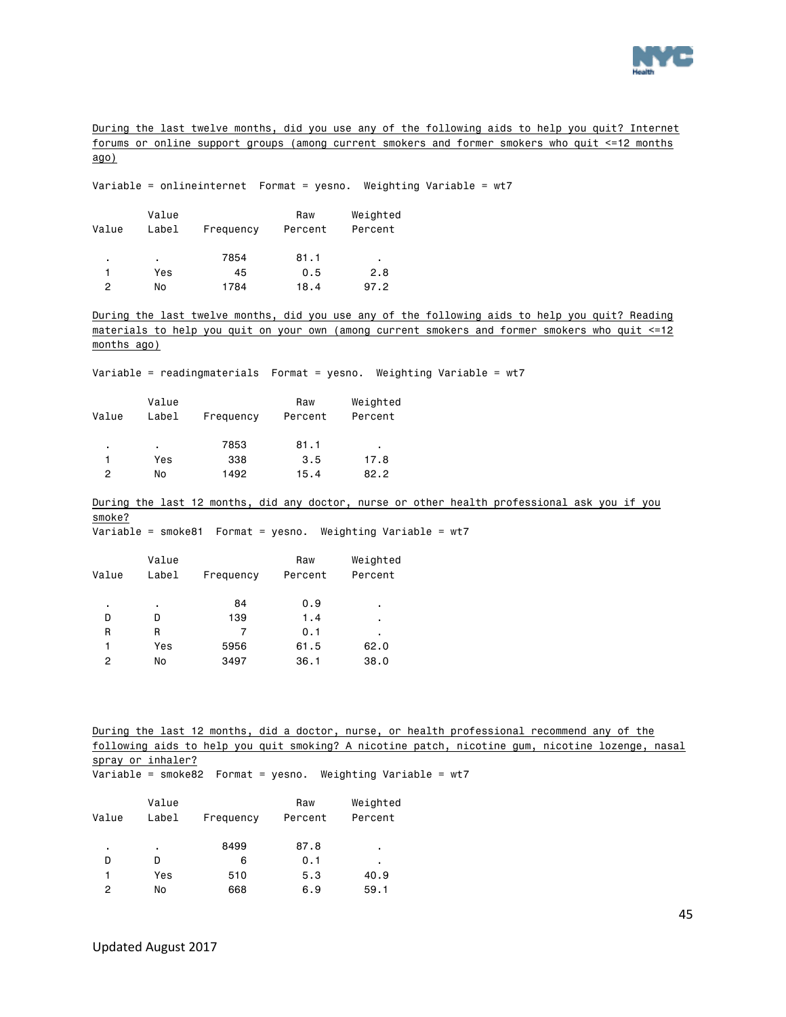

During the last twelve months, did you use any of the following aids to help you quit? Internet forums or online support groups (among current smokers and former smokers who quit <=12 months ago)

Variable = onlineinternet Format = yesno. Weighting Variable = wt7

| Value | Value<br>Label | Frequency | Raw<br>Percent | Weighted<br>Percent |
|-------|----------------|-----------|----------------|---------------------|
| ٠     | ٠.             | 7854      | 81.1           | ٠                   |
|       | Yes            | 45        | 0.5            | 2.8                 |
| 2     | No             | 1784      | 18.4           | 97.2                |

During the last twelve months, did you use any of the following aids to help you quit? Reading materials to help you quit on your own (among current smokers and former smokers who quit <=12 months ago)

Variable = readingmaterials Format = yesno. Weighting Variable = wt7

| Value | Value<br>Label | Frequency | Raw<br>Percent | Weighted<br>Percent |
|-------|----------------|-----------|----------------|---------------------|
| ٠     | ٠              | 7853      | 81.1           | ٠                   |
| 1     | Yes            | 338       | 3.5            | 17.8                |
| 2     | No             | 1492      | 15.4           | 82.2                |

During the last 12 months, did any doctor, nurse or other health professional ask you if you smoke?

Variable = smoke81 Format = yesno. Weighting Variable = wt7

|       | Value |           | Raw     | Weighted |
|-------|-------|-----------|---------|----------|
| Value | Label | Frequency | Percent | Percent  |
|       |       |           |         |          |
| ٠     | ٠     | 84        | 0.9     | ٠        |
| D     | D     | 139       | 1.4     | ٠        |
| R     | R     | 7         | 0.1     | ٠        |
|       | Yes   | 5956      | 61.5    | 62.0     |
| 2     | No    | 3497      | 36.1    | 38.0     |

During the last 12 months, did a doctor, nurse, or health professional recommend any of the following aids to help you quit smoking? A nicotine patch, nicotine gum, nicotine lozenge, nasal spray or inhaler? Variable = smoke82 Format = yesno. Weighting Variable = wt7

|       | Value |           | Raw     | Weighted |
|-------|-------|-----------|---------|----------|
| Value | Label | Frequency | Percent | Percent  |
| ٠     | ٠     | 8499      | 87.8    | ٠        |
| D     | D     | 6         | 0.1     | ٠        |
| 1     | Yes   | 510       | 5.3     | 40.9     |
| 2     | No    | 668       | 6.9     | 59.1     |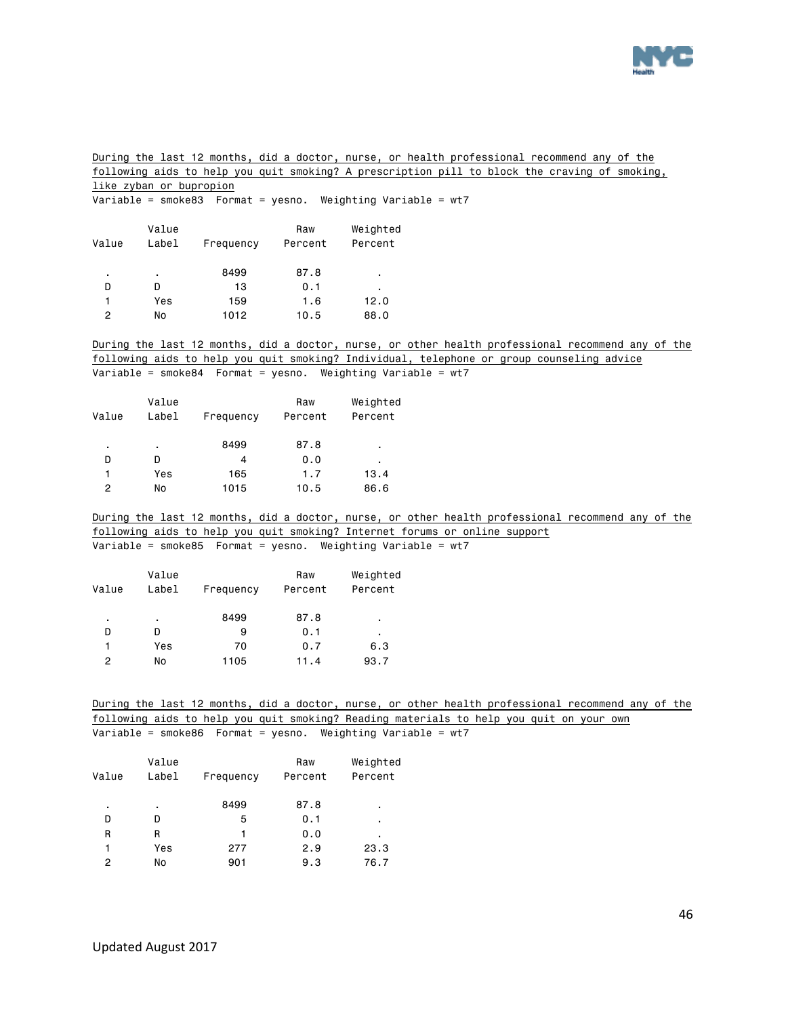

During the last 12 months, did a doctor, nurse, or health professional recommend any of the following aids to help you quit smoking? A prescription pill to block the craving of smoking, like zyban or bupropion

Variable = smoke83 Format = yesno. Weighting Variable = wt7

| Value | Value<br>Label | Frequency | Raw<br>Percent | Weighted<br>Percent |  |
|-------|----------------|-----------|----------------|---------------------|--|
| ٠     | ٠              | 8499      | 87.8           | ٠                   |  |
| D     | D              | 13        | 0.1            | ٠                   |  |
| 1     | Yes            | 159       | 1.6            | 12.0                |  |
| 2     | No             | 1012      | 10.5           | 88.0                |  |

During the last 12 months, did a doctor, nurse, or other health professional recommend any of the following aids to help you quit smoking? Individual, telephone or group counseling advice Variable = smoke84 Format = yesno. Weighting Variable = wt7

| Value | Value<br>Label | Frequency | Raw<br>Percent | Weighted<br>Percent |
|-------|----------------|-----------|----------------|---------------------|
| ٠     | ٠.             | 8499      | 87.8           | ٠                   |
| D     | n              | 4         | 0.0            | ٠                   |
|       | Yes            | 165       | 1.7            | 13.4                |
| 2     | No             | 1015      | 10.5           | 86.6                |
|       |                |           |                |                     |

During the last 12 months, did a doctor, nurse, or other health professional recommend any of the following aids to help you quit smoking? Internet forums or online support Variable = smoke85 Format = yesno. Weighting Variable = wt7

| Value | Value<br>Label | Frequency | Raw<br>Percent | Weighted<br>Percent |
|-------|----------------|-----------|----------------|---------------------|
| ٠     | ٠              | 8499      | 87.8           | ٠                   |
| D     | D              | 9         | 0.1            | ٠                   |
|       | Yes            | 70        | 0.7            | 6.3                 |
| 2     | No             | 1105      | 11.4           | 93.7                |

During the last 12 months, did a doctor, nurse, or other health professional recommend any of the following aids to help you quit smoking? Reading materials to help you quit on your own Variable = smoke86 Format = yesno. Weighting Variable = wt7

<span id="page-45-0"></span>

| Value | Value<br>Label | Frequency | Raw<br>Percent | Weighted<br>Percent |
|-------|----------------|-----------|----------------|---------------------|
| ٠     | ٠              | 8499      | 87.8           | ٠                   |
| D     | D              | 5         | 0.1            | ٠                   |
| R     | R              | 1         | 0.0            | ٠                   |
| 1     | Yes            | 277       | 2.9            | 23.3                |
| 2     | No             | 901       | 9.3            | 76.7                |
|       |                |           |                |                     |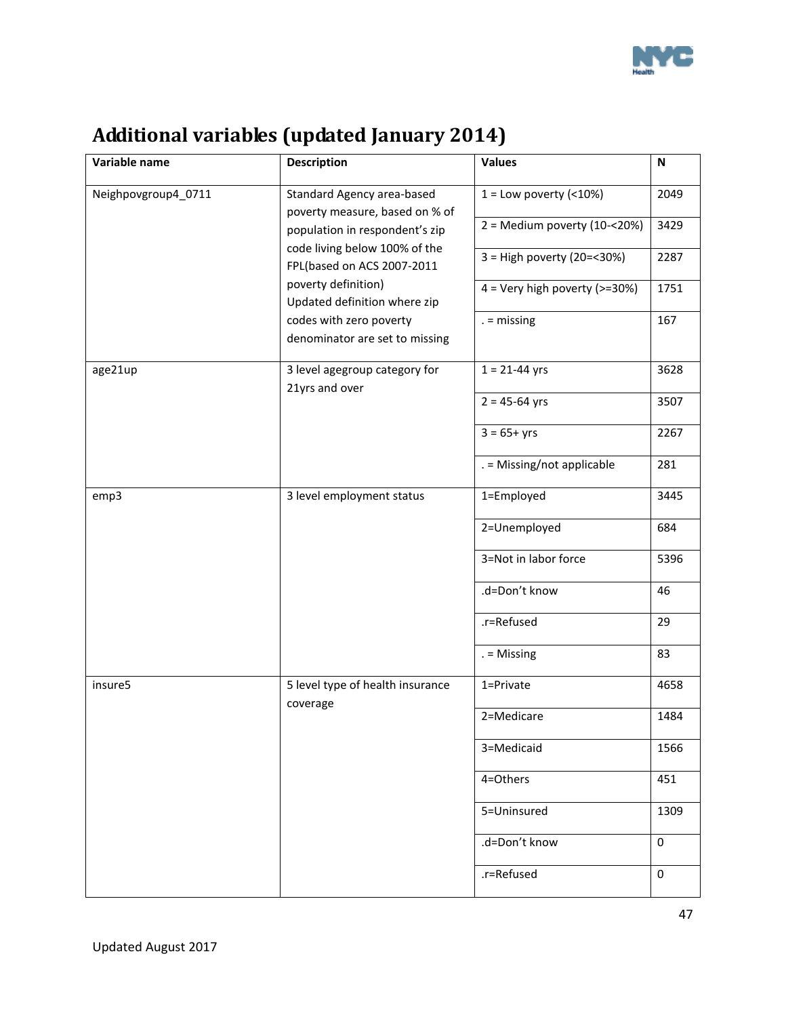

| <b>Additional variables (updated January 2014)</b> |  |  |
|----------------------------------------------------|--|--|
|                                                    |  |  |

| Variable name       | <b>Description</b>                                                                                                                                   | <b>Values</b>                   | $\boldsymbol{\mathsf{N}}$ |
|---------------------|------------------------------------------------------------------------------------------------------------------------------------------------------|---------------------------------|---------------------------|
| Neighpovgroup4_0711 | Standard Agency area-based<br>poverty measure, based on % of                                                                                         | $1 =$ Low poverty (<10%)        | 2049                      |
|                     | population in respondent's zip<br>code living below 100% of the<br>FPL(based on ACS 2007-2011<br>poverty definition)<br>Updated definition where zip | $2 =$ Medium poverty (10-<20%)  | 3429                      |
|                     |                                                                                                                                                      | 3 = High poverty (20=<30%)      | 2287                      |
|                     |                                                                                                                                                      | $4 =$ Very high poverty (>=30%) | 1751                      |
|                     | codes with zero poverty<br>denominator are set to missing                                                                                            | $=$ missing                     | 167                       |
| age21up             | 3 level agegroup category for<br>21yrs and over                                                                                                      | $1 = 21 - 44$ yrs               | 3628                      |
|                     |                                                                                                                                                      | $2 = 45 - 64$ yrs               | 3507                      |
|                     |                                                                                                                                                      | $3 = 65 + yrs$                  | 2267                      |
|                     |                                                                                                                                                      | . = Missing/not applicable      | 281                       |
| emp3                | 3 level employment status                                                                                                                            | 1=Employed                      | 3445                      |
|                     |                                                                                                                                                      | 2=Unemployed                    | 684                       |
|                     |                                                                                                                                                      | 3=Not in labor force            | 5396                      |
|                     |                                                                                                                                                      | .d=Don't know                   | 46                        |
|                     |                                                                                                                                                      | .r=Refused                      | 29                        |
|                     |                                                                                                                                                      | $=$ Missing                     | 83                        |
| insure5             | 5 level type of health insurance<br>coverage                                                                                                         | 1=Private                       | 4658                      |
|                     |                                                                                                                                                      | 2=Medicare                      | 1484                      |
|                     |                                                                                                                                                      | 3=Medicaid                      | 1566                      |
|                     |                                                                                                                                                      | 4=Others                        | 451                       |
|                     |                                                                                                                                                      | 5=Uninsured                     | 1309                      |
|                     |                                                                                                                                                      | .d=Don't know                   | $\mathbf 0$               |
|                     |                                                                                                                                                      | .r=Refused                      | 0                         |